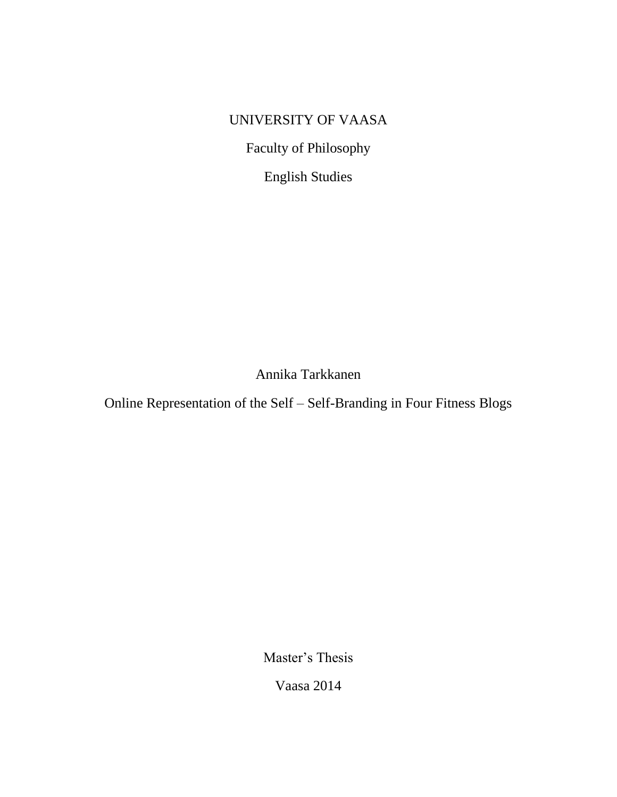# UNIVERSITY OF VAASA

Faculty of Philosophy

English Studies

Annika Tarkkanen

Online Representation of the Self – Self-Branding in Four Fitness Blogs

Master's Thesis

Vaasa 2014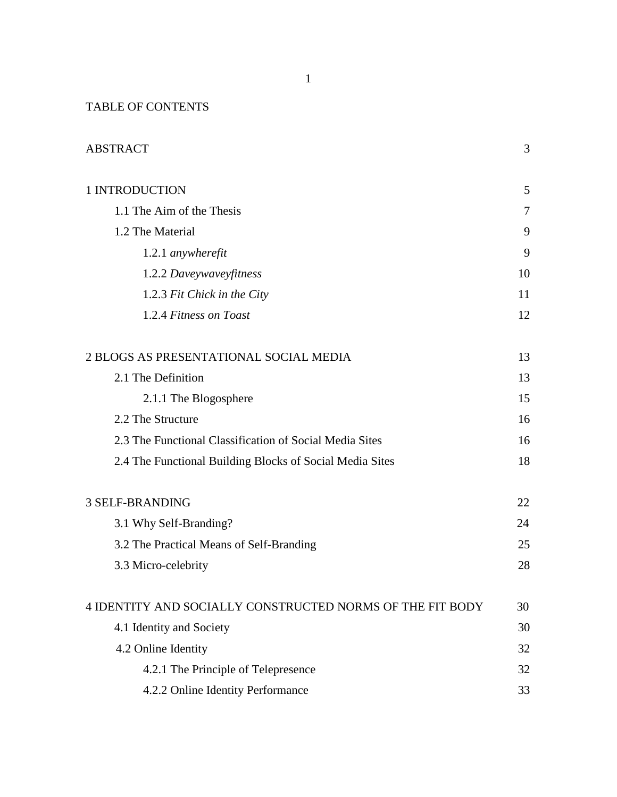## TABLE OF CONTENTS

| <b>ABSTRACT</b>                                           | 3  |
|-----------------------------------------------------------|----|
| 1 INTRODUCTION                                            | 5  |
| 1.1 The Aim of the Thesis                                 | 7  |
| 1.2 The Material                                          | 9  |
| 1.2.1 anywherefit                                         | 9  |
| 1.2.2 Daveywaveyfitness                                   | 10 |
| 1.2.3 Fit Chick in the City                               | 11 |
| 1.2.4 Fitness on Toast                                    | 12 |
| 2 BLOGS AS PRESENTATIONAL SOCIAL MEDIA                    | 13 |
| 2.1 The Definition                                        | 13 |
| 2.1.1 The Blogosphere                                     | 15 |
| 2.2 The Structure                                         | 16 |
| 2.3 The Functional Classification of Social Media Sites   | 16 |
| 2.4 The Functional Building Blocks of Social Media Sites  | 18 |
| <b>3 SELF-BRANDING</b>                                    | 22 |
| 3.1 Why Self-Branding?                                    | 24 |
| 3.2 The Practical Means of Self-Branding                  | 25 |
| 3.3 Micro-celebrity                                       | 28 |
| 4 IDENTITY AND SOCIALLY CONSTRUCTED NORMS OF THE FIT BODY | 30 |
| 4.1 Identity and Society                                  | 30 |
| 4.2 Online Identity                                       | 32 |
| 4.2.1 The Principle of Telepresence                       | 32 |
| 4.2.2 Online Identity Performance                         | 33 |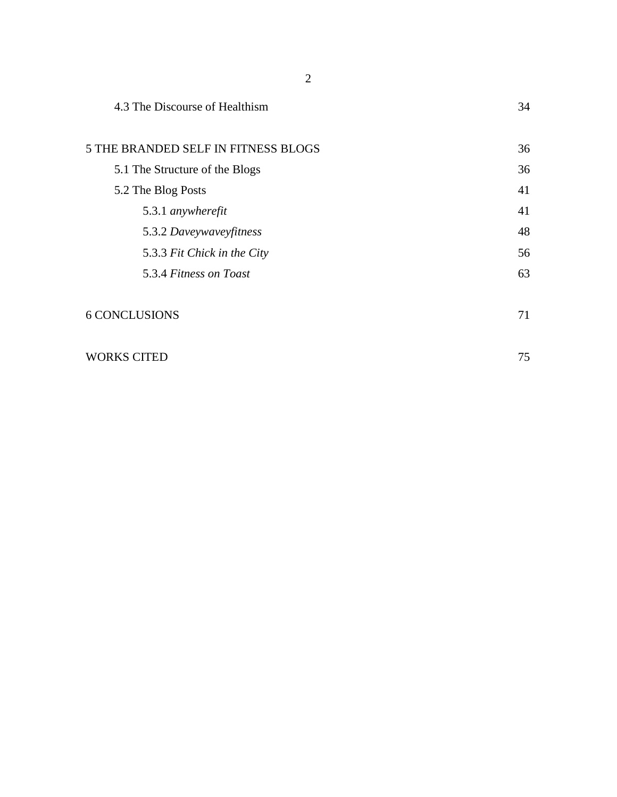| 4.3 The Discourse of Healthism      | 34 |
|-------------------------------------|----|
| 5 THE BRANDED SELF IN FITNESS BLOGS | 36 |
| 5.1 The Structure of the Blogs      | 36 |
| 5.2 The Blog Posts                  | 41 |
| 5.3.1 anywherefit                   | 41 |
| 5.3.2 Daveywaveyfitness             | 48 |
| 5.3.3 Fit Chick in the City         | 56 |
| 5.3.4 Fitness on Toast              | 63 |
| <b>6 CONCLUSIONS</b>                | 71 |
| <b>WORKS CITED</b>                  | 75 |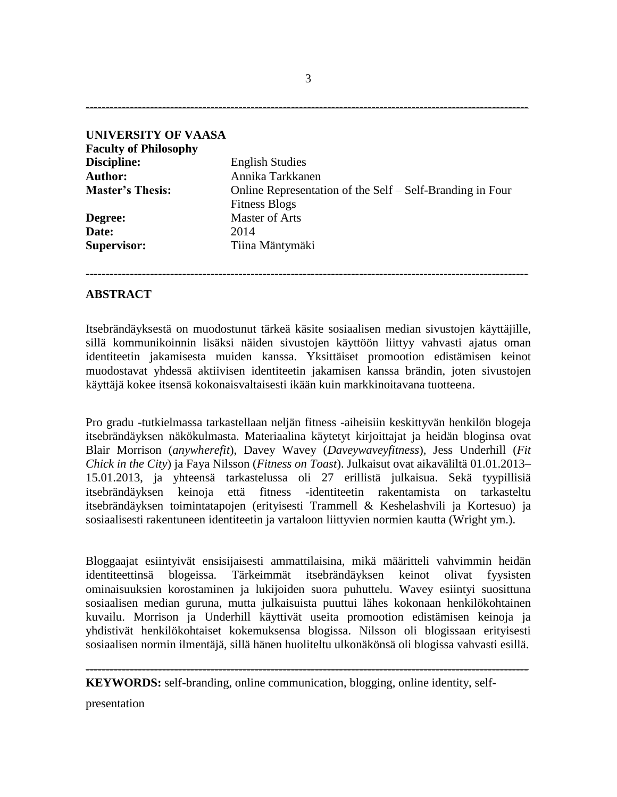| <b>UNIVERSITY OF VAASA</b>   |                                                           |
|------------------------------|-----------------------------------------------------------|
| <b>Faculty of Philosophy</b> |                                                           |
| Discipline:                  | <b>English Studies</b>                                    |
| <b>Author:</b>               | Annika Tarkkanen                                          |
| <b>Master's Thesis:</b>      | Online Representation of the Self – Self-Branding in Four |
|                              | <b>Fitness Blogs</b>                                      |
| Degree:                      | <b>Master of Arts</b>                                     |
| Date:                        | 2014                                                      |
| <b>Supervisor:</b>           | Tiina Mäntymäki                                           |

### **ABSTRACT**

Itsebrändäyksestä on muodostunut tärkeä käsite sosiaalisen median sivustojen käyttäjille, sillä kommunikoinnin lisäksi näiden sivustojen käyttöön liittyy vahvasti ajatus oman identiteetin jakamisesta muiden kanssa. Yksittäiset promootion edistämisen keinot muodostavat yhdessä aktiivisen identiteetin jakamisen kanssa brändin, joten sivustojen käyttäjä kokee itsensä kokonaisvaltaisesti ikään kuin markkinoitavana tuotteena.

**--------------------------------------------------------------------------------------------------------------**

Pro gradu -tutkielmassa tarkastellaan neljän fitness -aiheisiin keskittyvän henkilön blogeja itsebrändäyksen näkökulmasta. Materiaalina käytetyt kirjoittajat ja heidän bloginsa ovat Blair Morrison (*anywherefit*), Davey Wavey (*Daveywaveyfitness*)*,* Jess Underhill (*Fit Chick in the City*) ja Faya Nilsson (*Fitness on Toast*). Julkaisut ovat aikaväliltä 01.01.2013– 15.01.2013, ja yhteensä tarkastelussa oli 27 erillistä julkaisua. Sekä tyypillisiä itsebrändäyksen keinoja että fitness -identiteetin rakentamista on tarkasteltu itsebrändäyksen toimintatapojen (erityisesti Trammell & Keshelashvili ja Kortesuo) ja sosiaalisesti rakentuneen identiteetin ja vartaloon liittyvien normien kautta (Wright ym.).

Bloggaajat esiintyivät ensisijaisesti ammattilaisina, mikä määritteli vahvimmin heidän identiteettinsä blogeissa. Tärkeimmät itsebrändäyksen keinot olivat fyysisten ominaisuuksien korostaminen ja lukijoiden suora puhuttelu. Wavey esiintyi suosittuna sosiaalisen median guruna, mutta julkaisuista puuttui lähes kokonaan henkilökohtainen kuvailu. Morrison ja Underhill käyttivät useita promootion edistämisen keinoja ja yhdistivät henkilökohtaiset kokemuksensa blogissa. Nilsson oli blogissaan erityisesti sosiaalisen normin ilmentäjä, sillä hänen huoliteltu ulkonäkönsä oli blogissa vahvasti esillä.

**--------------------------------------------------------------------------------------------------------------**

**KEYWORDS:** self-branding, online communication, blogging, online identity, self-

presentation

**--------------------------------------------------------------------------------------------------------------**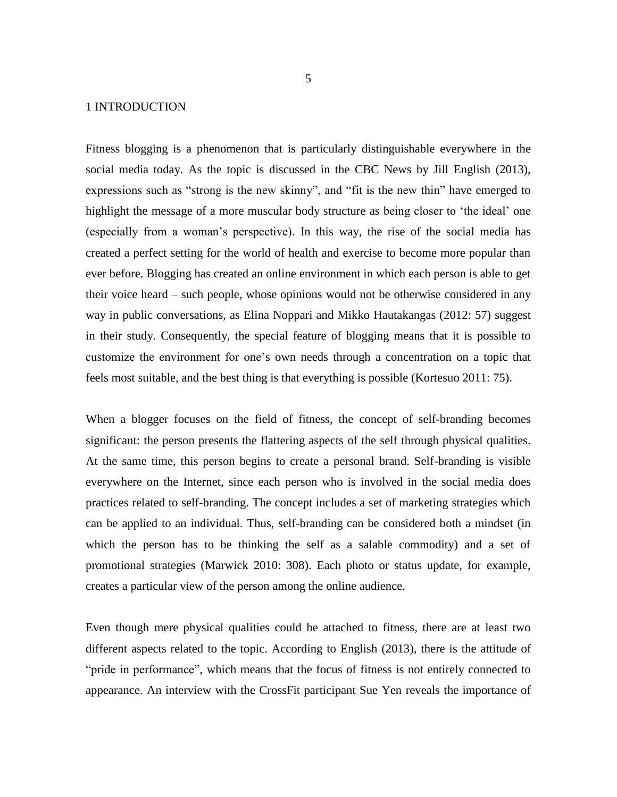### 1 INTRODUCTION

Fitness blogging is a phenomenon that is particularly distinguishable everywhere in the social media today. As the topic is discussed in the CBC News by Jill English (2013), expressions such as "strong is the new skinny", and "fit is the new thin" have emerged to highlight the message of a more muscular body structure as being closer to 'the ideal' one (especially from a woman's perspective). In this way, the rise of the social media has created a perfect setting for the world of health and exercise to become more popular than ever before. Blogging has created an online environment in which each person is able to get their voice heard – such people, whose opinions would not be otherwise considered in any way in public conversations, as Elina Noppari and Mikko Hautakangas (2012: 57) suggest in their study. Consequently, the special feature of blogging means that it is possible to customize the environment for one's own needs through a concentration on a topic that feels most suitable, and the best thing is that everything is possible (Kortesuo 2011: 75).

When a blogger focuses on the field of fitness, the concept of self-branding becomes significant: the person presents the flattering aspects of the self through physical qualities. At the same time, this person begins to create a personal brand. Self-branding is visible everywhere on the Internet, since each person who is involved in the social media does practices related to self-branding. The concept includes a set of marketing strategies which can be applied to an individual. Thus, self-branding can be considered both a mindset (in which the person has to be thinking the self as a salable commodity) and a set of promotional strategies (Marwick 2010: 308). Each photo or status update, for example, creates a particular view of the person among the online audience.

Even though mere physical qualities could be attached to fitness, there are at least two different aspects related to the topic. According to English (2013), there is the attitude of "pride in performance", which means that the focus of fitness is not entirely connected to appearance. An interview with the CrossFit participant Sue Yen reveals the importance of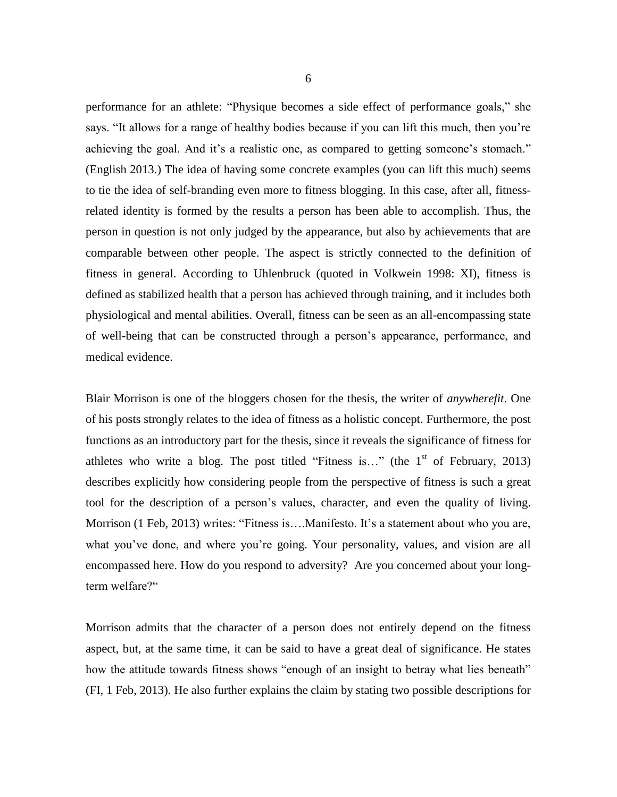performance for an athlete: "Physique becomes a side effect of performance goals," she says. "It allows for a range of healthy bodies because if you can lift this much, then you're achieving the goal. And it's a realistic one, as compared to getting someone's stomach." (English 2013.) The idea of having some concrete examples (you can lift this much) seems to tie the idea of self-branding even more to fitness blogging. In this case, after all, fitnessrelated identity is formed by the results a person has been able to accomplish. Thus, the person in question is not only judged by the appearance, but also by achievements that are comparable between other people. The aspect is strictly connected to the definition of fitness in general. According to Uhlenbruck (quoted in Volkwein 1998: XI), fitness is defined as stabilized health that a person has achieved through training, and it includes both physiological and mental abilities. Overall, fitness can be seen as an all-encompassing state of well-being that can be constructed through a person's appearance, performance, and medical evidence.

Blair Morrison is one of the bloggers chosen for the thesis, the writer of *anywherefit*. One of his posts strongly relates to the idea of fitness as a holistic concept. Furthermore, the post functions as an introductory part for the thesis, since it reveals the significance of fitness for athletes who write a blog. The post titled "Fitness is..." (the  $1<sup>st</sup>$  of February, 2013) describes explicitly how considering people from the perspective of fitness is such a great tool for the description of a person's values, character, and even the quality of living. Morrison (1 Feb, 2013) writes: "Fitness is....Manifesto. It's a statement about who you are, what you've done, and where you're going. Your personality, values, and vision are all encompassed here. How do you respond to adversity? Are you concerned about your longterm welfare?"

Morrison admits that the character of a person does not entirely depend on the fitness aspect, but, at the same time, it can be said to have a great deal of significance. He states how the attitude towards fitness shows "enough of an insight to betray what lies beneath" (FI, 1 Feb, 2013). He also further explains the claim by stating two possible descriptions for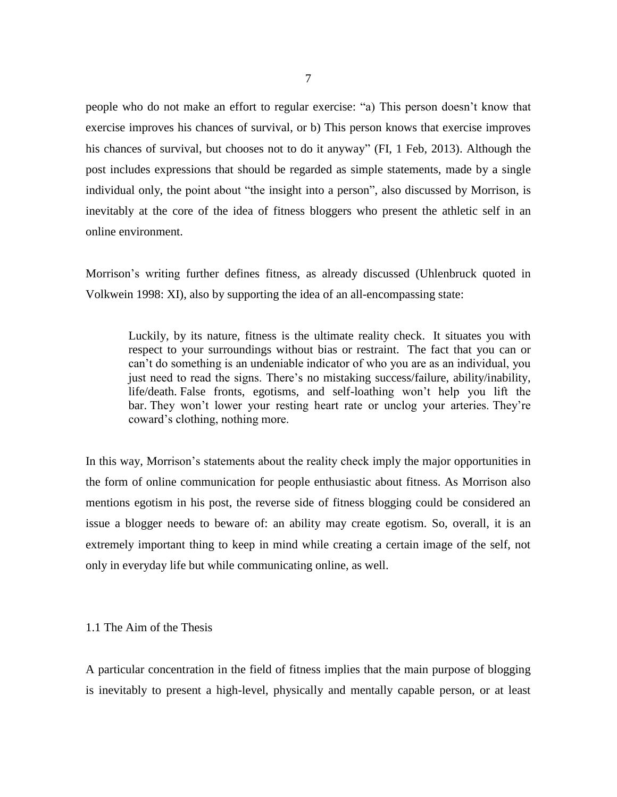people who do not make an effort to regular exercise: "a) This person doesn't know that exercise improves his chances of survival, or b) This person knows that exercise improves his chances of survival, but chooses not to do it anyway" (FI, 1 Feb, 2013). Although the post includes expressions that should be regarded as simple statements, made by a single individual only, the point about "the insight into a person", also discussed by Morrison, is inevitably at the core of the idea of fitness bloggers who present the athletic self in an online environment.

Morrison's writing further defines fitness, as already discussed (Uhlenbruck quoted in Volkwein 1998: XI), also by supporting the idea of an all-encompassing state:

Luckily, by its nature, fitness is the ultimate reality check. It situates you with respect to your surroundings without bias or restraint. The fact that you can or can't do something is an undeniable indicator of who you are as an individual, you just need to read the signs. There's no mistaking success/failure, ability/inability, life/death. False fronts, egotisms, and self-loathing won't help you lift the bar. They won't lower your resting heart rate or unclog your arteries. They're coward's clothing, nothing more.

In this way, Morrison's statements about the reality check imply the major opportunities in the form of online communication for people enthusiastic about fitness. As Morrison also mentions egotism in his post, the reverse side of fitness blogging could be considered an issue a blogger needs to beware of: an ability may create egotism. So, overall, it is an extremely important thing to keep in mind while creating a certain image of the self, not only in everyday life but while communicating online, as well.

### 1.1 The Aim of the Thesis

A particular concentration in the field of fitness implies that the main purpose of blogging is inevitably to present a high-level, physically and mentally capable person, or at least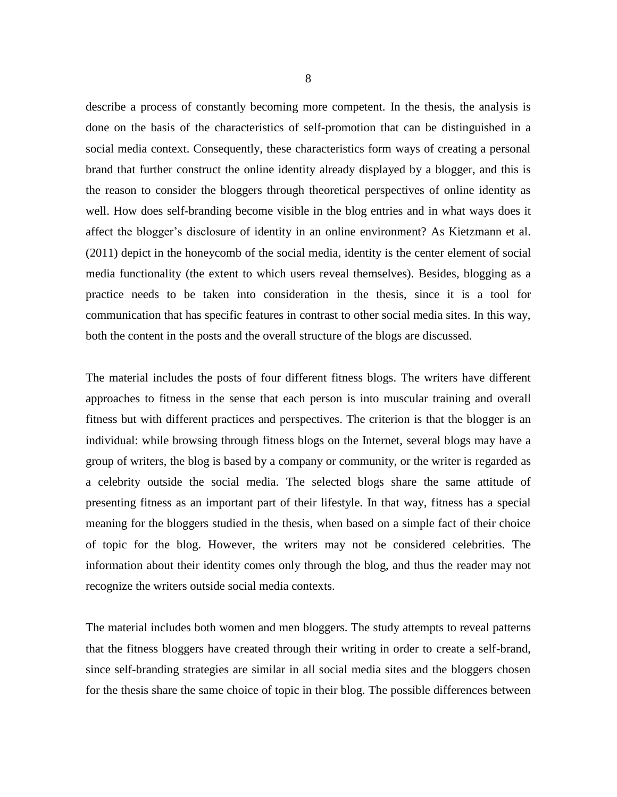describe a process of constantly becoming more competent. In the thesis, the analysis is done on the basis of the characteristics of self-promotion that can be distinguished in a social media context. Consequently, these characteristics form ways of creating a personal brand that further construct the online identity already displayed by a blogger, and this is the reason to consider the bloggers through theoretical perspectives of online identity as well. How does self-branding become visible in the blog entries and in what ways does it affect the blogger's disclosure of identity in an online environment? As Kietzmann et al. (2011) depict in the honeycomb of the social media, identity is the center element of social media functionality (the extent to which users reveal themselves). Besides, blogging as a practice needs to be taken into consideration in the thesis, since it is a tool for communication that has specific features in contrast to other social media sites. In this way, both the content in the posts and the overall structure of the blogs are discussed.

The material includes the posts of four different fitness blogs. The writers have different approaches to fitness in the sense that each person is into muscular training and overall fitness but with different practices and perspectives. The criterion is that the blogger is an individual: while browsing through fitness blogs on the Internet, several blogs may have a group of writers, the blog is based by a company or community, or the writer is regarded as a celebrity outside the social media. The selected blogs share the same attitude of presenting fitness as an important part of their lifestyle. In that way, fitness has a special meaning for the bloggers studied in the thesis, when based on a simple fact of their choice of topic for the blog. However, the writers may not be considered celebrities. The information about their identity comes only through the blog, and thus the reader may not recognize the writers outside social media contexts.

The material includes both women and men bloggers. The study attempts to reveal patterns that the fitness bloggers have created through their writing in order to create a self-brand, since self-branding strategies are similar in all social media sites and the bloggers chosen for the thesis share the same choice of topic in their blog. The possible differences between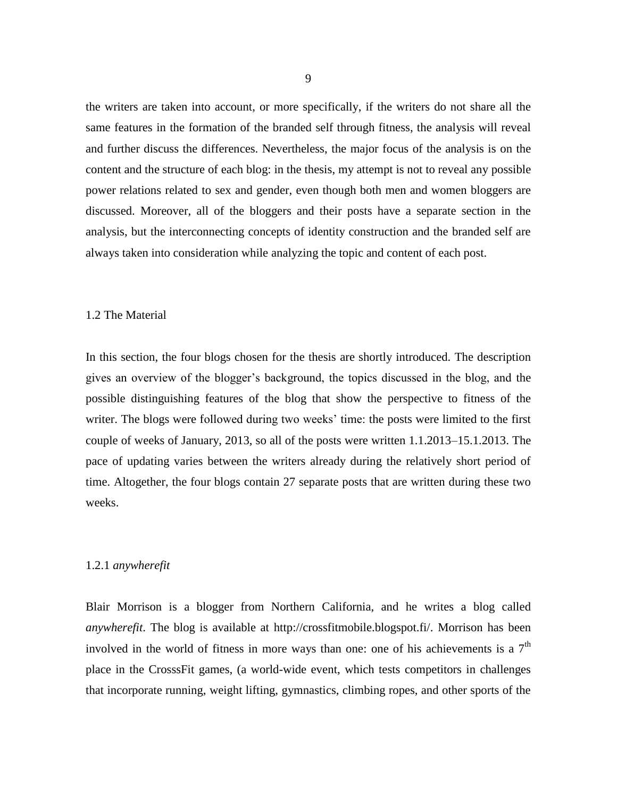the writers are taken into account, or more specifically, if the writers do not share all the same features in the formation of the branded self through fitness, the analysis will reveal and further discuss the differences. Nevertheless, the major focus of the analysis is on the content and the structure of each blog: in the thesis, my attempt is not to reveal any possible power relations related to sex and gender, even though both men and women bloggers are discussed. Moreover, all of the bloggers and their posts have a separate section in the analysis, but the interconnecting concepts of identity construction and the branded self are always taken into consideration while analyzing the topic and content of each post.

### 1.2 The Material

In this section, the four blogs chosen for the thesis are shortly introduced. The description gives an overview of the blogger's background, the topics discussed in the blog, and the possible distinguishing features of the blog that show the perspective to fitness of the writer. The blogs were followed during two weeks' time: the posts were limited to the first couple of weeks of January, 2013, so all of the posts were written 1.1.2013–15.1.2013. The pace of updating varies between the writers already during the relatively short period of time. Altogether, the four blogs contain 27 separate posts that are written during these two weeks.

### 1.2.1 *anywherefit*

Blair Morrison is a blogger from Northern California, and he writes a blog called *anywherefit*. The blog is available at [http://crossfitmobile.blogspot.fi/.](http://crossfitmobile.blogspot.fi/) Morrison has been involved in the world of fitness in more ways than one: one of his achievements is a  $7<sup>th</sup>$ place in the CrosssFit games, (a world-wide event, which tests competitors in challenges that incorporate running, weight lifting, gymnastics, climbing ropes, and other sports of the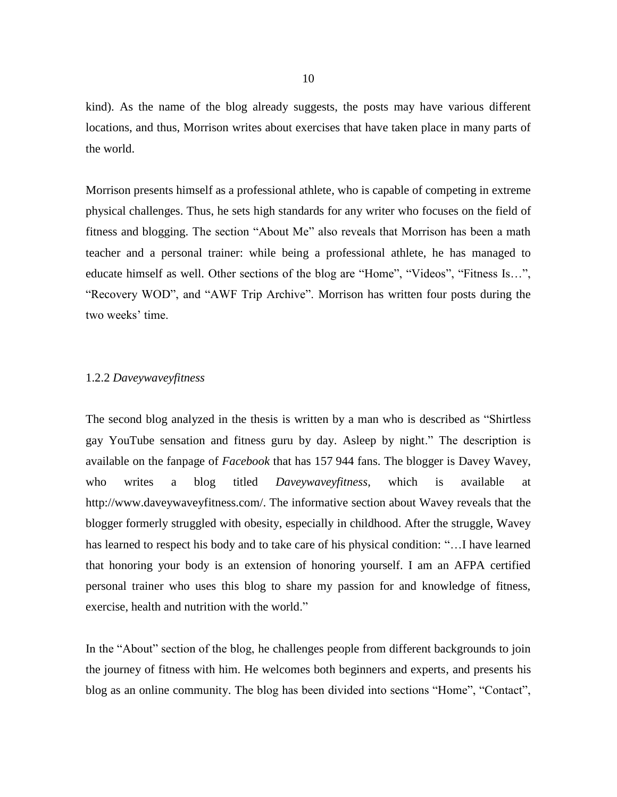kind). As the name of the blog already suggests, the posts may have various different locations, and thus, Morrison writes about exercises that have taken place in many parts of the world.

Morrison presents himself as a professional athlete, who is capable of competing in extreme physical challenges. Thus, he sets high standards for any writer who focuses on the field of fitness and blogging. The section "About Me" also reveals that Morrison has been a math teacher and a personal trainer: while being a professional athlete, he has managed to educate himself as well. Other sections of the blog are "Home", "Videos", "Fitness Is…", "Recovery WOD", and "AWF Trip Archive". Morrison has written four posts during the two weeks' time.

### 1.2.2 *Daveywaveyfitness*

The second blog analyzed in the thesis is written by a man who is described as "Shirtless gay YouTube sensation and fitness guru by day. Asleep by night." The description is available on the fanpage of *Facebook* that has 157 944 fans. The blogger is Davey Wavey, who writes a blog titled *Daveywaveyfitness*, which is available at http://www.daveywaveyfitness.com/. The informative section about Wavey reveals that the blogger formerly struggled with obesity, especially in childhood. After the struggle, Wavey has learned to respect his body and to take care of his physical condition: "…I have learned that honoring your body is an extension of honoring yourself. I am an AFPA certified personal trainer who uses this blog to share my passion for and knowledge of fitness, exercise, health and nutrition with the world."

In the "About" section of the blog, he challenges people from different backgrounds to join the journey of fitness with him. He welcomes both beginners and experts, and presents his blog as an online community. The blog has been divided into sections "Home", "Contact",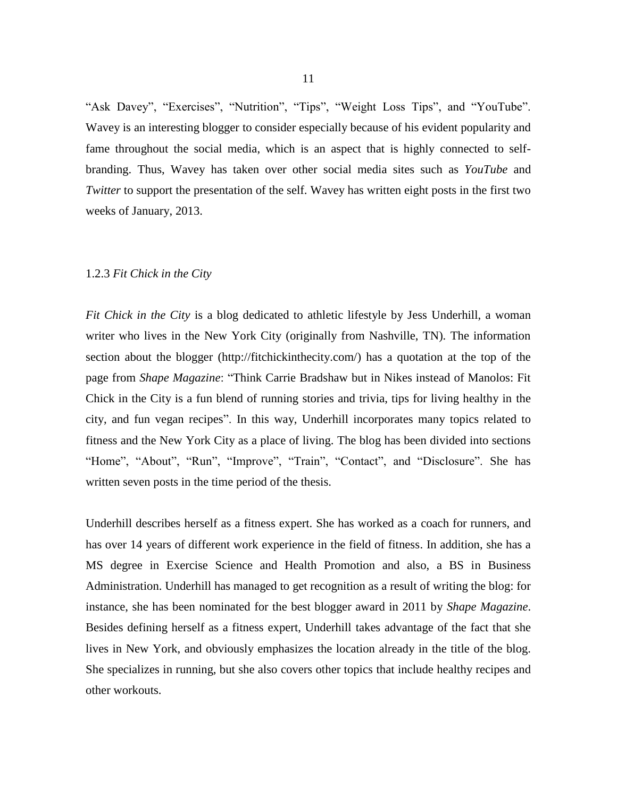"Ask Davey", "Exercises", "Nutrition", "Tips", "Weight Loss Tips", and "YouTube". Wavey is an interesting blogger to consider especially because of his evident popularity and fame throughout the social media, which is an aspect that is highly connected to selfbranding. Thus, Wavey has taken over other social media sites such as *YouTube* and *Twitter* to support the presentation of the self. Wavey has written eight posts in the first two weeks of January, 2013.

#### 1.2.3 *Fit Chick in the City*

*Fit Chick in the City* is a blog dedicated to athletic lifestyle by Jess Underhill, a woman writer who lives in the New York City (originally from Nashville, TN). The information section about the blogger [\(http://fitchickinthecity.com/\)](http://fitchickinthecity.com/) has a quotation at the top of the page from *Shape Magazine*: "Think Carrie Bradshaw but in Nikes instead of Manolos: Fit Chick in the City is a fun blend of running stories and trivia, tips for living healthy in the city, and fun vegan recipes". In this way, Underhill incorporates many topics related to fitness and the New York City as a place of living. The blog has been divided into sections "Home", "About", "Run", "Improve", "Train", "Contact", and "Disclosure". She has written seven posts in the time period of the thesis.

Underhill describes herself as a fitness expert. She has worked as a coach for runners, and has over 14 years of different work experience in the field of fitness. In addition, she has a MS degree in Exercise Science and Health Promotion and also, a BS in Business Administration. Underhill has managed to get recognition as a result of writing the blog: for instance, she has been nominated for the best blogger award in 2011 by *Shape Magazine*. Besides defining herself as a fitness expert, Underhill takes advantage of the fact that she lives in New York, and obviously emphasizes the location already in the title of the blog. She specializes in running, but she also covers other topics that include healthy recipes and other workouts.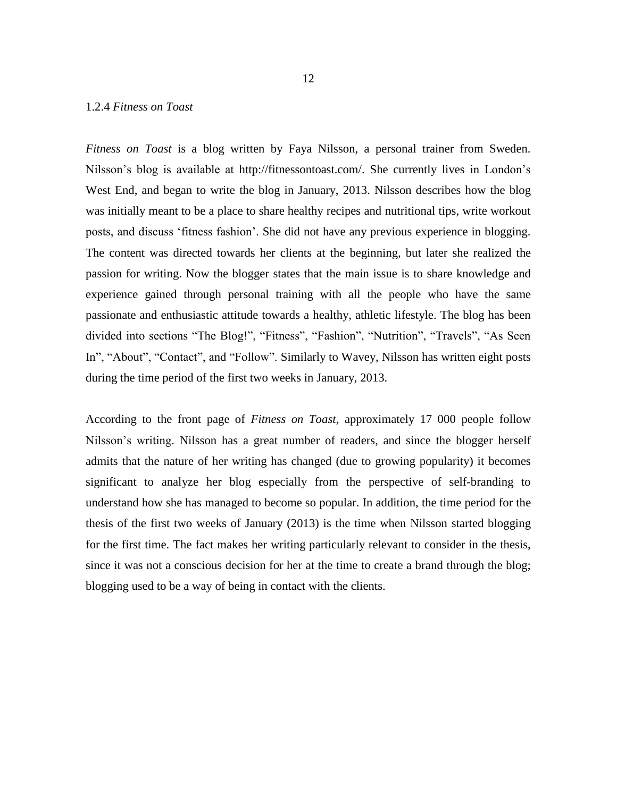### 1.2.4 *Fitness on Toast*

*Fitness on Toast* is a blog written by Faya Nilsson, a personal trainer from Sweden. Nilsson's blog is available at [http://fitnessontoast.com/.](http://fitnessontoast.com/) She currently lives in London's West End, and began to write the blog in January, 2013. Nilsson describes how the blog was initially meant to be a place to share healthy recipes and nutritional tips, write workout posts, and discuss 'fitness fashion'. She did not have any previous experience in blogging. The content was directed towards her clients at the beginning, but later she realized the passion for writing. Now the blogger states that the main issue is to share knowledge and experience gained through personal training with all the people who have the same passionate and enthusiastic attitude towards a healthy, athletic lifestyle. The blog has been divided into sections "The Blog!", "Fitness", "Fashion", "Nutrition", "Travels", "As Seen In", "About", "Contact", and "Follow". Similarly to Wavey, Nilsson has written eight posts during the time period of the first two weeks in January, 2013.

According to the front page of *Fitness on Toast*, approximately 17 000 people follow Nilsson's writing. Nilsson has a great number of readers, and since the blogger herself admits that the nature of her writing has changed (due to growing popularity) it becomes significant to analyze her blog especially from the perspective of self-branding to understand how she has managed to become so popular. In addition, the time period for the thesis of the first two weeks of January (2013) is the time when Nilsson started blogging for the first time. The fact makes her writing particularly relevant to consider in the thesis, since it was not a conscious decision for her at the time to create a brand through the blog; blogging used to be a way of being in contact with the clients.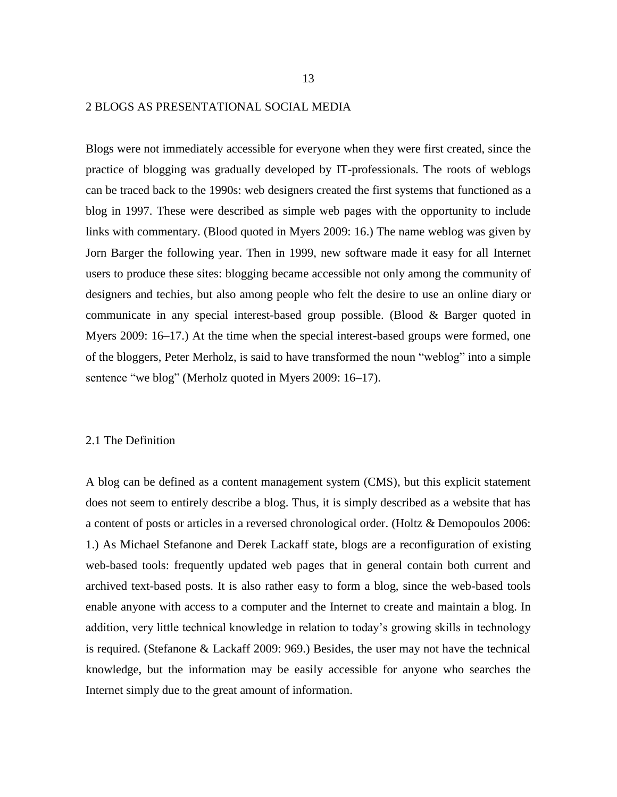#### 2 BLOGS AS PRESENTATIONAL SOCIAL MEDIA

Blogs were not immediately accessible for everyone when they were first created, since the practice of blogging was gradually developed by IT-professionals. The roots of weblogs can be traced back to the 1990s: web designers created the first systems that functioned as a blog in 1997. These were described as simple web pages with the opportunity to include links with commentary. (Blood quoted in Myers 2009: 16.) The name weblog was given by Jorn Barger the following year. Then in 1999, new software made it easy for all Internet users to produce these sites: blogging became accessible not only among the community of designers and techies, but also among people who felt the desire to use an online diary or communicate in any special interest-based group possible. (Blood & Barger quoted in Myers 2009: 16–17.) At the time when the special interest-based groups were formed, one of the bloggers, Peter Merholz, is said to have transformed the noun "weblog" into a simple sentence "we blog" (Merholz quoted in Myers 2009: 16–17).

#### 2.1 The Definition

A blog can be defined as a content management system (CMS), but this explicit statement does not seem to entirely describe a blog. Thus, it is simply described as a website that has a content of posts or articles in a reversed chronological order. (Holtz & Demopoulos 2006: 1.) As Michael Stefanone and Derek Lackaff state, blogs are a reconfiguration of existing web-based tools: frequently updated web pages that in general contain both current and archived text-based posts. It is also rather easy to form a blog, since the web-based tools enable anyone with access to a computer and the Internet to create and maintain a blog. In addition, very little technical knowledge in relation to today's growing skills in technology is required. (Stefanone & Lackaff 2009: 969.) Besides, the user may not have the technical knowledge, but the information may be easily accessible for anyone who searches the Internet simply due to the great amount of information.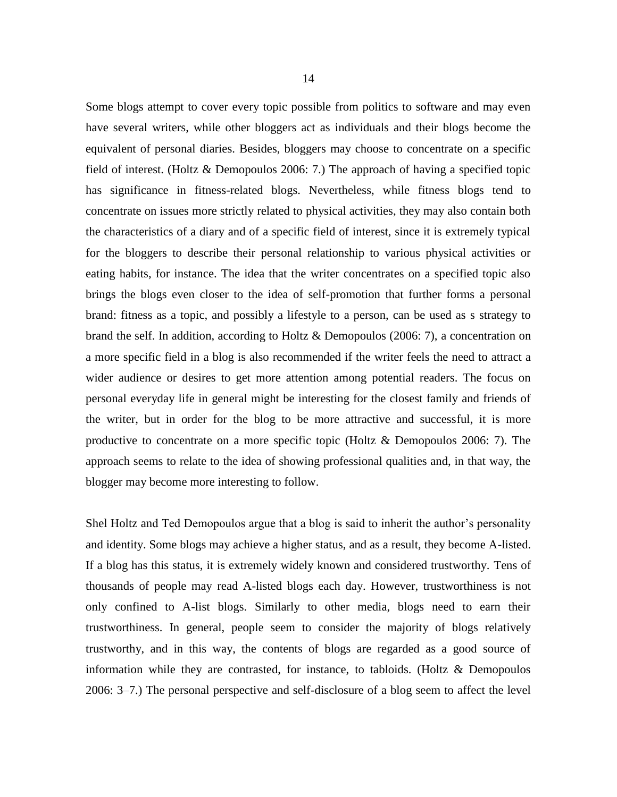Some blogs attempt to cover every topic possible from politics to software and may even have several writers, while other bloggers act as individuals and their blogs become the equivalent of personal diaries. Besides, bloggers may choose to concentrate on a specific field of interest. (Holtz & Demopoulos 2006: 7.) The approach of having a specified topic has significance in fitness-related blogs. Nevertheless, while fitness blogs tend to concentrate on issues more strictly related to physical activities, they may also contain both the characteristics of a diary and of a specific field of interest, since it is extremely typical for the bloggers to describe their personal relationship to various physical activities or eating habits, for instance. The idea that the writer concentrates on a specified topic also brings the blogs even closer to the idea of self-promotion that further forms a personal brand: fitness as a topic, and possibly a lifestyle to a person, can be used as s strategy to brand the self. In addition, according to Holtz & Demopoulos (2006: 7), a concentration on a more specific field in a blog is also recommended if the writer feels the need to attract a wider audience or desires to get more attention among potential readers. The focus on personal everyday life in general might be interesting for the closest family and friends of the writer, but in order for the blog to be more attractive and successful, it is more productive to concentrate on a more specific topic (Holtz & Demopoulos 2006: 7). The approach seems to relate to the idea of showing professional qualities and, in that way, the blogger may become more interesting to follow.

Shel Holtz and Ted Demopoulos argue that a blog is said to inherit the author's personality and identity. Some blogs may achieve a higher status, and as a result, they become A-listed. If a blog has this status, it is extremely widely known and considered trustworthy. Tens of thousands of people may read A-listed blogs each day. However, trustworthiness is not only confined to A-list blogs. Similarly to other media, blogs need to earn their trustworthiness. In general, people seem to consider the majority of blogs relatively trustworthy, and in this way, the contents of blogs are regarded as a good source of information while they are contrasted, for instance, to tabloids. (Holtz & Demopoulos 2006: 3–7.) The personal perspective and self-disclosure of a blog seem to affect the level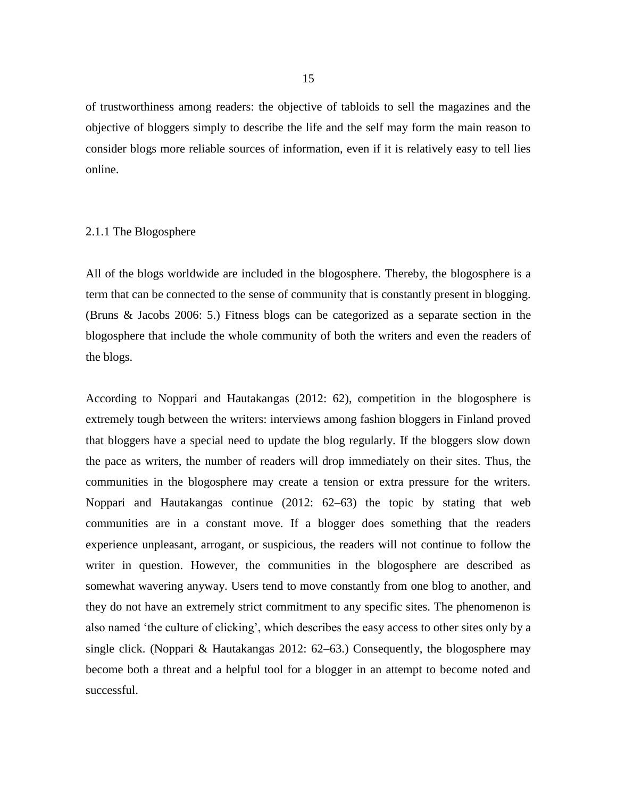of trustworthiness among readers: the objective of tabloids to sell the magazines and the objective of bloggers simply to describe the life and the self may form the main reason to consider blogs more reliable sources of information, even if it is relatively easy to tell lies online.

### 2.1.1 The Blogosphere

All of the blogs worldwide are included in the blogosphere. Thereby, the blogosphere is a term that can be connected to the sense of community that is constantly present in blogging. (Bruns & Jacobs 2006: 5.) Fitness blogs can be categorized as a separate section in the blogosphere that include the whole community of both the writers and even the readers of the blogs.

According to Noppari and Hautakangas (2012: 62), competition in the blogosphere is extremely tough between the writers: interviews among fashion bloggers in Finland proved that bloggers have a special need to update the blog regularly. If the bloggers slow down the pace as writers, the number of readers will drop immediately on their sites. Thus, the communities in the blogosphere may create a tension or extra pressure for the writers. Noppari and Hautakangas continue (2012: 62–63) the topic by stating that web communities are in a constant move. If a blogger does something that the readers experience unpleasant, arrogant, or suspicious, the readers will not continue to follow the writer in question. However, the communities in the blogosphere are described as somewhat wavering anyway. Users tend to move constantly from one blog to another, and they do not have an extremely strict commitment to any specific sites. The phenomenon is also named 'the culture of clicking', which describes the easy access to other sites only by a single click. (Noppari & Hautakangas 2012: 62–63.) Consequently, the blogosphere may become both a threat and a helpful tool for a blogger in an attempt to become noted and successful.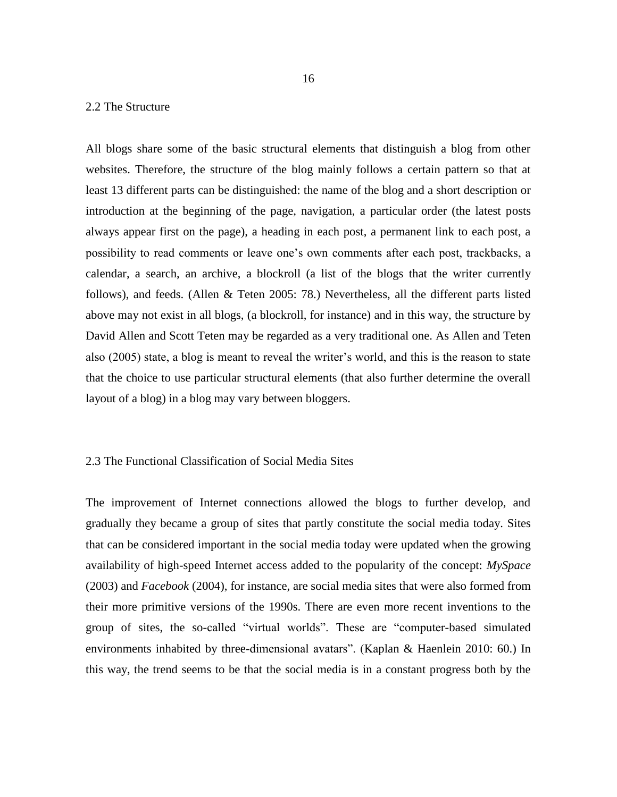### 2.2 The Structure

All blogs share some of the basic structural elements that distinguish a blog from other websites. Therefore, the structure of the blog mainly follows a certain pattern so that at least 13 different parts can be distinguished: the name of the blog and a short description or introduction at the beginning of the page, navigation, a particular order (the latest posts always appear first on the page), a heading in each post, a permanent link to each post, a possibility to read comments or leave one's own comments after each post, trackbacks, a calendar, a search, an archive, a blockroll (a list of the blogs that the writer currently follows), and feeds. (Allen & Teten 2005: 78.) Nevertheless, all the different parts listed above may not exist in all blogs, (a blockroll, for instance) and in this way, the structure by David Allen and Scott Teten may be regarded as a very traditional one. As Allen and Teten also (2005) state, a blog is meant to reveal the writer's world, and this is the reason to state that the choice to use particular structural elements (that also further determine the overall layout of a blog) in a blog may vary between bloggers.

### 2.3 The Functional Classification of Social Media Sites

The improvement of Internet connections allowed the blogs to further develop, and gradually they became a group of sites that partly constitute the social media today. Sites that can be considered important in the social media today were updated when the growing availability of high-speed Internet access added to the popularity of the concept: *MySpace* (2003) and *Facebook* (2004), for instance, are social media sites that were also formed from their more primitive versions of the 1990s. There are even more recent inventions to the group of sites, the so-called "virtual worlds". These are "computer-based simulated environments inhabited by three-dimensional avatars". (Kaplan & Haenlein 2010: 60.) In this way, the trend seems to be that the social media is in a constant progress both by the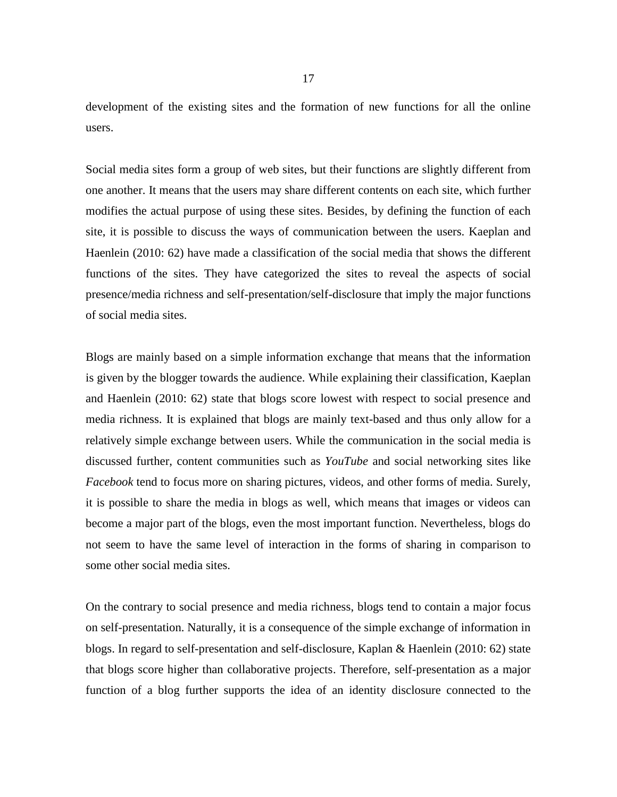development of the existing sites and the formation of new functions for all the online users.

Social media sites form a group of web sites, but their functions are slightly different from one another. It means that the users may share different contents on each site, which further modifies the actual purpose of using these sites. Besides, by defining the function of each site, it is possible to discuss the ways of communication between the users. Kaeplan and Haenlein (2010: 62) have made a classification of the social media that shows the different functions of the sites. They have categorized the sites to reveal the aspects of social presence/media richness and self-presentation/self-disclosure that imply the major functions of social media sites.

Blogs are mainly based on a simple information exchange that means that the information is given by the blogger towards the audience. While explaining their classification, Kaeplan and Haenlein (2010: 62) state that blogs score lowest with respect to social presence and media richness. It is explained that blogs are mainly text-based and thus only allow for a relatively simple exchange between users. While the communication in the social media is discussed further, content communities such as *YouTube* and social networking sites like *Facebook* tend to focus more on sharing pictures, videos, and other forms of media. Surely, it is possible to share the media in blogs as well, which means that images or videos can become a major part of the blogs, even the most important function. Nevertheless, blogs do not seem to have the same level of interaction in the forms of sharing in comparison to some other social media sites.

On the contrary to social presence and media richness, blogs tend to contain a major focus on self-presentation. Naturally, it is a consequence of the simple exchange of information in blogs. In regard to self-presentation and self-disclosure, Kaplan & Haenlein (2010: 62) state that blogs score higher than collaborative projects. Therefore, self-presentation as a major function of a blog further supports the idea of an identity disclosure connected to the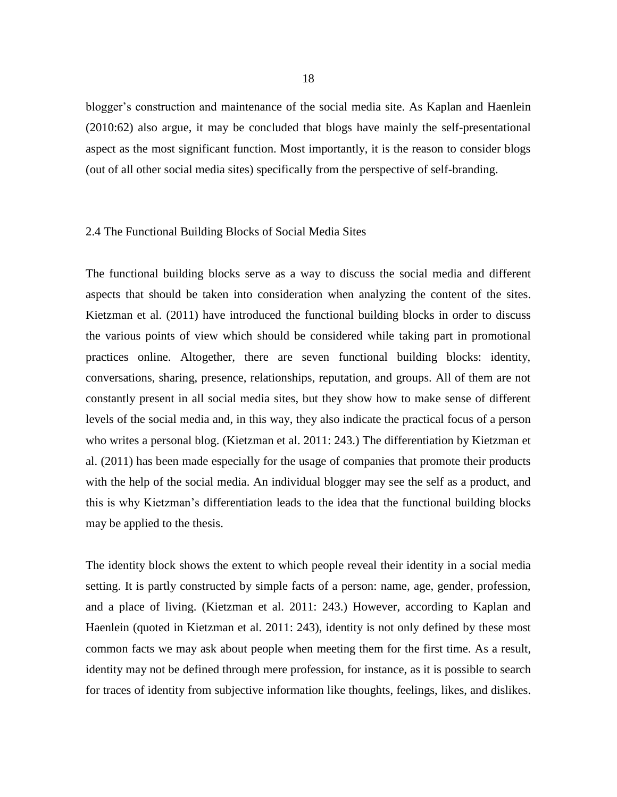blogger's construction and maintenance of the social media site. As Kaplan and Haenlein (2010:62) also argue, it may be concluded that blogs have mainly the self-presentational aspect as the most significant function. Most importantly, it is the reason to consider blogs (out of all other social media sites) specifically from the perspective of self-branding.

### 2.4 The Functional Building Blocks of Social Media Sites

The functional building blocks serve as a way to discuss the social media and different aspects that should be taken into consideration when analyzing the content of the sites. Kietzman et al. (2011) have introduced the functional building blocks in order to discuss the various points of view which should be considered while taking part in promotional practices online. Altogether, there are seven functional building blocks: identity, conversations, sharing, presence, relationships, reputation, and groups. All of them are not constantly present in all social media sites, but they show how to make sense of different levels of the social media and, in this way, they also indicate the practical focus of a person who writes a personal blog. (Kietzman et al. 2011: 243.) The differentiation by Kietzman et al. (2011) has been made especially for the usage of companies that promote their products with the help of the social media. An individual blogger may see the self as a product, and this is why Kietzman's differentiation leads to the idea that the functional building blocks may be applied to the thesis.

The identity block shows the extent to which people reveal their identity in a social media setting. It is partly constructed by simple facts of a person: name, age, gender, profession, and a place of living. (Kietzman et al. 2011: 243.) However, according to Kaplan and Haenlein (quoted in Kietzman et al. 2011: 243), identity is not only defined by these most common facts we may ask about people when meeting them for the first time. As a result, identity may not be defined through mere profession, for instance, as it is possible to search for traces of identity from subjective information like thoughts, feelings, likes, and dislikes.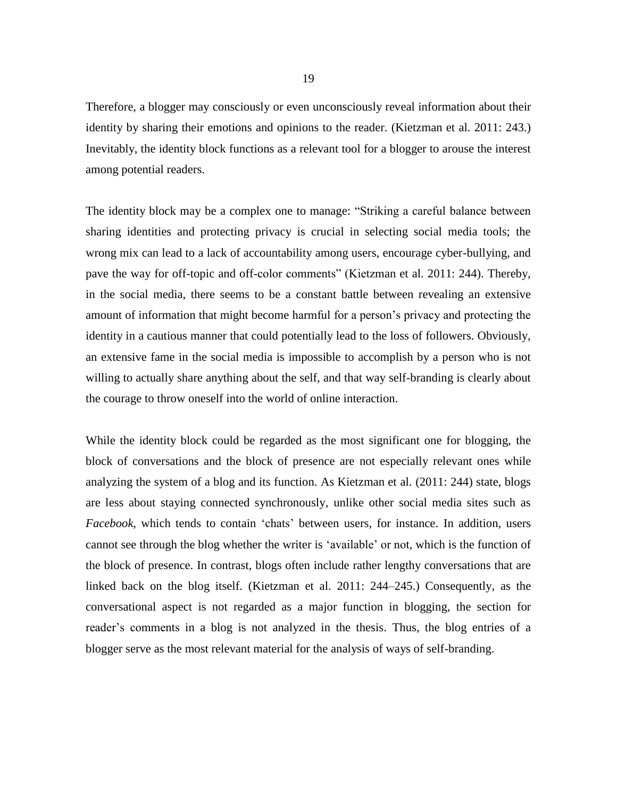Therefore, a blogger may consciously or even unconsciously reveal information about their identity by sharing their emotions and opinions to the reader. (Kietzman et al. 2011: 243.) Inevitably, the identity block functions as a relevant tool for a blogger to arouse the interest among potential readers.

The identity block may be a complex one to manage: "Striking a careful balance between sharing identities and protecting privacy is crucial in selecting social media tools; the wrong mix can lead to a lack of accountability among users, encourage cyber-bullying, and pave the way for off-topic and off-color comments" (Kietzman et al. 2011: 244). Thereby, in the social media, there seems to be a constant battle between revealing an extensive amount of information that might become harmful for a person's privacy and protecting the identity in a cautious manner that could potentially lead to the loss of followers. Obviously, an extensive fame in the social media is impossible to accomplish by a person who is not willing to actually share anything about the self, and that way self-branding is clearly about the courage to throw oneself into the world of online interaction.

While the identity block could be regarded as the most significant one for blogging, the block of conversations and the block of presence are not especially relevant ones while analyzing the system of a blog and its function. As Kietzman et al. (2011: 244) state, blogs are less about staying connected synchronously, unlike other social media sites such as *Facebook*, which tends to contain 'chats' between users, for instance. In addition, users cannot see through the blog whether the writer is 'available' or not, which is the function of the block of presence. In contrast, blogs often include rather lengthy conversations that are linked back on the blog itself. (Kietzman et al. 2011: 244–245.) Consequently, as the conversational aspect is not regarded as a major function in blogging, the section for reader's comments in a blog is not analyzed in the thesis. Thus, the blog entries of a blogger serve as the most relevant material for the analysis of ways of self-branding.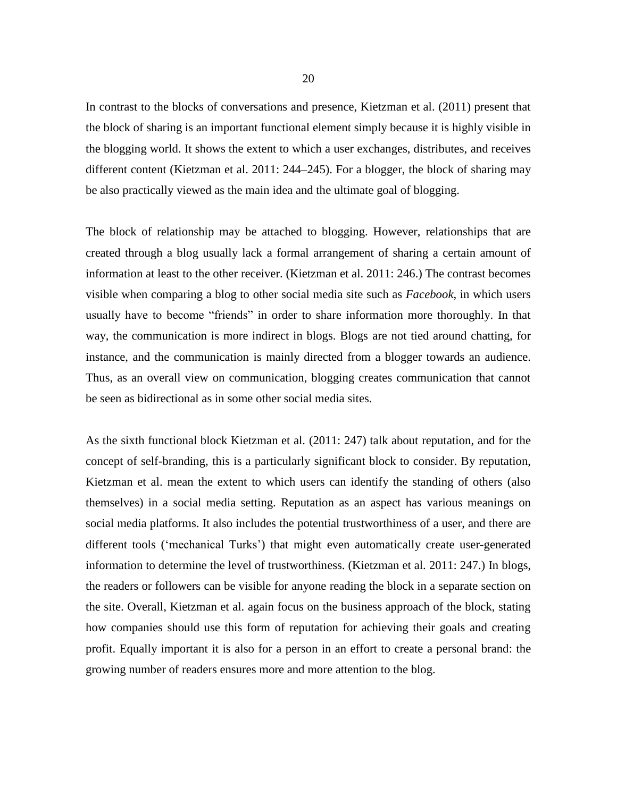In contrast to the blocks of conversations and presence, Kietzman et al. (2011) present that the block of sharing is an important functional element simply because it is highly visible in the blogging world. It shows the extent to which a user exchanges, distributes, and receives different content (Kietzman et al. 2011: 244–245). For a blogger, the block of sharing may be also practically viewed as the main idea and the ultimate goal of blogging.

The block of relationship may be attached to blogging. However, relationships that are created through a blog usually lack a formal arrangement of sharing a certain amount of information at least to the other receiver. (Kietzman et al. 2011: 246.) The contrast becomes visible when comparing a blog to other social media site such as *Facebook*, in which users usually have to become "friends" in order to share information more thoroughly. In that way, the communication is more indirect in blogs. Blogs are not tied around chatting, for instance, and the communication is mainly directed from a blogger towards an audience. Thus, as an overall view on communication, blogging creates communication that cannot be seen as bidirectional as in some other social media sites.

As the sixth functional block Kietzman et al. (2011: 247) talk about reputation, and for the concept of self-branding, this is a particularly significant block to consider. By reputation, Kietzman et al. mean the extent to which users can identify the standing of others (also themselves) in a social media setting. Reputation as an aspect has various meanings on social media platforms. It also includes the potential trustworthiness of a user, and there are different tools ('mechanical Turks') that might even automatically create user-generated information to determine the level of trustworthiness. (Kietzman et al. 2011: 247.) In blogs, the readers or followers can be visible for anyone reading the block in a separate section on the site. Overall, Kietzman et al. again focus on the business approach of the block, stating how companies should use this form of reputation for achieving their goals and creating profit. Equally important it is also for a person in an effort to create a personal brand: the growing number of readers ensures more and more attention to the blog.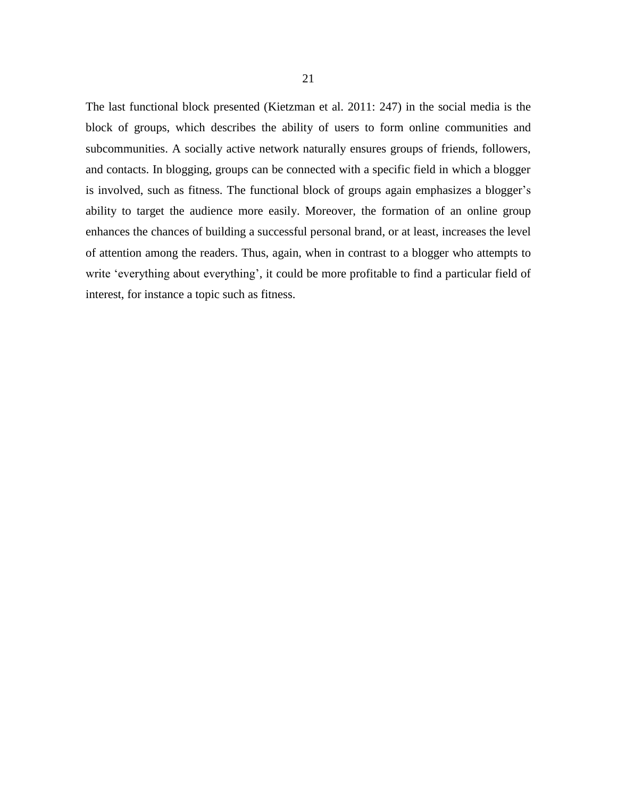The last functional block presented (Kietzman et al. 2011: 247) in the social media is the block of groups, which describes the ability of users to form online communities and subcommunities. A socially active network naturally ensures groups of friends, followers, and contacts. In blogging, groups can be connected with a specific field in which a blogger is involved, such as fitness. The functional block of groups again emphasizes a blogger's ability to target the audience more easily. Moreover, the formation of an online group enhances the chances of building a successful personal brand, or at least, increases the level of attention among the readers. Thus, again, when in contrast to a blogger who attempts to write 'everything about everything', it could be more profitable to find a particular field of interest, for instance a topic such as fitness.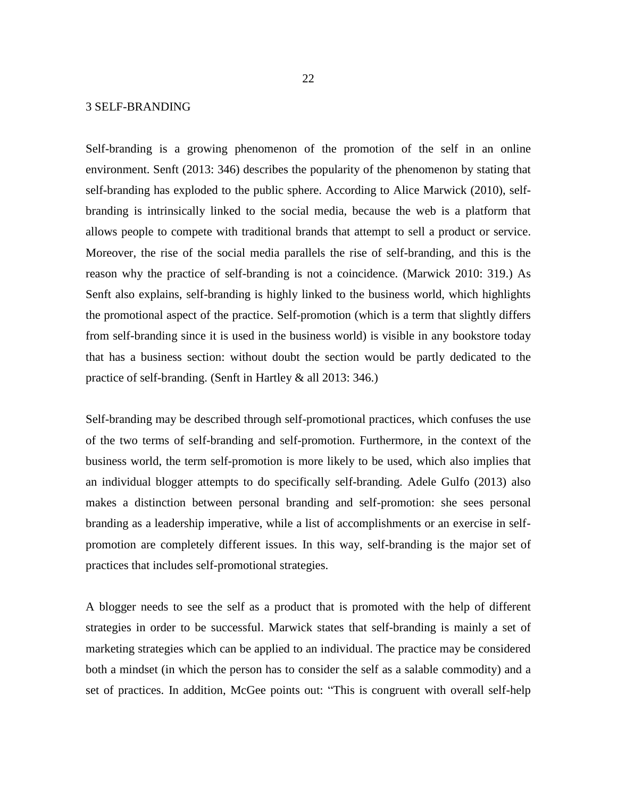### 3 SELF-BRANDING

Self-branding is a growing phenomenon of the promotion of the self in an online environment. Senft (2013: 346) describes the popularity of the phenomenon by stating that self-branding has exploded to the public sphere. According to Alice Marwick (2010), selfbranding is intrinsically linked to the social media, because the web is a platform that allows people to compete with traditional brands that attempt to sell a product or service. Moreover, the rise of the social media parallels the rise of self-branding, and this is the reason why the practice of self-branding is not a coincidence. (Marwick 2010: 319.) As Senft also explains, self-branding is highly linked to the business world, which highlights the promotional aspect of the practice. Self-promotion (which is a term that slightly differs from self-branding since it is used in the business world) is visible in any bookstore today that has a business section: without doubt the section would be partly dedicated to the practice of self-branding. (Senft in Hartley & all 2013: 346.)

Self-branding may be described through self-promotional practices, which confuses the use of the two terms of self-branding and self-promotion. Furthermore, in the context of the business world, the term self-promotion is more likely to be used, which also implies that an individual blogger attempts to do specifically self-branding. Adele Gulfo (2013) also makes a distinction between personal branding and self-promotion: she sees personal branding as a leadership imperative, while a list of accomplishments or an exercise in selfpromotion are completely different issues. In this way, self-branding is the major set of practices that includes self-promotional strategies.

A blogger needs to see the self as a product that is promoted with the help of different strategies in order to be successful. Marwick states that self-branding is mainly a set of marketing strategies which can be applied to an individual. The practice may be considered both a mindset (in which the person has to consider the self as a salable commodity) and a set of practices. In addition, McGee points out: "This is congruent with overall self-help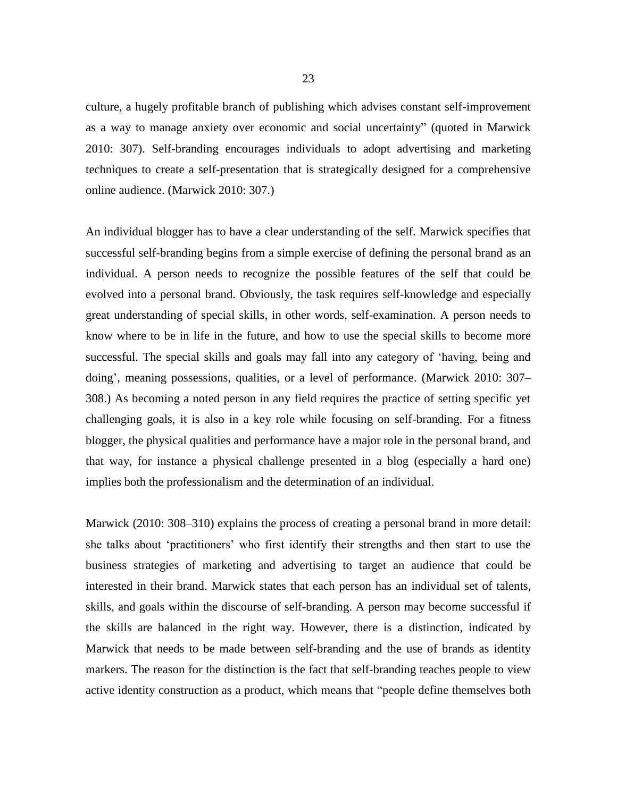culture, a hugely profitable branch of publishing which advises constant self-improvement as a way to manage anxiety over economic and social uncertainty" (quoted in Marwick 2010: 307). Self-branding encourages individuals to adopt advertising and marketing techniques to create a self-presentation that is strategically designed for a comprehensive online audience. (Marwick 2010: 307.)

An individual blogger has to have a clear understanding of the self. Marwick specifies that successful self-branding begins from a simple exercise of defining the personal brand as an individual. A person needs to recognize the possible features of the self that could be evolved into a personal brand. Obviously, the task requires self-knowledge and especially great understanding of special skills, in other words, self-examination. A person needs to know where to be in life in the future, and how to use the special skills to become more successful. The special skills and goals may fall into any category of 'having, being and doing', meaning possessions, qualities, or a level of performance. (Marwick 2010: 307– 308.) As becoming a noted person in any field requires the practice of setting specific yet challenging goals, it is also in a key role while focusing on self-branding. For a fitness blogger, the physical qualities and performance have a major role in the personal brand, and that way, for instance a physical challenge presented in a blog (especially a hard one) implies both the professionalism and the determination of an individual.

Marwick (2010: 308–310) explains the process of creating a personal brand in more detail: she talks about 'practitioners' who first identify their strengths and then start to use the business strategies of marketing and advertising to target an audience that could be interested in their brand. Marwick states that each person has an individual set of talents, skills, and goals within the discourse of self-branding. A person may become successful if the skills are balanced in the right way. However, there is a distinction, indicated by Marwick that needs to be made between self-branding and the use of brands as identity markers. The reason for the distinction is the fact that self-branding teaches people to view active identity construction as a product, which means that "people define themselves both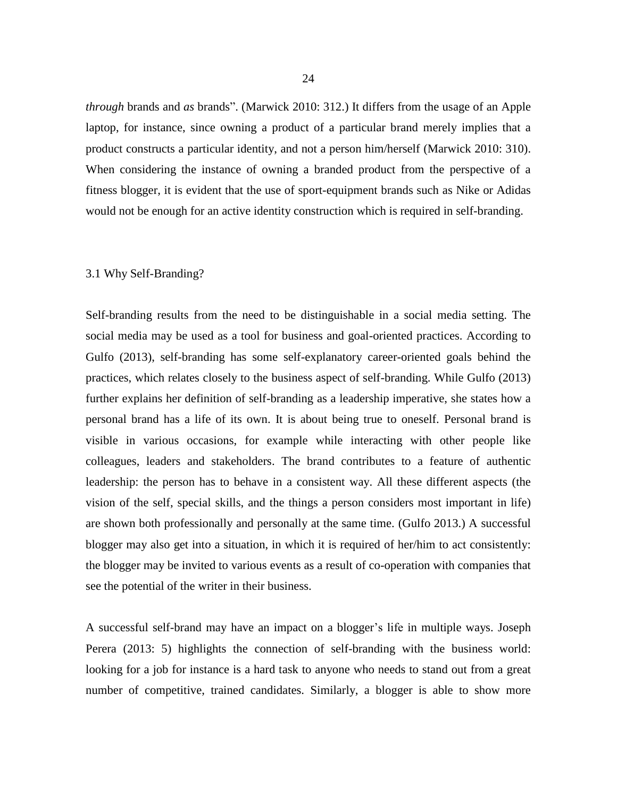*through* brands and *as* brands". (Marwick 2010: 312.) It differs from the usage of an Apple laptop, for instance, since owning a product of a particular brand merely implies that a product constructs a particular identity, and not a person him/herself (Marwick 2010: 310). When considering the instance of owning a branded product from the perspective of a fitness blogger, it is evident that the use of sport-equipment brands such as Nike or Adidas would not be enough for an active identity construction which is required in self-branding.

### 3.1 Why Self-Branding?

Self-branding results from the need to be distinguishable in a social media setting. The social media may be used as a tool for business and goal-oriented practices. According to Gulfo (2013), self-branding has some self-explanatory career-oriented goals behind the practices, which relates closely to the business aspect of self-branding. While Gulfo (2013) further explains her definition of self-branding as a leadership imperative, she states how a personal brand has a life of its own. It is about being true to oneself. Personal brand is visible in various occasions, for example while interacting with other people like colleagues, leaders and stakeholders. The brand contributes to a feature of authentic leadership: the person has to behave in a consistent way. All these different aspects (the vision of the self, special skills, and the things a person considers most important in life) are shown both professionally and personally at the same time. (Gulfo 2013.) A successful blogger may also get into a situation, in which it is required of her/him to act consistently: the blogger may be invited to various events as a result of co-operation with companies that see the potential of the writer in their business.

A successful self-brand may have an impact on a blogger's life in multiple ways. Joseph Perera (2013: 5) highlights the connection of self-branding with the business world: looking for a job for instance is a hard task to anyone who needs to stand out from a great number of competitive, trained candidates. Similarly, a blogger is able to show more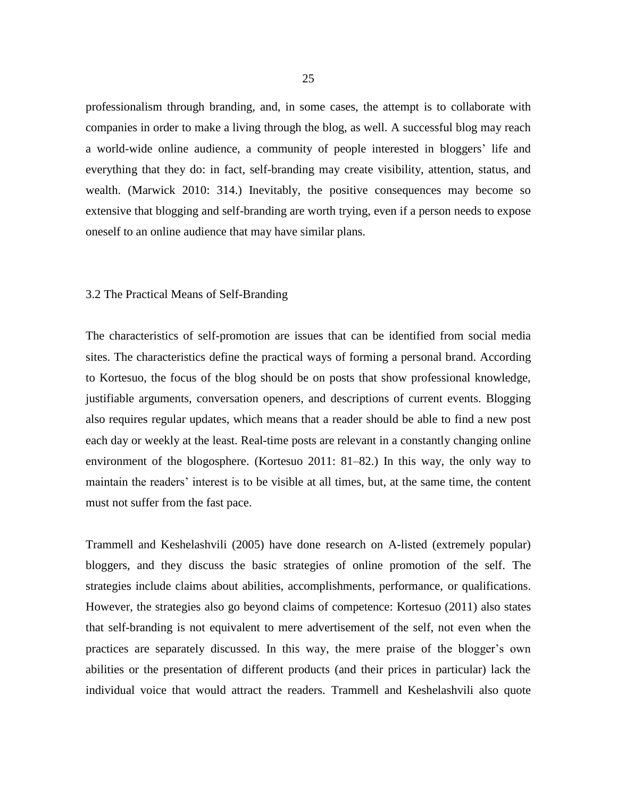professionalism through branding, and, in some cases, the attempt is to collaborate with companies in order to make a living through the blog, as well. A successful blog may reach a world-wide online audience, a community of people interested in bloggers' life and everything that they do: in fact, self-branding may create visibility, attention, status, and wealth. (Marwick 2010: 314.) Inevitably, the positive consequences may become so extensive that blogging and self-branding are worth trying, even if a person needs to expose oneself to an online audience that may have similar plans.

#### 3.2 The Practical Means of Self-Branding

The characteristics of self-promotion are issues that can be identified from social media sites. The characteristics define the practical ways of forming a personal brand. According to Kortesuo, the focus of the blog should be on posts that show professional knowledge, justifiable arguments, conversation openers, and descriptions of current events. Blogging also requires regular updates, which means that a reader should be able to find a new post each day or weekly at the least. Real-time posts are relevant in a constantly changing online environment of the blogosphere. (Kortesuo 2011: 81–82.) In this way, the only way to maintain the readers' interest is to be visible at all times, but, at the same time, the content must not suffer from the fast pace.

Trammell and Keshelashvili (2005) have done research on A-listed (extremely popular) bloggers, and they discuss the basic strategies of online promotion of the self. The strategies include claims about abilities, accomplishments, performance, or qualifications. However, the strategies also go beyond claims of competence: Kortesuo (2011) also states that self-branding is not equivalent to mere advertisement of the self, not even when the practices are separately discussed. In this way, the mere praise of the blogger's own abilities or the presentation of different products (and their prices in particular) lack the individual voice that would attract the readers. Trammell and Keshelashvili also quote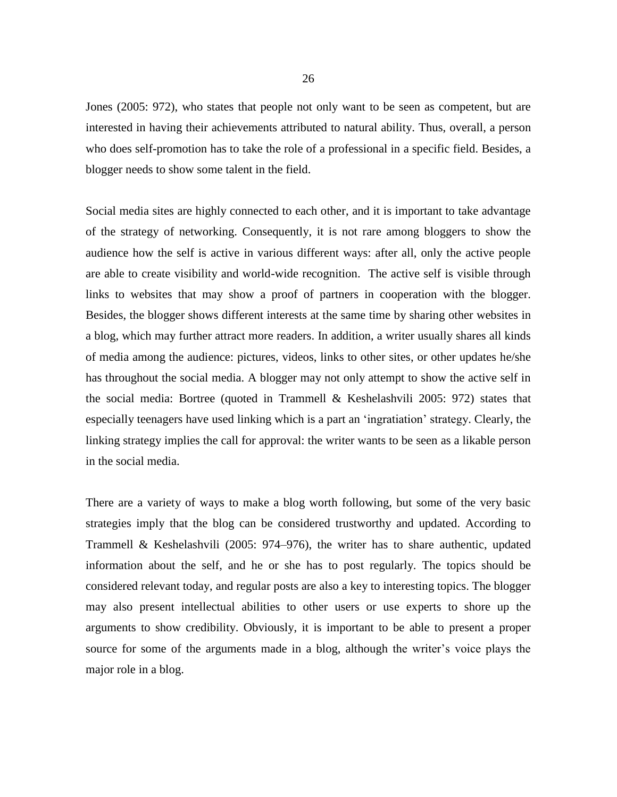Jones (2005: 972), who states that people not only want to be seen as competent, but are interested in having their achievements attributed to natural ability. Thus, overall, a person who does self-promotion has to take the role of a professional in a specific field. Besides, a blogger needs to show some talent in the field.

Social media sites are highly connected to each other, and it is important to take advantage of the strategy of networking. Consequently, it is not rare among bloggers to show the audience how the self is active in various different ways: after all, only the active people are able to create visibility and world-wide recognition. The active self is visible through links to websites that may show a proof of partners in cooperation with the blogger. Besides, the blogger shows different interests at the same time by sharing other websites in a blog, which may further attract more readers. In addition, a writer usually shares all kinds of media among the audience: pictures, videos, links to other sites, or other updates he/she has throughout the social media. A blogger may not only attempt to show the active self in the social media: Bortree (quoted in Trammell & Keshelashvili 2005: 972) states that especially teenagers have used linking which is a part an 'ingratiation' strategy. Clearly, the linking strategy implies the call for approval: the writer wants to be seen as a likable person in the social media.

There are a variety of ways to make a blog worth following, but some of the very basic strategies imply that the blog can be considered trustworthy and updated. According to Trammell & Keshelashvili (2005: 974–976), the writer has to share authentic, updated information about the self, and he or she has to post regularly. The topics should be considered relevant today, and regular posts are also a key to interesting topics. The blogger may also present intellectual abilities to other users or use experts to shore up the arguments to show credibility. Obviously, it is important to be able to present a proper source for some of the arguments made in a blog, although the writer's voice plays the major role in a blog.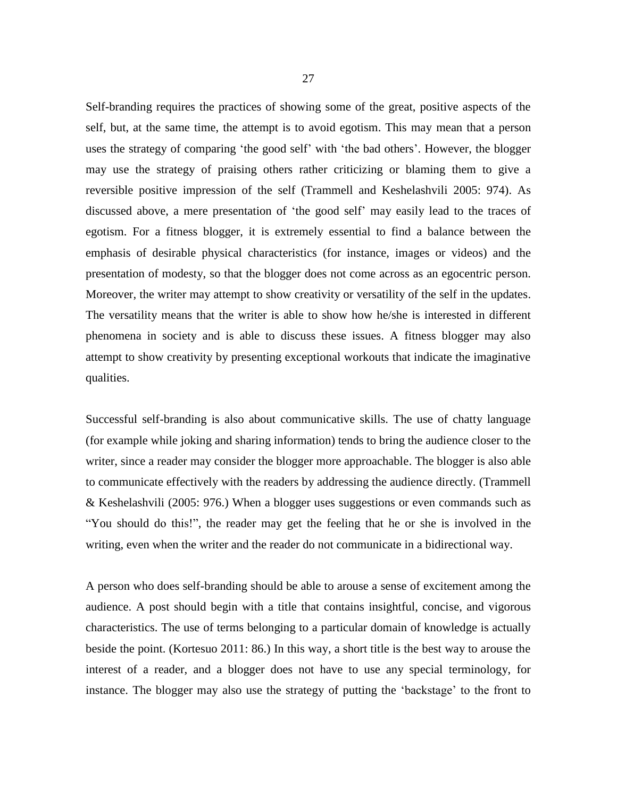Self-branding requires the practices of showing some of the great, positive aspects of the self, but, at the same time, the attempt is to avoid egotism. This may mean that a person uses the strategy of comparing 'the good self' with 'the bad others'. However, the blogger may use the strategy of praising others rather criticizing or blaming them to give a reversible positive impression of the self (Trammell and Keshelashvili 2005: 974). As discussed above, a mere presentation of 'the good self' may easily lead to the traces of egotism. For a fitness blogger, it is extremely essential to find a balance between the emphasis of desirable physical characteristics (for instance, images or videos) and the presentation of modesty, so that the blogger does not come across as an egocentric person. Moreover, the writer may attempt to show creativity or versatility of the self in the updates. The versatility means that the writer is able to show how he/she is interested in different phenomena in society and is able to discuss these issues. A fitness blogger may also attempt to show creativity by presenting exceptional workouts that indicate the imaginative qualities.

Successful self-branding is also about communicative skills. The use of chatty language (for example while joking and sharing information) tends to bring the audience closer to the writer, since a reader may consider the blogger more approachable. The blogger is also able to communicate effectively with the readers by addressing the audience directly. (Trammell & Keshelashvili (2005: 976.) When a blogger uses suggestions or even commands such as "You should do this!", the reader may get the feeling that he or she is involved in the writing, even when the writer and the reader do not communicate in a bidirectional way.

A person who does self-branding should be able to arouse a sense of excitement among the audience. A post should begin with a title that contains insightful, concise, and vigorous characteristics. The use of terms belonging to a particular domain of knowledge is actually beside the point. (Kortesuo 2011: 86.) In this way, a short title is the best way to arouse the interest of a reader, and a blogger does not have to use any special terminology, for instance. The blogger may also use the strategy of putting the 'backstage' to the front to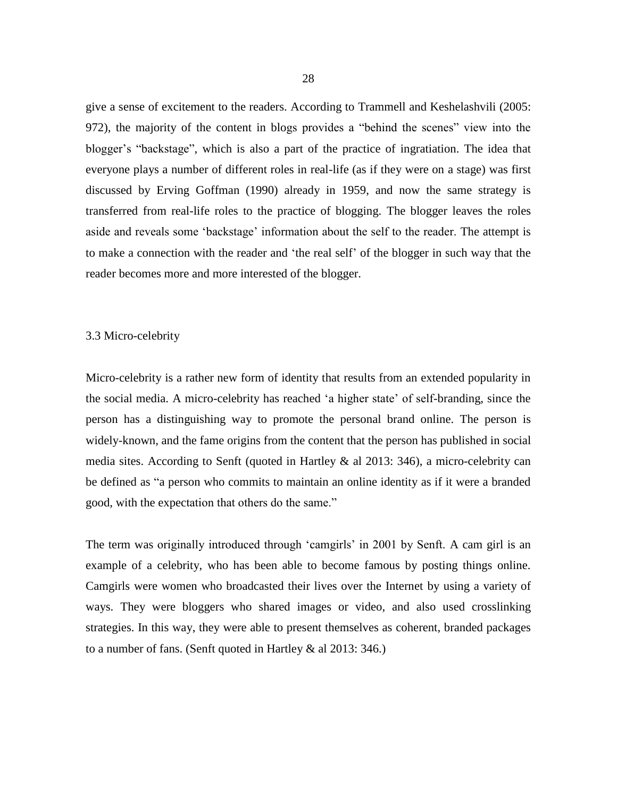give a sense of excitement to the readers. According to Trammell and Keshelashvili (2005: 972), the majority of the content in blogs provides a "behind the scenes" view into the blogger's "backstage", which is also a part of the practice of ingratiation. The idea that everyone plays a number of different roles in real-life (as if they were on a stage) was first discussed by Erving Goffman (1990) already in 1959, and now the same strategy is transferred from real-life roles to the practice of blogging. The blogger leaves the roles aside and reveals some 'backstage' information about the self to the reader. The attempt is to make a connection with the reader and 'the real self' of the blogger in such way that the reader becomes more and more interested of the blogger.

#### 3.3 Micro-celebrity

Micro-celebrity is a rather new form of identity that results from an extended popularity in the social media. A micro-celebrity has reached 'a higher state' of self-branding, since the person has a distinguishing way to promote the personal brand online. The person is widely-known, and the fame origins from the content that the person has published in social media sites. According to Senft (quoted in Hartley & al 2013: 346), a micro-celebrity can be defined as "a person who commits to maintain an online identity as if it were a branded good, with the expectation that others do the same."

The term was originally introduced through 'camgirls' in 2001 by Senft. A cam girl is an example of a celebrity, who has been able to become famous by posting things online. Camgirls were women who broadcasted their lives over the Internet by using a variety of ways. They were bloggers who shared images or video, and also used crosslinking strategies. In this way, they were able to present themselves as coherent, branded packages to a number of fans. (Senft quoted in Hartley & al 2013: 346.)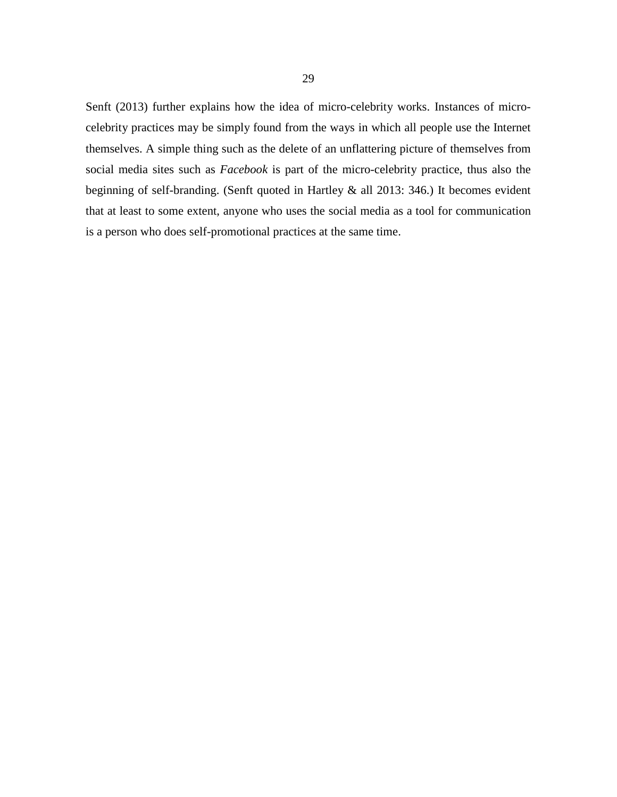Senft (2013) further explains how the idea of micro-celebrity works. Instances of microcelebrity practices may be simply found from the ways in which all people use the Internet themselves. A simple thing such as the delete of an unflattering picture of themselves from social media sites such as *Facebook* is part of the micro-celebrity practice, thus also the beginning of self-branding. (Senft quoted in Hartley & all 2013: 346.) It becomes evident that at least to some extent, anyone who uses the social media as a tool for communication is a person who does self-promotional practices at the same time.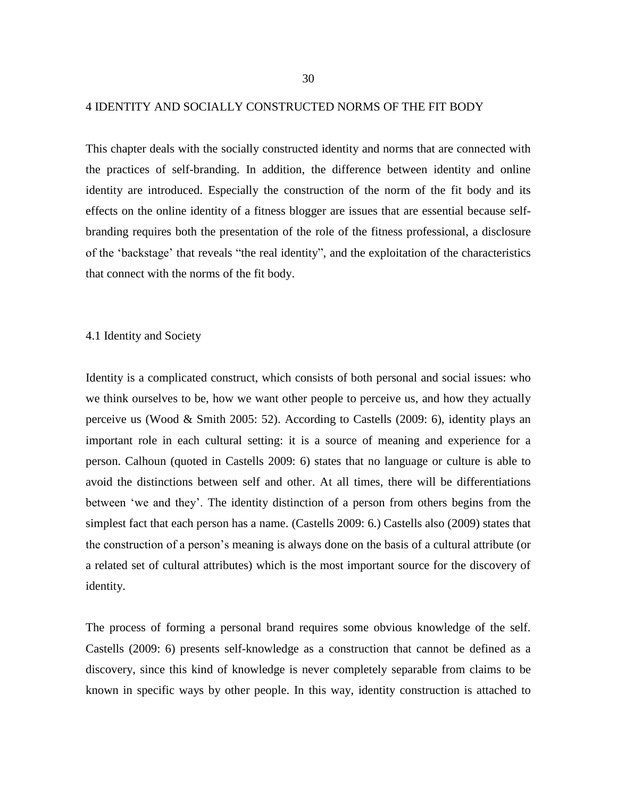#### 4 IDENTITY AND SOCIALLY CONSTRUCTED NORMS OF THE FIT BODY

This chapter deals with the socially constructed identity and norms that are connected with the practices of self-branding. In addition, the difference between identity and online identity are introduced. Especially the construction of the norm of the fit body and its effects on the online identity of a fitness blogger are issues that are essential because selfbranding requires both the presentation of the role of the fitness professional, a disclosure of the 'backstage' that reveals "the real identity", and the exploitation of the characteristics that connect with the norms of the fit body.

### 4.1 Identity and Society

Identity is a complicated construct, which consists of both personal and social issues: who we think ourselves to be, how we want other people to perceive us, and how they actually perceive us (Wood & Smith 2005: 52). According to Castells (2009: 6), identity plays an important role in each cultural setting: it is a source of meaning and experience for a person. Calhoun (quoted in Castells 2009: 6) states that no language or culture is able to avoid the distinctions between self and other. At all times, there will be differentiations between 'we and they'. The identity distinction of a person from others begins from the simplest fact that each person has a name. (Castells 2009: 6.) Castells also (2009) states that the construction of a person's meaning is always done on the basis of a cultural attribute (or a related set of cultural attributes) which is the most important source for the discovery of identity.

The process of forming a personal brand requires some obvious knowledge of the self. Castells (2009: 6) presents self-knowledge as a construction that cannot be defined as a discovery, since this kind of knowledge is never completely separable from claims to be known in specific ways by other people. In this way, identity construction is attached to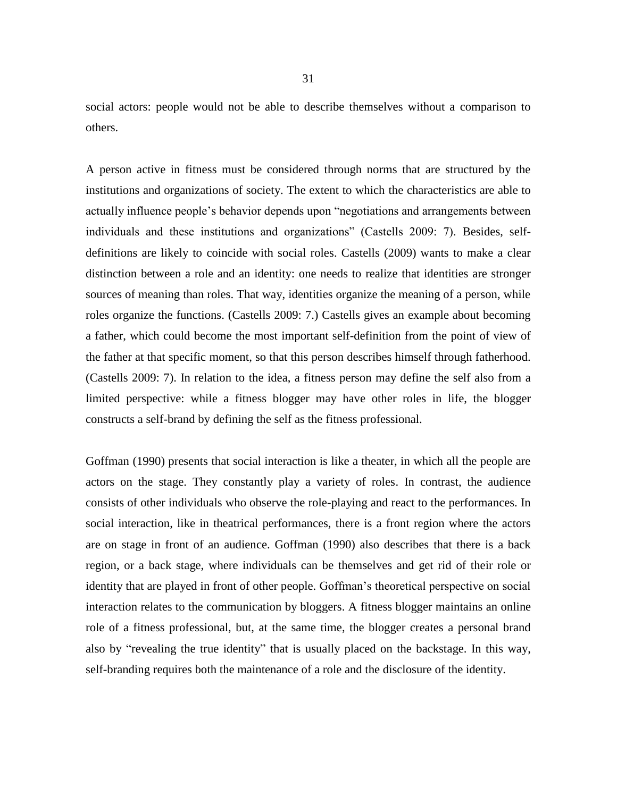social actors: people would not be able to describe themselves without a comparison to others.

A person active in fitness must be considered through norms that are structured by the institutions and organizations of society. The extent to which the characteristics are able to actually influence people's behavior depends upon "negotiations and arrangements between individuals and these institutions and organizations" (Castells 2009: 7). Besides, selfdefinitions are likely to coincide with social roles. Castells (2009) wants to make a clear distinction between a role and an identity: one needs to realize that identities are stronger sources of meaning than roles. That way, identities organize the meaning of a person, while roles organize the functions. (Castells 2009: 7.) Castells gives an example about becoming a father, which could become the most important self-definition from the point of view of the father at that specific moment, so that this person describes himself through fatherhood. (Castells 2009: 7). In relation to the idea, a fitness person may define the self also from a limited perspective: while a fitness blogger may have other roles in life, the blogger constructs a self-brand by defining the self as the fitness professional.

Goffman (1990) presents that social interaction is like a theater, in which all the people are actors on the stage. They constantly play a variety of roles. In contrast, the audience consists of other individuals who observe the role-playing and react to the performances. In social interaction, like in theatrical performances, there is a front region where the actors are on stage in front of an audience. Goffman (1990) also describes that there is a back region, or a back stage, where individuals can be themselves and get rid of their role or identity that are played in front of other people. Goffman's theoretical perspective on social interaction relates to the communication by bloggers. A fitness blogger maintains an online role of a fitness professional, but, at the same time, the blogger creates a personal brand also by "revealing the true identity" that is usually placed on the backstage. In this way, self-branding requires both the maintenance of a role and the disclosure of the identity.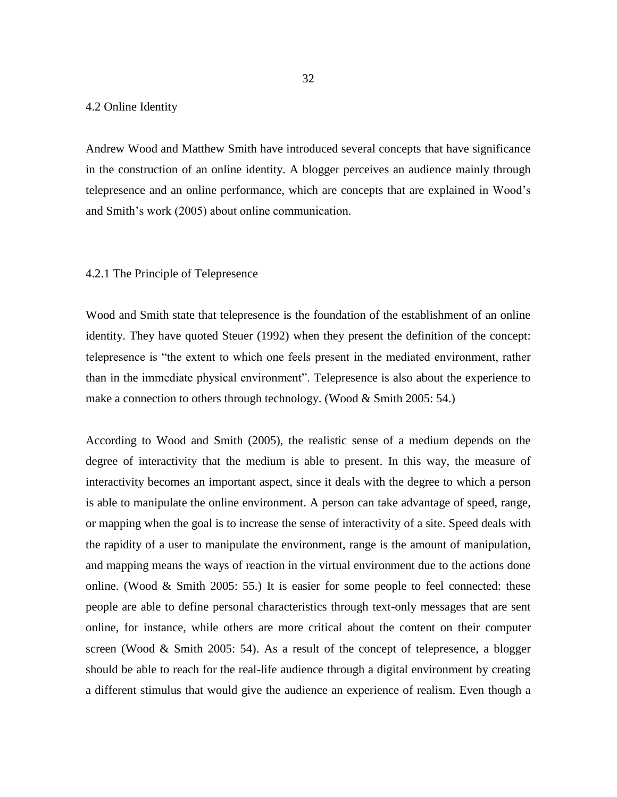### 4.2 Online Identity

Andrew Wood and Matthew Smith have introduced several concepts that have significance in the construction of an online identity. A blogger perceives an audience mainly through telepresence and an online performance, which are concepts that are explained in Wood's and Smith's work (2005) about online communication.

### 4.2.1 The Principle of Telepresence

Wood and Smith state that telepresence is the foundation of the establishment of an online identity. They have quoted Steuer (1992) when they present the definition of the concept: telepresence is "the extent to which one feels present in the mediated environment, rather than in the immediate physical environment". Telepresence is also about the experience to make a connection to others through technology. (Wood & Smith 2005: 54.)

According to Wood and Smith (2005), the realistic sense of a medium depends on the degree of interactivity that the medium is able to present. In this way, the measure of interactivity becomes an important aspect, since it deals with the degree to which a person is able to manipulate the online environment. A person can take advantage of speed, range, or mapping when the goal is to increase the sense of interactivity of a site. Speed deals with the rapidity of a user to manipulate the environment, range is the amount of manipulation, and mapping means the ways of reaction in the virtual environment due to the actions done online. (Wood & Smith 2005: 55.) It is easier for some people to feel connected: these people are able to define personal characteristics through text-only messages that are sent online, for instance, while others are more critical about the content on their computer screen (Wood  $\&$  Smith 2005: 54). As a result of the concept of telepresence, a blogger should be able to reach for the real-life audience through a digital environment by creating a different stimulus that would give the audience an experience of realism. Even though a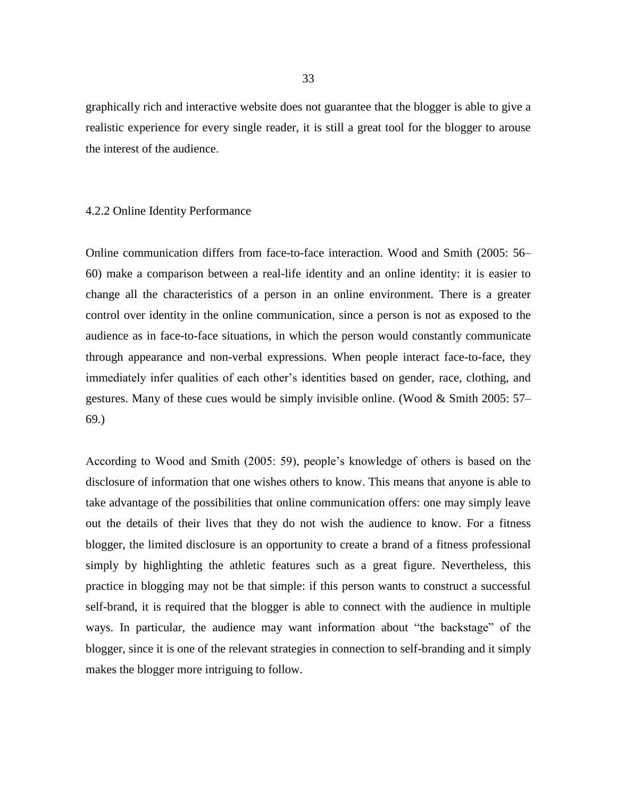graphically rich and interactive website does not guarantee that the blogger is able to give a realistic experience for every single reader, it is still a great tool for the blogger to arouse the interest of the audience.

#### 4.2.2 Online Identity Performance

Online communication differs from face-to-face interaction. Wood and Smith (2005: 56– 60) make a comparison between a real-life identity and an online identity: it is easier to change all the characteristics of a person in an online environment. There is a greater control over identity in the online communication, since a person is not as exposed to the audience as in face-to-face situations, in which the person would constantly communicate through appearance and non-verbal expressions. When people interact face-to-face, they immediately infer qualities of each other's identities based on gender, race, clothing, and gestures. Many of these cues would be simply invisible online. (Wood & Smith 2005: 57– 69.)

According to Wood and Smith (2005: 59), people's knowledge of others is based on the disclosure of information that one wishes others to know. This means that anyone is able to take advantage of the possibilities that online communication offers: one may simply leave out the details of their lives that they do not wish the audience to know. For a fitness blogger, the limited disclosure is an opportunity to create a brand of a fitness professional simply by highlighting the athletic features such as a great figure. Nevertheless, this practice in blogging may not be that simple: if this person wants to construct a successful self-brand, it is required that the blogger is able to connect with the audience in multiple ways. In particular, the audience may want information about "the backstage" of the blogger, since it is one of the relevant strategies in connection to self-branding and it simply makes the blogger more intriguing to follow.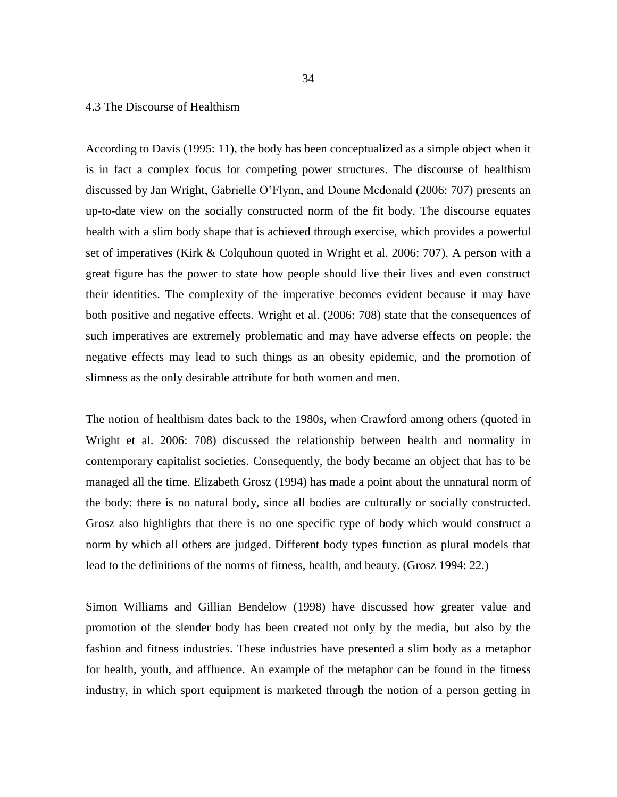### 4.3 The Discourse of Healthism

According to Davis (1995: 11), the body has been conceptualized as a simple object when it is in fact a complex focus for competing power structures. The discourse of healthism discussed by Jan Wright, Gabrielle O'Flynn, and Doune Mcdonald (2006: 707) presents an up-to-date view on the socially constructed norm of the fit body. The discourse equates health with a slim body shape that is achieved through exercise, which provides a powerful set of imperatives (Kirk & Colquhoun quoted in Wright et al. 2006: 707). A person with a great figure has the power to state how people should live their lives and even construct their identities. The complexity of the imperative becomes evident because it may have both positive and negative effects. Wright et al. (2006: 708) state that the consequences of such imperatives are extremely problematic and may have adverse effects on people: the negative effects may lead to such things as an obesity epidemic, and the promotion of slimness as the only desirable attribute for both women and men.

The notion of healthism dates back to the 1980s, when Crawford among others (quoted in Wright et al. 2006: 708) discussed the relationship between health and normality in contemporary capitalist societies. Consequently, the body became an object that has to be managed all the time. Elizabeth Grosz (1994) has made a point about the unnatural norm of the body: there is no natural body, since all bodies are culturally or socially constructed. Grosz also highlights that there is no one specific type of body which would construct a norm by which all others are judged. Different body types function as plural models that lead to the definitions of the norms of fitness, health, and beauty. (Grosz 1994: 22.)

Simon Williams and Gillian Bendelow (1998) have discussed how greater value and promotion of the slender body has been created not only by the media, but also by the fashion and fitness industries. These industries have presented a slim body as a metaphor for health, youth, and affluence. An example of the metaphor can be found in the fitness industry, in which sport equipment is marketed through the notion of a person getting in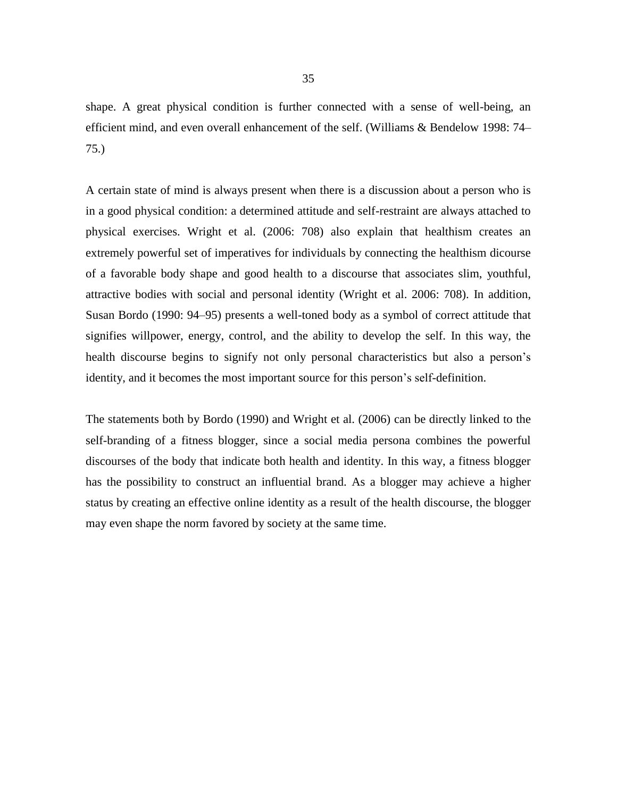shape. A great physical condition is further connected with a sense of well-being, an efficient mind, and even overall enhancement of the self. (Williams & Bendelow 1998: 74– 75.)

A certain state of mind is always present when there is a discussion about a person who is in a good physical condition: a determined attitude and self-restraint are always attached to physical exercises. Wright et al. (2006: 708) also explain that healthism creates an extremely powerful set of imperatives for individuals by connecting the healthism dicourse of a favorable body shape and good health to a discourse that associates slim, youthful, attractive bodies with social and personal identity (Wright et al. 2006: 708). In addition, Susan Bordo (1990: 94–95) presents a well-toned body as a symbol of correct attitude that signifies willpower, energy, control, and the ability to develop the self. In this way, the health discourse begins to signify not only personal characteristics but also a person's identity, and it becomes the most important source for this person's self-definition.

The statements both by Bordo (1990) and Wright et al. (2006) can be directly linked to the self-branding of a fitness blogger, since a social media persona combines the powerful discourses of the body that indicate both health and identity. In this way, a fitness blogger has the possibility to construct an influential brand. As a blogger may achieve a higher status by creating an effective online identity as a result of the health discourse, the blogger may even shape the norm favored by society at the same time.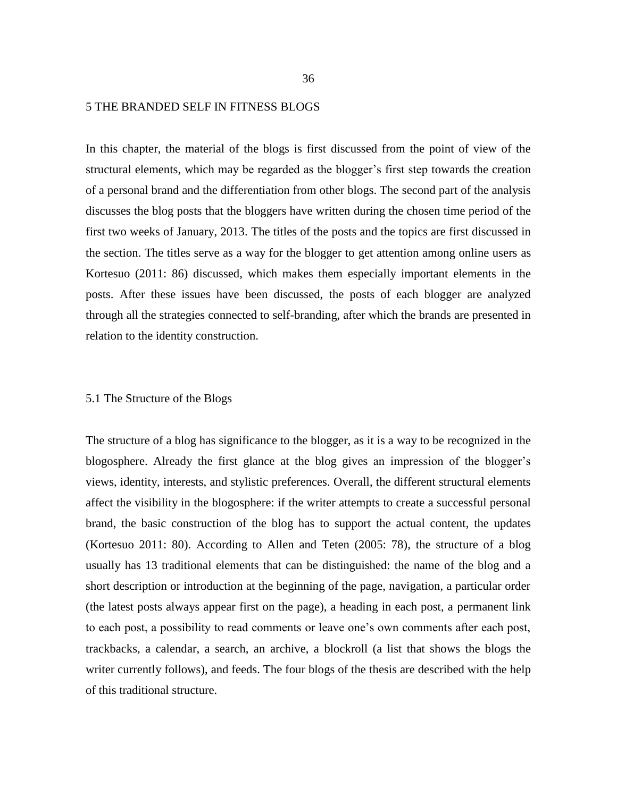#### 5 THE BRANDED SELF IN FITNESS BLOGS

In this chapter, the material of the blogs is first discussed from the point of view of the structural elements, which may be regarded as the blogger's first step towards the creation of a personal brand and the differentiation from other blogs. The second part of the analysis discusses the blog posts that the bloggers have written during the chosen time period of the first two weeks of January, 2013. The titles of the posts and the topics are first discussed in the section. The titles serve as a way for the blogger to get attention among online users as Kortesuo (2011: 86) discussed, which makes them especially important elements in the posts. After these issues have been discussed, the posts of each blogger are analyzed through all the strategies connected to self-branding, after which the brands are presented in relation to the identity construction.

# 5.1 The Structure of the Blogs

The structure of a blog has significance to the blogger, as it is a way to be recognized in the blogosphere. Already the first glance at the blog gives an impression of the blogger's views, identity, interests, and stylistic preferences. Overall, the different structural elements affect the visibility in the blogosphere: if the writer attempts to create a successful personal brand, the basic construction of the blog has to support the actual content, the updates (Kortesuo 2011: 80). According to Allen and Teten (2005: 78), the structure of a blog usually has 13 traditional elements that can be distinguished: the name of the blog and a short description or introduction at the beginning of the page, navigation, a particular order (the latest posts always appear first on the page), a heading in each post, a permanent link to each post, a possibility to read comments or leave one's own comments after each post, trackbacks, a calendar, a search, an archive, a blockroll (a list that shows the blogs the writer currently follows), and feeds. The four blogs of the thesis are described with the help of this traditional structure.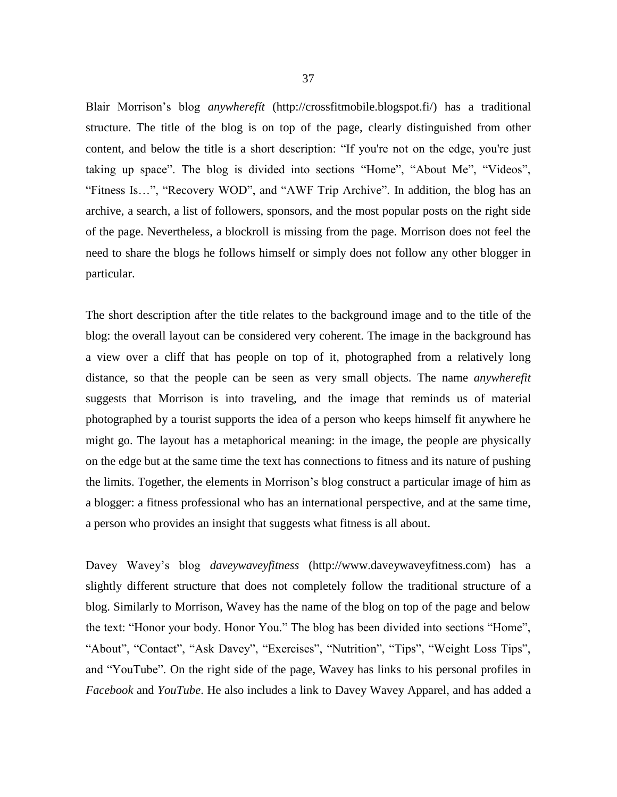Blair Morrison's blog *anywherefít* [\(http://crossfitmobile.blogspot.fi/\)](http://crossfitmobile.blogspot.fi/) has a traditional structure. The title of the blog is on top of the page, clearly distinguished from other content, and below the title is a short description: "If you're not on the edge, you're just taking up space". The blog is divided into sections "Home", "About Me", "Videos", "Fitness Is…", "Recovery WOD", and "AWF Trip Archive". In addition, the blog has an archive, a search, a list of followers, sponsors, and the most popular posts on the right side of the page. Nevertheless, a blockroll is missing from the page. Morrison does not feel the need to share the blogs he follows himself or simply does not follow any other blogger in particular.

The short description after the title relates to the background image and to the title of the blog: the overall layout can be considered very coherent. The image in the background has a view over a cliff that has people on top of it, photographed from a relatively long distance, so that the people can be seen as very small objects. The name *anywherefit* suggests that Morrison is into traveling, and the image that reminds us of material photographed by a tourist supports the idea of a person who keeps himself fit anywhere he might go. The layout has a metaphorical meaning: in the image, the people are physically on the edge but at the same time the text has connections to fitness and its nature of pushing the limits. Together, the elements in Morrison's blog construct a particular image of him as a blogger: a fitness professional who has an international perspective, and at the same time, a person who provides an insight that suggests what fitness is all about.

Davey Wavey's blog *daveywaveyfitness* [\(http://www.daveywaveyfitness.com\)](http://www.daveywaveyfitness.com/) has a slightly different structure that does not completely follow the traditional structure of a blog. Similarly to Morrison, Wavey has the name of the blog on top of the page and below the text: "Honor your body. Honor You." The blog has been divided into sections "Home", "About", "Contact", "Ask Davey", "Exercises", "Nutrition", "Tips", "Weight Loss Tips", and "YouTube". On the right side of the page, Wavey has links to his personal profiles in *Facebook* and *YouTube*. He also includes a link to Davey Wavey Apparel, and has added a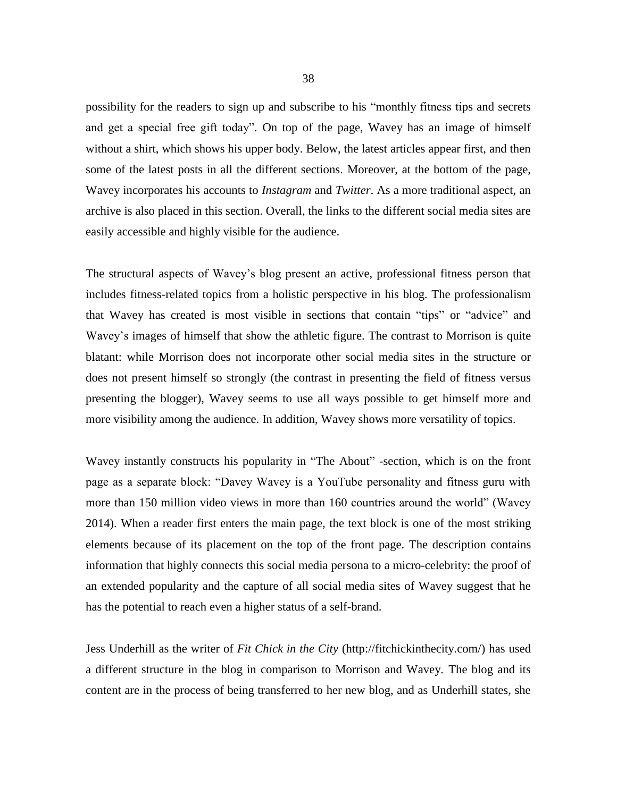possibility for the readers to sign up and subscribe to his "monthly fitness tips and secrets and get a special free gift today". On top of the page, Wavey has an image of himself without a shirt, which shows his upper body. Below, the latest articles appear first, and then some of the latest posts in all the different sections. Moreover, at the bottom of the page, Wavey incorporates his accounts to *Instagram* and *Twitter*. As a more traditional aspect, an archive is also placed in this section. Overall, the links to the different social media sites are easily accessible and highly visible for the audience.

The structural aspects of Wavey's blog present an active, professional fitness person that includes fitness-related topics from a holistic perspective in his blog. The professionalism that Wavey has created is most visible in sections that contain "tips" or "advice" and Wavey's images of himself that show the athletic figure. The contrast to Morrison is quite blatant: while Morrison does not incorporate other social media sites in the structure or does not present himself so strongly (the contrast in presenting the field of fitness versus presenting the blogger), Wavey seems to use all ways possible to get himself more and more visibility among the audience. In addition, Wavey shows more versatility of topics.

Wavey instantly constructs his popularity in "The About" -section, which is on the front page as a separate block: "Davey Wavey is a YouTube personality and fitness guru with more than 150 million video views in more than 160 countries around the world" (Wavey 2014). When a reader first enters the main page, the text block is one of the most striking elements because of its placement on the top of the front page. The description contains information that highly connects this social media persona to a micro-celebrity: the proof of an extended popularity and the capture of all social media sites of Wavey suggest that he has the potential to reach even a higher status of a self-brand.

Jess Underhill as the writer of *Fit Chick in the City* [\(http://fitchickinthecity.com/\)](http://fitchickinthecity.com/) has used a different structure in the blog in comparison to Morrison and Wavey. The blog and its content are in the process of being transferred to her new blog, and as Underhill states, she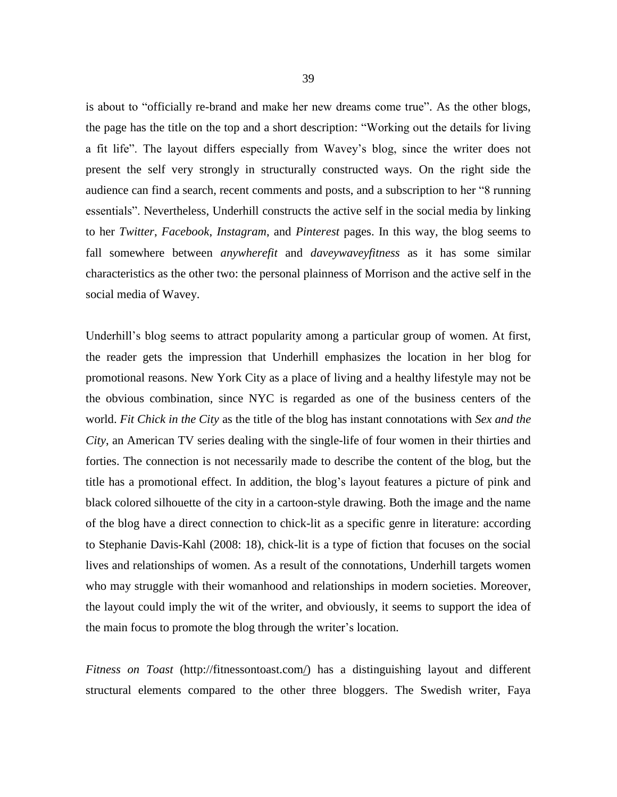is about to "officially re-brand and make her new dreams come true". As the other blogs, the page has the title on the top and a short description: "Working out the details for living a fit life". The layout differs especially from Wavey's blog, since the writer does not present the self very strongly in structurally constructed ways. On the right side the audience can find a search, recent comments and posts, and a subscription to her "8 running essentials". Nevertheless, Underhill constructs the active self in the social media by linking to her *Twitter*, *Facebook*, *Instagram*, and *Pinterest* pages. In this way, the blog seems to fall somewhere between *anywherefit* and *daveywaveyfitness* as it has some similar characteristics as the other two: the personal plainness of Morrison and the active self in the social media of Wavey.

Underhill's blog seems to attract popularity among a particular group of women. At first, the reader gets the impression that Underhill emphasizes the location in her blog for promotional reasons. New York City as a place of living and a healthy lifestyle may not be the obvious combination, since NYC is regarded as one of the business centers of the world. *Fit Chick in the City* as the title of the blog has instant connotations with *Sex and the City*, an American TV series dealing with the single-life of four women in their thirties and forties. The connection is not necessarily made to describe the content of the blog, but the title has a promotional effect. In addition, the blog's layout features a picture of pink and black colored silhouette of the city in a cartoon-style drawing. Both the image and the name of the blog have a direct connection to chick-lit as a specific genre in literature: according to Stephanie Davis-Kahl (2008: 18), chick-lit is a type of fiction that focuses on the social lives and relationships of women. As a result of the connotations, Underhill targets women who may struggle with their womanhood and relationships in modern societies. Moreover, the layout could imply the wit of the writer, and obviously, it seems to support the idea of the main focus to promote the blog through the writer's location.

*Fitness on Toast* [\(http://fitnessontoast.com/\)](http://fitnessontoast.com/) has a distinguishing layout and different structural elements compared to the other three bloggers. The Swedish writer, Faya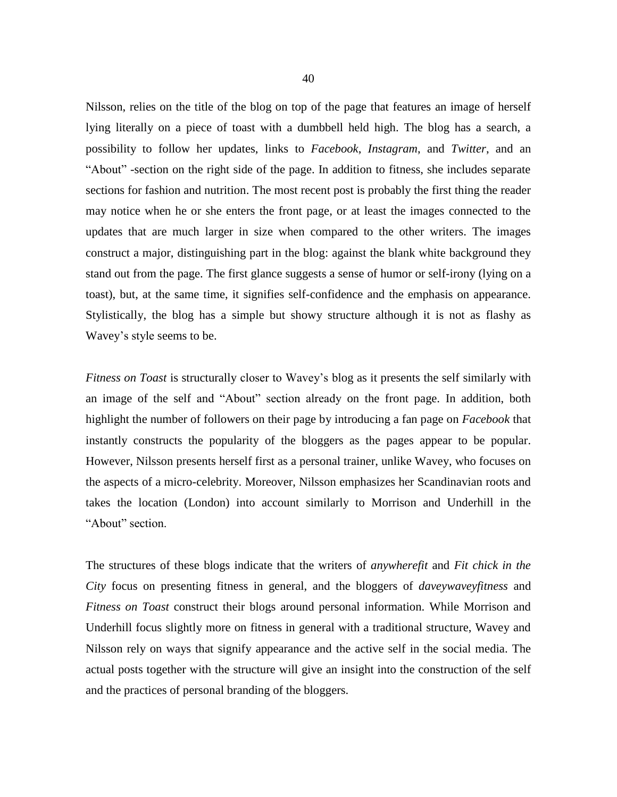Nilsson, relies on the title of the blog on top of the page that features an image of herself lying literally on a piece of toast with a dumbbell held high. The blog has a search, a possibility to follow her updates, links to *Facebook*, *Instagram*, and *Twitter*, and an "About" -section on the right side of the page. In addition to fitness, she includes separate sections for fashion and nutrition. The most recent post is probably the first thing the reader may notice when he or she enters the front page, or at least the images connected to the updates that are much larger in size when compared to the other writers. The images construct a major, distinguishing part in the blog: against the blank white background they stand out from the page. The first glance suggests a sense of humor or self-irony (lying on a toast), but, at the same time, it signifies self-confidence and the emphasis on appearance. Stylistically, the blog has a simple but showy structure although it is not as flashy as Wavey's style seems to be.

*Fitness on Toast* is structurally closer to Wavey's blog as it presents the self similarly with an image of the self and "About" section already on the front page. In addition, both highlight the number of followers on their page by introducing a fan page on *Facebook* that instantly constructs the popularity of the bloggers as the pages appear to be popular. However, Nilsson presents herself first as a personal trainer, unlike Wavey, who focuses on the aspects of a micro-celebrity. Moreover, Nilsson emphasizes her Scandinavian roots and takes the location (London) into account similarly to Morrison and Underhill in the "About" section.

The structures of these blogs indicate that the writers of *anywherefit* and *Fit chick in the City* focus on presenting fitness in general, and the bloggers of *daveywaveyfitness* and *Fitness on Toast* construct their blogs around personal information. While Morrison and Underhill focus slightly more on fitness in general with a traditional structure, Wavey and Nilsson rely on ways that signify appearance and the active self in the social media. The actual posts together with the structure will give an insight into the construction of the self and the practices of personal branding of the bloggers.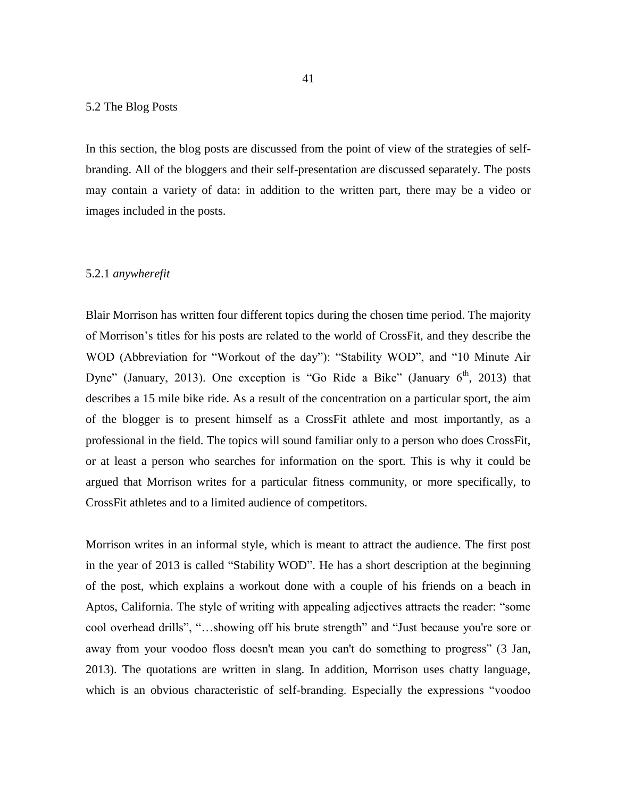### 5.2 The Blog Posts

In this section, the blog posts are discussed from the point of view of the strategies of selfbranding. All of the bloggers and their self-presentation are discussed separately. The posts may contain a variety of data: in addition to the written part, there may be a video or images included in the posts.

#### 5.2.1 *anywherefit*

Blair Morrison has written four different topics during the chosen time period. The majority of Morrison's titles for his posts are related to the world of CrossFit, and they describe the WOD (Abbreviation for "Workout of the day"): "Stability WOD", and "10 Minute Air Dyne" (January, 2013). One exception is "Go Ride a Bike" (January  $6<sup>th</sup>$ , 2013) that describes a 15 mile bike ride. As a result of the concentration on a particular sport, the aim of the blogger is to present himself as a CrossFit athlete and most importantly, as a professional in the field. The topics will sound familiar only to a person who does CrossFit, or at least a person who searches for information on the sport. This is why it could be argued that Morrison writes for a particular fitness community, or more specifically, to CrossFit athletes and to a limited audience of competitors.

Morrison writes in an informal style, which is meant to attract the audience. The first post in the year of 2013 is called "Stability WOD". He has a short description at the beginning of the post, which explains a workout done with a couple of his friends on a beach in Aptos, California. The style of writing with appealing adjectives attracts the reader: "some cool overhead drills", "…showing off his brute strength" and "Just because you're sore or away from your voodoo floss doesn't mean you can't do something to progress" (3 Jan, 2013). The quotations are written in slang. In addition, Morrison uses chatty language, which is an obvious characteristic of self-branding. Especially the expressions "voodoo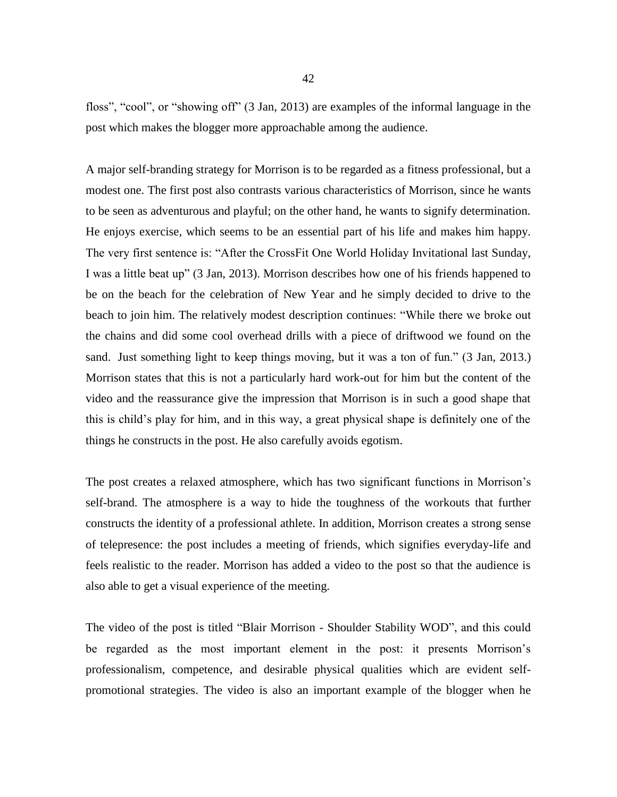floss", "cool", or "showing off" (3 Jan, 2013) are examples of the informal language in the post which makes the blogger more approachable among the audience.

A major self-branding strategy for Morrison is to be regarded as a fitness professional, but a modest one. The first post also contrasts various characteristics of Morrison, since he wants to be seen as adventurous and playful; on the other hand, he wants to signify determination. He enjoys exercise, which seems to be an essential part of his life and makes him happy. The very first sentence is: "After the CrossFit One World Holiday Invitational last Sunday, I was a little beat up" (3 Jan, 2013). Morrison describes how one of his friends happened to be on the beach for the celebration of New Year and he simply decided to drive to the beach to join him. The relatively modest description continues: "While there we broke out the chains and did some cool overhead drills with a piece of driftwood we found on the sand. Just something light to keep things moving, but it was a ton of fun." (3 Jan, 2013.) Morrison states that this is not a particularly hard work-out for him but the content of the video and the reassurance give the impression that Morrison is in such a good shape that this is child's play for him, and in this way, a great physical shape is definitely one of the things he constructs in the post. He also carefully avoids egotism.

The post creates a relaxed atmosphere, which has two significant functions in Morrison's self-brand. The atmosphere is a way to hide the toughness of the workouts that further constructs the identity of a professional athlete. In addition, Morrison creates a strong sense of telepresence: the post includes a meeting of friends, which signifies everyday-life and feels realistic to the reader. Morrison has added a video to the post so that the audience is also able to get a visual experience of the meeting.

The video of the post is titled "Blair Morrison - Shoulder Stability WOD", and this could be regarded as the most important element in the post: it presents Morrison's professionalism, competence, and desirable physical qualities which are evident selfpromotional strategies. The video is also an important example of the blogger when he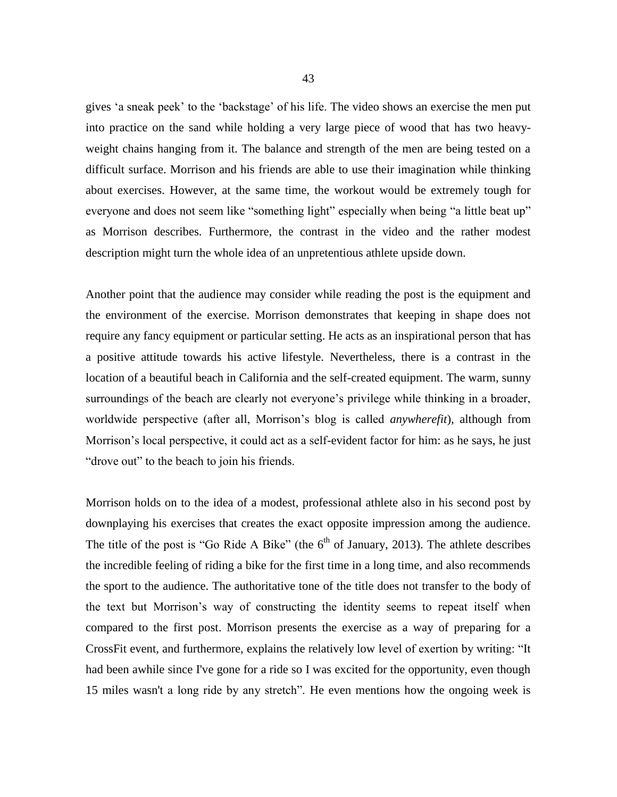gives 'a sneak peek' to the 'backstage' of his life. The video shows an exercise the men put into practice on the sand while holding a very large piece of wood that has two heavyweight chains hanging from it. The balance and strength of the men are being tested on a difficult surface. Morrison and his friends are able to use their imagination while thinking about exercises. However, at the same time, the workout would be extremely tough for everyone and does not seem like "something light" especially when being "a little beat up" as Morrison describes. Furthermore, the contrast in the video and the rather modest description might turn the whole idea of an unpretentious athlete upside down.

Another point that the audience may consider while reading the post is the equipment and the environment of the exercise. Morrison demonstrates that keeping in shape does not require any fancy equipment or particular setting. He acts as an inspirational person that has a positive attitude towards his active lifestyle. Nevertheless, there is a contrast in the location of a beautiful beach in California and the self-created equipment. The warm, sunny surroundings of the beach are clearly not everyone's privilege while thinking in a broader, worldwide perspective (after all, Morrison's blog is called *anywherefit*), although from Morrison's local perspective, it could act as a self-evident factor for him: as he says, he just "drove out" to the beach to join his friends.

Morrison holds on to the idea of a modest, professional athlete also in his second post by downplaying his exercises that creates the exact opposite impression among the audience. The title of the post is "Go Ride A Bike" (the  $6<sup>th</sup>$  of January, 2013). The athlete describes the incredible feeling of riding a bike for the first time in a long time, and also recommends the sport to the audience. The authoritative tone of the title does not transfer to the body of the text but Morrison's way of constructing the identity seems to repeat itself when compared to the first post. Morrison presents the exercise as a way of preparing for a CrossFit event, and furthermore, explains the relatively low level of exertion by writing: "It had been awhile since I've gone for a ride so I was excited for the opportunity, even though 15 miles wasn't a long ride by any stretch". He even mentions how the ongoing week is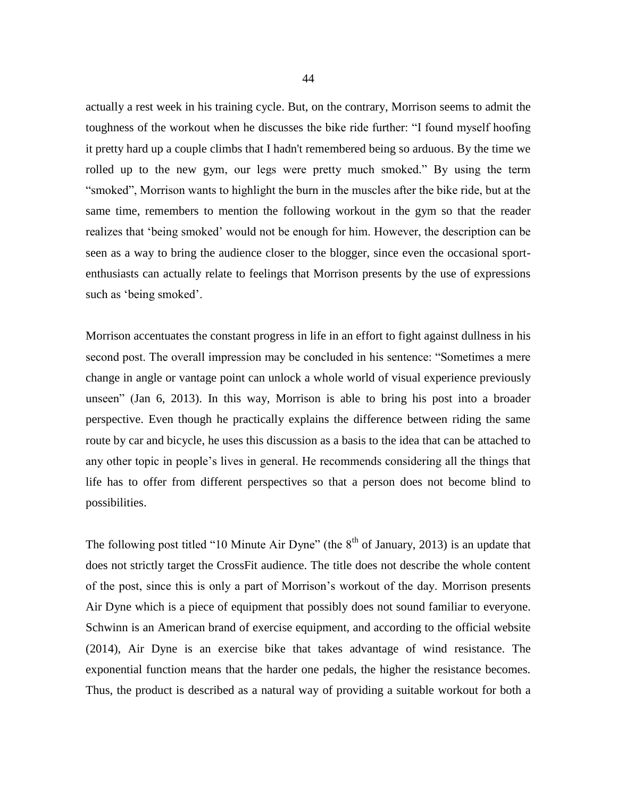actually a rest week in his training cycle. But, on the contrary, Morrison seems to admit the toughness of the workout when he discusses the bike ride further: "I found myself hoofing it pretty hard up a couple climbs that I hadn't remembered being so arduous. By the time we rolled up to the new gym, our legs were pretty much smoked." By using the term "smoked", Morrison wants to highlight the burn in the muscles after the bike ride, but at the same time, remembers to mention the following workout in the gym so that the reader realizes that 'being smoked' would not be enough for him. However, the description can be seen as a way to bring the audience closer to the blogger, since even the occasional sportenthusiasts can actually relate to feelings that Morrison presents by the use of expressions such as 'being smoked'.

Morrison accentuates the constant progress in life in an effort to fight against dullness in his second post. The overall impression may be concluded in his sentence: "Sometimes a mere change in angle or vantage point can unlock a whole world of visual experience previously unseen" (Jan 6, 2013). In this way, Morrison is able to bring his post into a broader perspective. Even though he practically explains the difference between riding the same route by car and bicycle, he uses this discussion as a basis to the idea that can be attached to any other topic in people's lives in general. He recommends considering all the things that life has to offer from different perspectives so that a person does not become blind to possibilities.

The following post titled "10 Minute Air Dyne" (the  $8<sup>th</sup>$  of January, 2013) is an update that does not strictly target the CrossFit audience. The title does not describe the whole content of the post, since this is only a part of Morrison's workout of the day. Morrison presents Air Dyne which is a piece of equipment that possibly does not sound familiar to everyone. Schwinn is an American brand of exercise equipment, and according to the official website (2014), Air Dyne is an exercise bike that takes advantage of wind resistance. The exponential function means that the harder one pedals, the higher the resistance becomes. Thus, the product is described as a natural way of providing a suitable workout for both a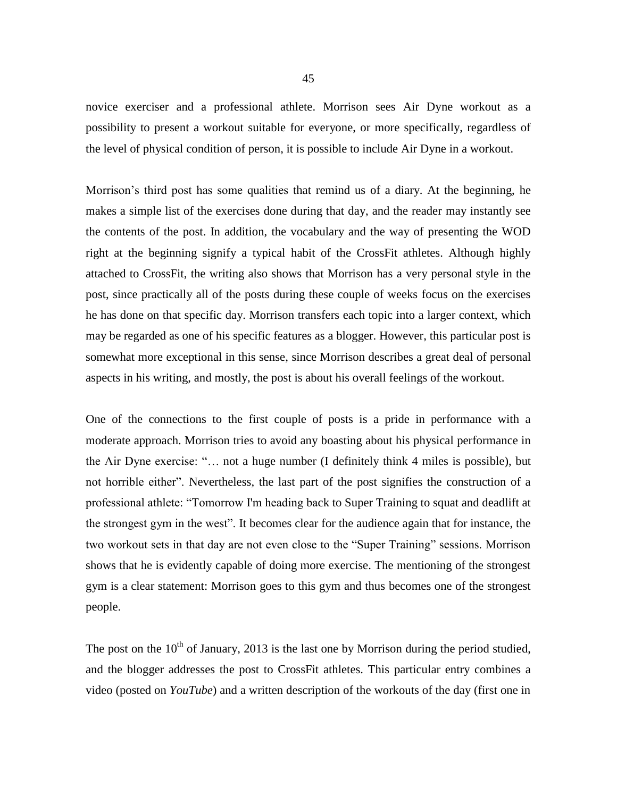novice exerciser and a professional athlete. Morrison sees Air Dyne workout as a possibility to present a workout suitable for everyone, or more specifically, regardless of the level of physical condition of person, it is possible to include Air Dyne in a workout.

Morrison's third post has some qualities that remind us of a diary. At the beginning, he makes a simple list of the exercises done during that day, and the reader may instantly see the contents of the post. In addition, the vocabulary and the way of presenting the WOD right at the beginning signify a typical habit of the CrossFit athletes. Although highly attached to CrossFit, the writing also shows that Morrison has a very personal style in the post, since practically all of the posts during these couple of weeks focus on the exercises he has done on that specific day. Morrison transfers each topic into a larger context, which may be regarded as one of his specific features as a blogger. However, this particular post is somewhat more exceptional in this sense, since Morrison describes a great deal of personal aspects in his writing, and mostly, the post is about his overall feelings of the workout.

One of the connections to the first couple of posts is a pride in performance with a moderate approach. Morrison tries to avoid any boasting about his physical performance in the Air Dyne exercise: "… not a huge number (I definitely think 4 miles is possible), but not horrible either". Nevertheless, the last part of the post signifies the construction of a professional athlete: "Tomorrow I'm heading back to Super Training to squat and deadlift at the strongest gym in the west". It becomes clear for the audience again that for instance, the two workout sets in that day are not even close to the "Super Training" sessions. Morrison shows that he is evidently capable of doing more exercise. The mentioning of the strongest gym is a clear statement: Morrison goes to this gym and thus becomes one of the strongest people.

The post on the  $10<sup>th</sup>$  of January, 2013 is the last one by Morrison during the period studied, and the blogger addresses the post to CrossFit athletes. This particular entry combines a video (posted on *YouTube*) and a written description of the workouts of the day (first one in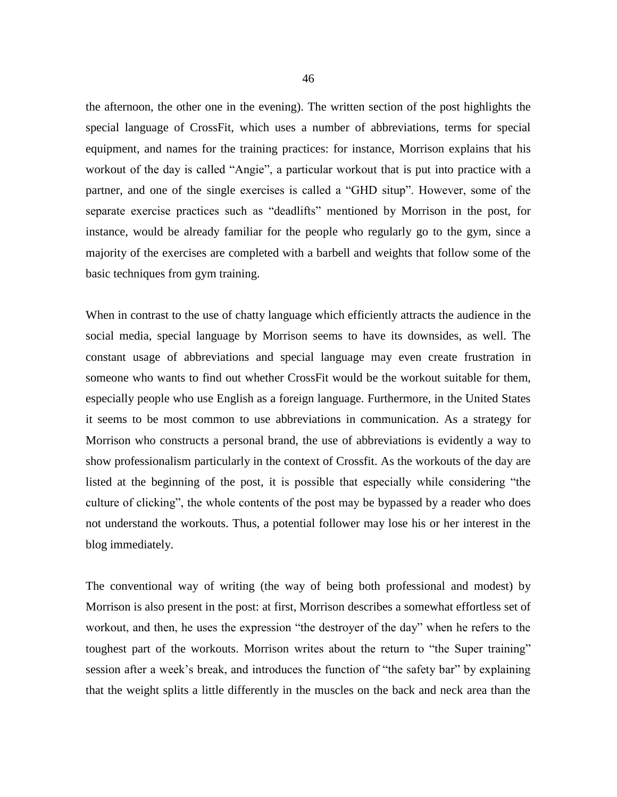the afternoon, the other one in the evening). The written section of the post highlights the special language of CrossFit, which uses a number of abbreviations, terms for special equipment, and names for the training practices: for instance, Morrison explains that his workout of the day is called "Angie", a particular workout that is put into practice with a partner, and one of the single exercises is called a "GHD situp". However, some of the separate exercise practices such as "deadlifts" mentioned by Morrison in the post, for instance, would be already familiar for the people who regularly go to the gym, since a majority of the exercises are completed with a barbell and weights that follow some of the basic techniques from gym training.

When in contrast to the use of chatty language which efficiently attracts the audience in the social media, special language by Morrison seems to have its downsides, as well. The constant usage of abbreviations and special language may even create frustration in someone who wants to find out whether CrossFit would be the workout suitable for them, especially people who use English as a foreign language. Furthermore, in the United States it seems to be most common to use abbreviations in communication. As a strategy for Morrison who constructs a personal brand, the use of abbreviations is evidently a way to show professionalism particularly in the context of Crossfit. As the workouts of the day are listed at the beginning of the post, it is possible that especially while considering "the culture of clicking", the whole contents of the post may be bypassed by a reader who does not understand the workouts. Thus, a potential follower may lose his or her interest in the blog immediately.

The conventional way of writing (the way of being both professional and modest) by Morrison is also present in the post: at first, Morrison describes a somewhat effortless set of workout, and then, he uses the expression "the destroyer of the day" when he refers to the toughest part of the workouts. Morrison writes about the return to "the Super training" session after a week's break, and introduces the function of "the safety bar" by explaining that the weight splits a little differently in the muscles on the back and neck area than the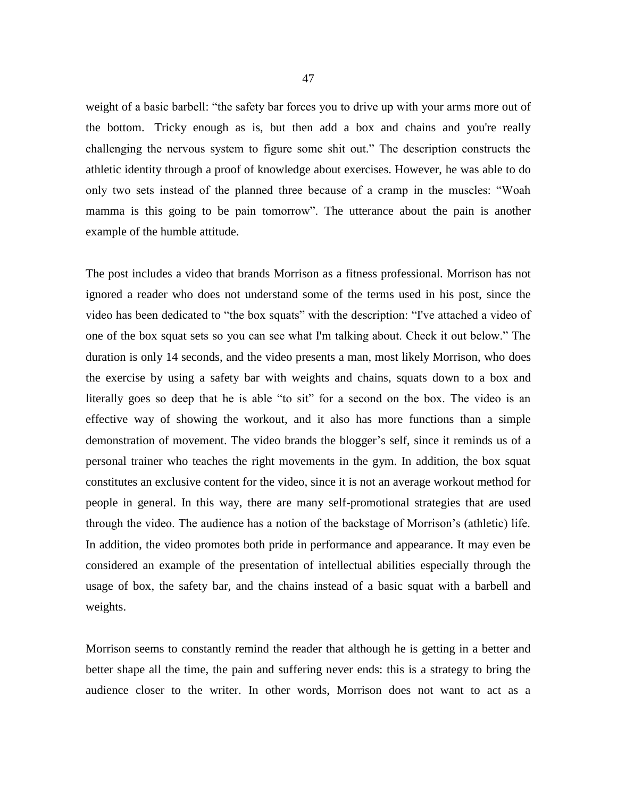weight of a basic barbell: "the safety bar forces you to drive up with your arms more out of the bottom. Tricky enough as is, but then add a box and chains and you're really challenging the nervous system to figure some shit out." The description constructs the athletic identity through a proof of knowledge about exercises. However, he was able to do only two sets instead of the planned three because of a cramp in the muscles: "Woah mamma is this going to be pain tomorrow". The utterance about the pain is another example of the humble attitude.

The post includes a video that brands Morrison as a fitness professional. Morrison has not ignored a reader who does not understand some of the terms used in his post, since the video has been dedicated to "the box squats" with the description: "I've attached a video of one of the box squat sets so you can see what I'm talking about. Check it out below." The duration is only 14 seconds, and the video presents a man, most likely Morrison, who does the exercise by using a safety bar with weights and chains, squats down to a box and literally goes so deep that he is able "to sit" for a second on the box. The video is an effective way of showing the workout, and it also has more functions than a simple demonstration of movement. The video brands the blogger's self, since it reminds us of a personal trainer who teaches the right movements in the gym. In addition, the box squat constitutes an exclusive content for the video, since it is not an average workout method for people in general. In this way, there are many self-promotional strategies that are used through the video. The audience has a notion of the backstage of Morrison's (athletic) life. In addition, the video promotes both pride in performance and appearance. It may even be considered an example of the presentation of intellectual abilities especially through the usage of box, the safety bar, and the chains instead of a basic squat with a barbell and weights.

Morrison seems to constantly remind the reader that although he is getting in a better and better shape all the time, the pain and suffering never ends: this is a strategy to bring the audience closer to the writer. In other words, Morrison does not want to act as a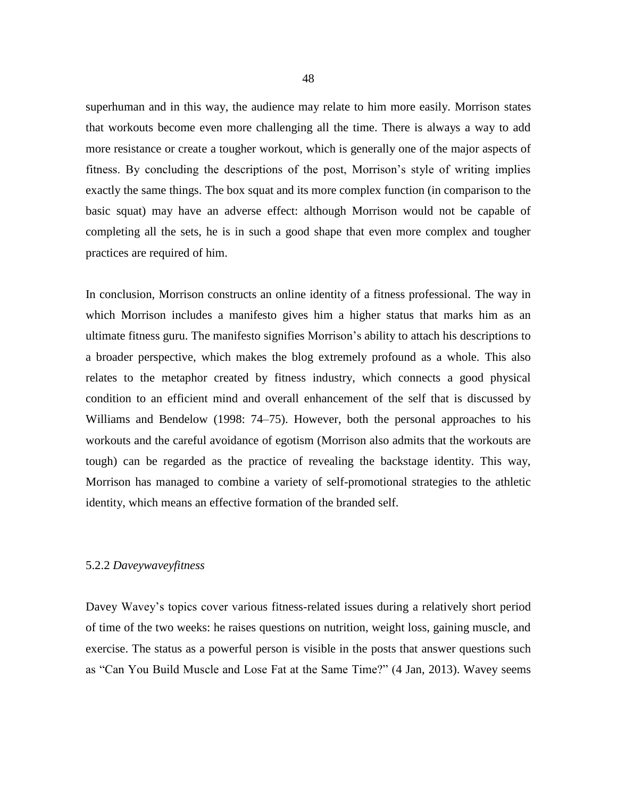superhuman and in this way, the audience may relate to him more easily. Morrison states that workouts become even more challenging all the time. There is always a way to add more resistance or create a tougher workout, which is generally one of the major aspects of fitness. By concluding the descriptions of the post, Morrison's style of writing implies exactly the same things. The box squat and its more complex function (in comparison to the basic squat) may have an adverse effect: although Morrison would not be capable of completing all the sets, he is in such a good shape that even more complex and tougher practices are required of him.

In conclusion, Morrison constructs an online identity of a fitness professional. The way in which Morrison includes a manifesto gives him a higher status that marks him as an ultimate fitness guru. The manifesto signifies Morrison's ability to attach his descriptions to a broader perspective, which makes the blog extremely profound as a whole. This also relates to the metaphor created by fitness industry, which connects a good physical condition to an efficient mind and overall enhancement of the self that is discussed by Williams and Bendelow (1998: 74–75). However, both the personal approaches to his workouts and the careful avoidance of egotism (Morrison also admits that the workouts are tough) can be regarded as the practice of revealing the backstage identity. This way, Morrison has managed to combine a variety of self-promotional strategies to the athletic identity, which means an effective formation of the branded self.

## 5.2.2 *Daveywaveyfitness*

Davey Wavey's topics cover various fitness-related issues during a relatively short period of time of the two weeks: he raises questions on nutrition, weight loss, gaining muscle, and exercise. The status as a powerful person is visible in the posts that answer questions such as "Can You Build Muscle and Lose Fat at the Same Time?" (4 Jan, 2013). Wavey seems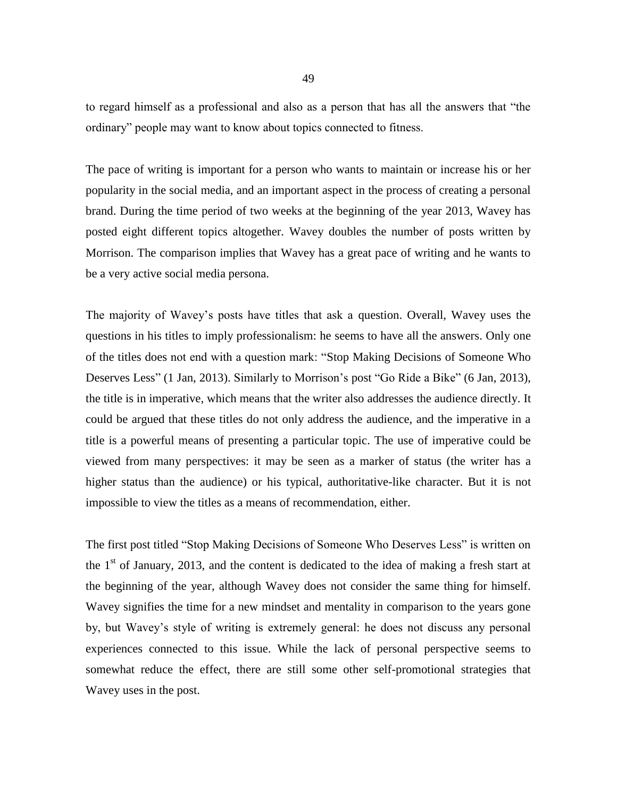to regard himself as a professional and also as a person that has all the answers that "the ordinary" people may want to know about topics connected to fitness.

The pace of writing is important for a person who wants to maintain or increase his or her popularity in the social media, and an important aspect in the process of creating a personal brand. During the time period of two weeks at the beginning of the year 2013, Wavey has posted eight different topics altogether. Wavey doubles the number of posts written by Morrison. The comparison implies that Wavey has a great pace of writing and he wants to be a very active social media persona.

The majority of Wavey's posts have titles that ask a question. Overall, Wavey uses the questions in his titles to imply professionalism: he seems to have all the answers. Only one of the titles does not end with a question mark: ["Stop Making Decisions of Someone Who](http://www.daveywaveyfitness.com/inspiration-2/stop-making-decisions-of-someone-who-deserves-less)  [Deserves Less"](http://www.daveywaveyfitness.com/inspiration-2/stop-making-decisions-of-someone-who-deserves-less) (1 Jan, 2013). Similarly to Morrison's post "Go Ride a Bike" (6 Jan, 2013), the title is in imperative, which means that the writer also addresses the audience directly. It could be argued that these titles do not only address the audience, and the imperative in a title is a powerful means of presenting a particular topic. The use of imperative could be viewed from many perspectives: it may be seen as a marker of status (the writer has a higher status than the audience) or his typical, authoritative-like character. But it is not impossible to view the titles as a means of recommendation, either.

The first post titled "Stop Making Decisions of Someone Who Deserves Less" is written on the  $1<sup>st</sup>$  of January, 2013, and the content is dedicated to the idea of making a fresh start at the beginning of the year, although Wavey does not consider the same thing for himself. Wavey signifies the time for a new mindset and mentality in comparison to the years gone by, but Wavey's style of writing is extremely general: he does not discuss any personal experiences connected to this issue. While the lack of personal perspective seems to somewhat reduce the effect, there are still some other self-promotional strategies that Wavey uses in the post.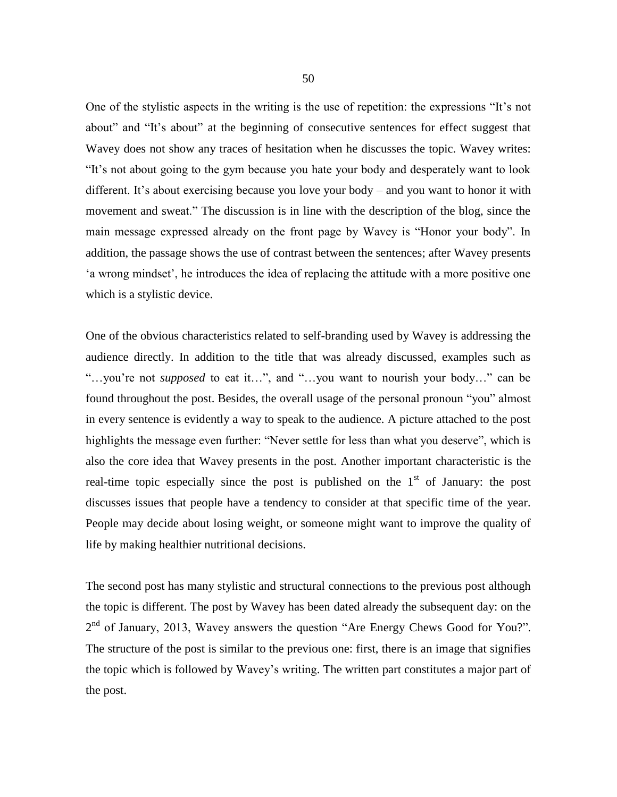One of the stylistic aspects in the writing is the use of repetition: the expressions "It's not about" and "It's about" at the beginning of consecutive sentences for effect suggest that Wavey does not show any traces of hesitation when he discusses the topic. Wavey writes: "It's not about going to the gym because you hate your body and desperately want to look different. It's about exercising because you love your body – and you want to honor it with movement and sweat." The discussion is in line with the description of the blog, since the main message expressed already on the front page by Wavey is "Honor your body". In addition, the passage shows the use of contrast between the sentences; after Wavey presents 'a wrong mindset', he introduces the idea of replacing the attitude with a more positive one which is a stylistic device.

One of the obvious characteristics related to self-branding used by Wavey is addressing the audience directly. In addition to the title that was already discussed, examples such as "…you're not *supposed* to eat it…", and "…you want to nourish your body…" can be found throughout the post. Besides, the overall usage of the personal pronoun "you" almost in every sentence is evidently a way to speak to the audience. A picture attached to the post highlights the message even further: "Never settle for less than what you deserve", which is also the core idea that Wavey presents in the post. Another important characteristic is the real-time topic especially since the post is published on the  $1<sup>st</sup>$  of January: the post discusses issues that people have a tendency to consider at that specific time of the year. People may decide about losing weight, or someone might want to improve the quality of life by making healthier nutritional decisions.

The second post has many stylistic and structural connections to the previous post although the topic is different. The post by Wavey has been dated already the subsequent day: on the 2<sup>nd</sup> of January, 2013, Wavey answers the question ["Are Energy Chews Good for You?"](http://www.daveywaveyfitness.com/nutrition/are-energy-chews-good-for-you). The structure of the post is similar to the previous one: first, there is an image that signifies the topic which is followed by Wavey's writing. The written part constitutes a major part of the post.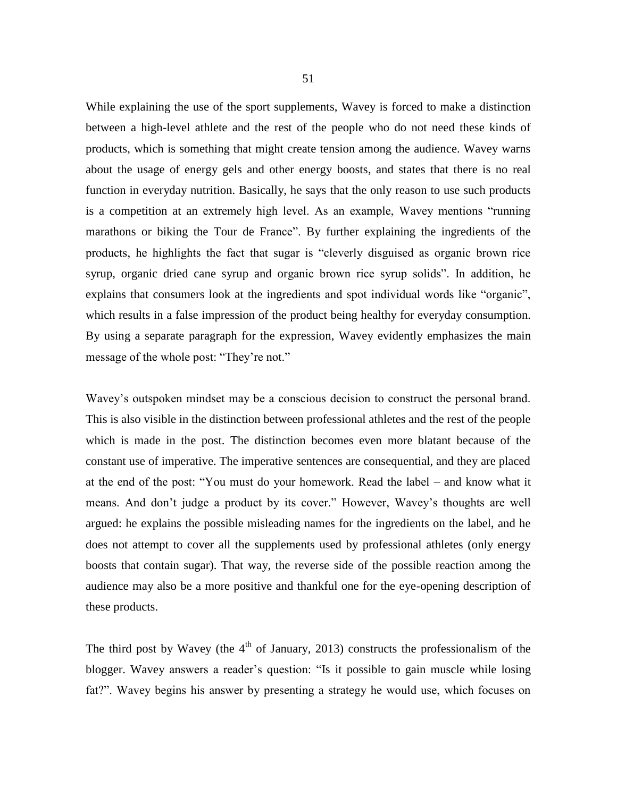While explaining the use of the sport supplements, Wavey is forced to make a distinction between a high-level athlete and the rest of the people who do not need these kinds of products, which is something that might create tension among the audience. Wavey warns about the usage of energy gels and other energy boosts, and states that there is no real function in everyday nutrition. Basically, he says that the only reason to use such products is a competition at an extremely high level. As an example, Wavey mentions "running marathons or biking the Tour de France". By further explaining the ingredients of the products, he highlights the fact that sugar is "cleverly disguised as organic brown rice syrup, organic dried cane syrup and organic brown rice syrup solids". In addition, he explains that consumers look at the ingredients and spot individual words like "organic", which results in a false impression of the product being healthy for everyday consumption. By using a separate paragraph for the expression, Wavey evidently emphasizes the main message of the whole post: "They're not."

Wavey's outspoken mindset may be a conscious decision to construct the personal brand. This is also visible in the distinction between professional athletes and the rest of the people which is made in the post. The distinction becomes even more blatant because of the constant use of imperative. The imperative sentences are consequential, and they are placed at the end of the post: "You must do your homework. Read the label – and know what it means. And don't judge a product by its cover." However, Wavey's thoughts are well argued: he explains the possible misleading names for the ingredients on the label, and he does not attempt to cover all the supplements used by professional athletes (only energy boosts that contain sugar). That way, the reverse side of the possible reaction among the audience may also be a more positive and thankful one for the eye-opening description of these products.

The third post by Wavey (the  $4<sup>th</sup>$  of January, 2013) constructs the professionalism of the blogger. Wavey answers a reader's question: "Is it possible to gain muscle while losing fat?". Wavey begins his answer by presenting a strategy he would use, which focuses on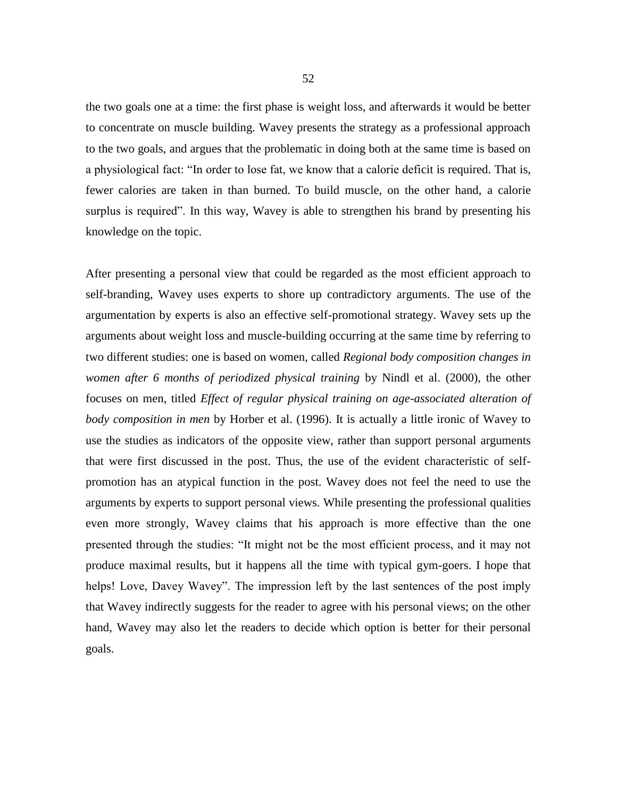the two goals one at a time: the first phase is weight loss, and afterwards it would be better to concentrate on muscle building. Wavey presents the strategy as a professional approach to the two goals, and argues that the problematic in doing both at the same time is based on a physiological fact: "In order to lose fat, we know that a calorie deficit is required. That is, fewer calories are taken in than burned. To build muscle, on the other hand, a calorie surplus is required". In this way, Wavey is able to strengthen his brand by presenting his knowledge on the topic.

After presenting a personal view that could be regarded as the most efficient approach to self-branding, Wavey uses experts to shore up contradictory arguments. The use of the argumentation by experts is also an effective self-promotional strategy. Wavey sets up the arguments about weight loss and muscle-building occurring at the same time by referring to two different studies: one is based on women, called *Regional body composition changes in women after 6 months of periodized physical training* by Nindl et al. (2000), the other focuses on men, titled *Effect of regular physical training on age-associated alteration of body composition in men* by Horber et al. (1996). It is actually a little ironic of Wavey to use the studies as indicators of the opposite view, rather than support personal arguments that were first discussed in the post. Thus, the use of the evident characteristic of selfpromotion has an atypical function in the post. Wavey does not feel the need to use the arguments by experts to support personal views. While presenting the professional qualities even more strongly, Wavey claims that his approach is more effective than the one presented through the studies: "It might not be the most efficient process, and it may not produce maximal results, but it happens all the time with typical gym-goers. I hope that helps! Love, Davey Wavey". The impression left by the last sentences of the post imply that Wavey indirectly suggests for the reader to agree with his personal views; on the other hand, Wavey may also let the readers to decide which option is better for their personal goals.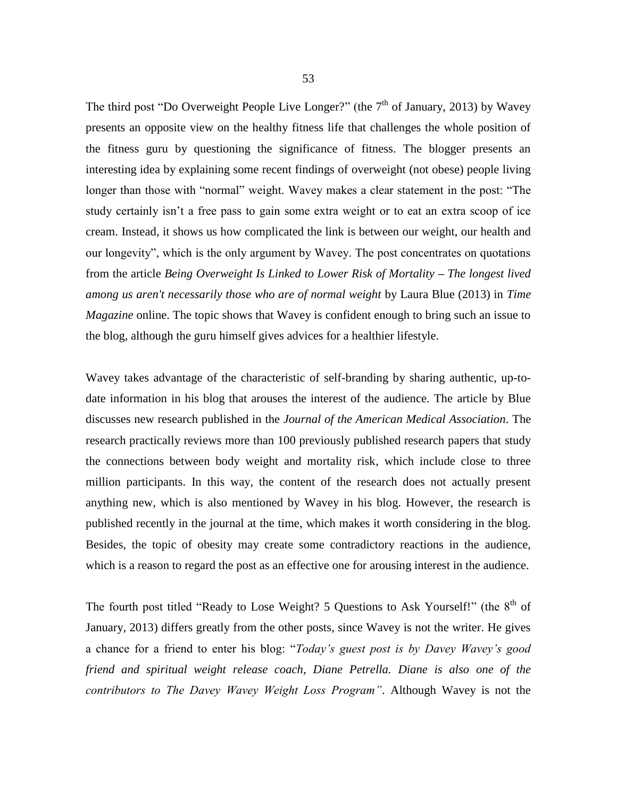The third post ["Do Overweight People Live Longer?"](http://www.daveywaveyfitness.com/weightloss-tips/do-overweight-people-live-longer) (the  $7<sup>th</sup>$  of January, 2013) by Wavey presents an opposite view on the healthy fitness life that challenges the whole position of the fitness guru by questioning the significance of fitness. The blogger presents an interesting idea by explaining some recent findings of overweight (not obese) people living longer than those with "normal" weight. Wavey makes a clear statement in the post: "The study certainly isn't a free pass to gain some extra weight or to eat an extra scoop of ice cream. Instead, it shows us how complicated the link is between our weight, our health and our longevity", which is the only argument by Wavey. The post concentrates on quotations from the article *Being Overweight Is Linked to Lower Risk of Mortality – The longest lived among us aren't necessarily those who are of normal weight* by Laura Blue (2013) in *Time Magazine* online. The topic shows that Wavey is confident enough to bring such an issue to the blog, although the guru himself gives advices for a healthier lifestyle.

Wavey takes advantage of the characteristic of self-branding by sharing authentic, up-todate information in his blog that arouses the interest of the audience. The article by Blue discusses new research published in the *Journal of the American Medical Association*. The research practically reviews more than 100 previously published research papers that study the connections between body weight and mortality risk, which include close to three million participants. In this way, the content of the research does not actually present anything new, which is also mentioned by Wavey in his blog. However, the research is published recently in the journal at the time, which makes it worth considering in the blog. Besides, the topic of obesity may create some contradictory reactions in the audience, which is a reason to regard the post as an effective one for arousing interest in the audience.

The fourth post titled ["Ready to Lose Weight? 5 Questions to Ask Yourself!"](http://www.daveywaveyfitness.com/weightloss-tips/ready-to-lose-weight-5-questions-to-ask-yourself) (the 8<sup>th</sup> of January, 2013) differs greatly from the other posts, since Wavey is not the writer. He gives a chance for a friend to enter his blog: "*Today's guest post is by Davey Wavey's good friend and spiritual weight release coach, [Diane Petrella.](http://www.dianepetrella.com/) Diane is also one of the contributors to The Davey Wavey Weight Loss Program"*. Although Wavey is not the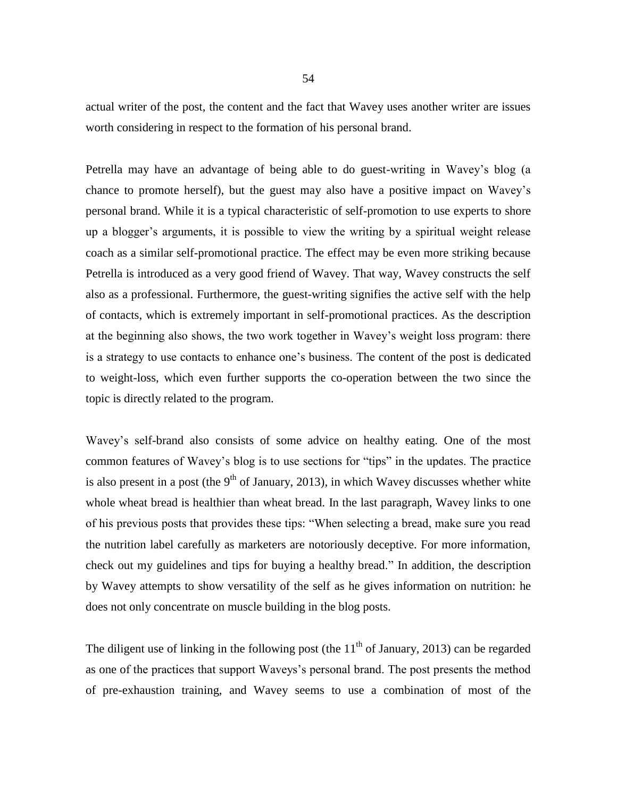actual writer of the post, the content and the fact that Wavey uses another writer are issues worth considering in respect to the formation of his personal brand.

Petrella may have an advantage of being able to do guest-writing in Wavey's blog (a chance to promote herself), but the guest may also have a positive impact on Wavey's personal brand. While it is a typical characteristic of self-promotion to use experts to shore up a blogger's arguments, it is possible to view the writing by a spiritual weight release coach as a similar self-promotional practice. The effect may be even more striking because Petrella is introduced as a very good friend of Wavey. That way, Wavey constructs the self also as a professional. Furthermore, the guest-writing signifies the active self with the help of contacts, which is extremely important in self-promotional practices. As the description at the beginning also shows, the two work together in Wavey's weight loss program: there is a strategy to use contacts to enhance one's business. The content of the post is dedicated to weight-loss, which even further supports the co-operation between the two since the topic is directly related to the program.

Wavey's self-brand also consists of some advice on healthy eating. One of the most common features of Wavey's blog is to use sections for "tips" in the updates. The practice is also present in a post (the  $9<sup>th</sup>$  of January, 2013), in which Wavey discusses whether white [whole wheat bread is healthier than wheat bread.](http://www.daveywaveyfitness.com/nutrition/is-white-whole-wheat-bread-healthy) In the last paragraph, Wavey links to one of his previous posts that provides these tips: "When selecting a bread, make sure you read the nutrition label carefully as marketers are notoriously deceptive. For more information, check out my guidelines and [tips for buying a healthy bread.](http://www.daveywaveyfitness.com/nutrition/buying-healthy-bread-7-tips/)" In addition, the description by Wavey attempts to show versatility of the self as he gives information on nutrition: he does not only concentrate on muscle building in the blog posts.

The diligent use of linking in the following post (the  $11<sup>th</sup>$  of January, 2013) can be regarded as one of the practices that support Waveys's personal brand. The post presents the method of pre-exhaustion training, and Wavey seems to use a combination of most of the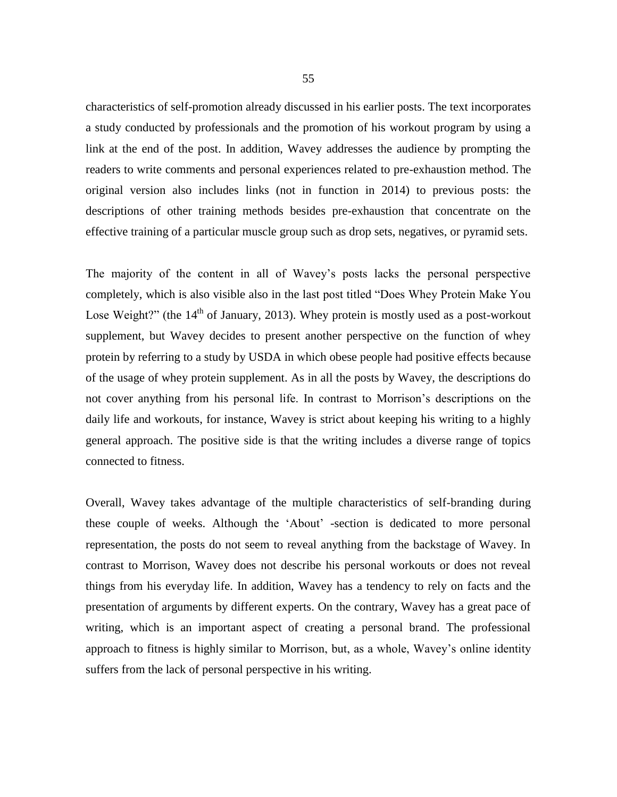characteristics of self-promotion already discussed in his earlier posts. The text incorporates a study conducted by professionals and the promotion of his workout program by using a link at the end of the post. In addition, Wavey addresses the audience by prompting the readers to write comments and personal experiences related to pre-exhaustion method. The original version also includes links (not in function in 2014) to previous posts: the descriptions of other training methods besides pre-exhaustion that concentrate on the effective training of a particular muscle group such as [drop sets,](http://www.daveywaveyfitness.com/what-are-drops-sets-how-can-you-use-them/) [negatives,](http://www.daveywaveyfitness.com/what-are-negative-sets-and-are-they-for-you/) or [pyramid sets.](http://www.daveywaveyfitness.com/size-matters-build-muscles-with-pyramid-sets/)

The majority of the content in all of Wavey's posts lacks the personal perspective completely, which is also visible also in the last post titled "Does Whey Protein Make You Lose Weight?" (the  $14<sup>th</sup>$  of January, 2013). Whey protein is mostly used as a post-workout supplement, but Wavey decides to present another perspective on the function of whey protein by referring to a study by USDA in which obese people had positive effects because of the usage of whey protein supplement. As in all the posts by Wavey, the descriptions do not cover anything from his personal life. In contrast to Morrison's descriptions on the daily life and workouts, for instance, Wavey is strict about keeping his writing to a highly general approach. The positive side is that the writing includes a diverse range of topics connected to fitness.

Overall, Wavey takes advantage of the multiple characteristics of self-branding during these couple of weeks. Although the 'About' -section is dedicated to more personal representation, the posts do not seem to reveal anything from the backstage of Wavey. In contrast to Morrison, Wavey does not describe his personal workouts or does not reveal things from his everyday life. In addition, Wavey has a tendency to rely on facts and the presentation of arguments by different experts. On the contrary, Wavey has a great pace of writing, which is an important aspect of creating a personal brand. The professional approach to fitness is highly similar to Morrison, but, as a whole, Wavey's online identity suffers from the lack of personal perspective in his writing.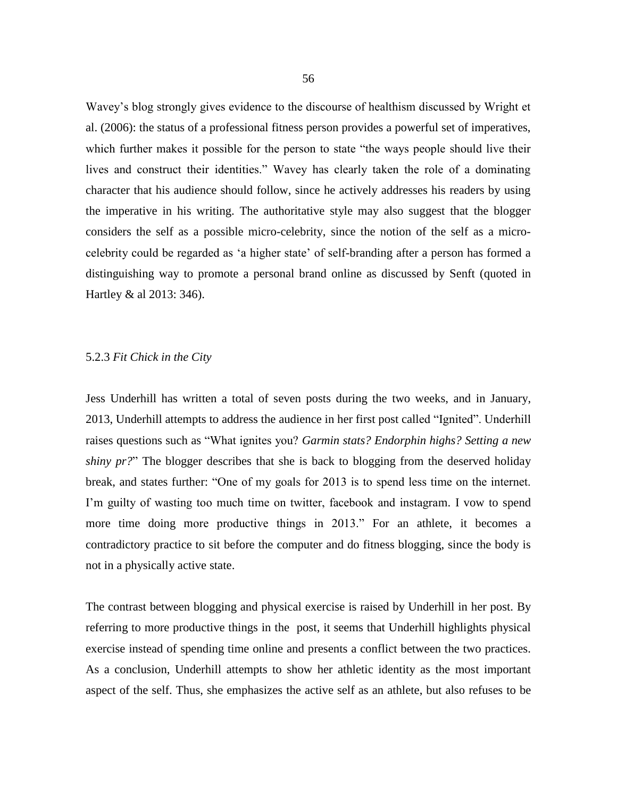Wavey's blog strongly gives evidence to the discourse of healthism discussed by Wright et al. (2006): the status of a professional fitness person provides a powerful set of imperatives, which further makes it possible for the person to state "the ways people should live their lives and construct their identities." Wavey has clearly taken the role of a dominating character that his audience should follow, since he actively addresses his readers by using the imperative in his writing. The authoritative style may also suggest that the blogger considers the self as a possible micro-celebrity, since the notion of the self as a microcelebrity could be regarded as 'a higher state' of self-branding after a person has formed a distinguishing way to promote a personal brand online as discussed by Senft (quoted in Hartley & al 2013: 346).

## 5.2.3 *Fit Chick in the City*

Jess Underhill has written a total of seven posts during the two weeks, and in January, 2013, Underhill attempts to address the audience in her first post called "Ignited". Underhill raises questions such as "What ignites you? *Garmin stats? Endorphin highs? Setting a new shiny pr?*" The blogger describes that she is back to blogging from the deserved holiday break, and states further: "One of my goals for 2013 is to spend less time on the internet. I'm guilty of wasting too much time on twitter, facebook and instagram. I vow to spend more time doing more productive things in 2013." For an athlete, it becomes a contradictory practice to sit before the computer and do fitness blogging, since the body is not in a physically active state.

The contrast between blogging and physical exercise is raised by Underhill in her post. By referring to more productive things in the post, it seems that Underhill highlights physical exercise instead of spending time online and presents a conflict between the two practices. As a conclusion, Underhill attempts to show her athletic identity as the most important aspect of the self. Thus, she emphasizes the active self as an athlete, but also refuses to be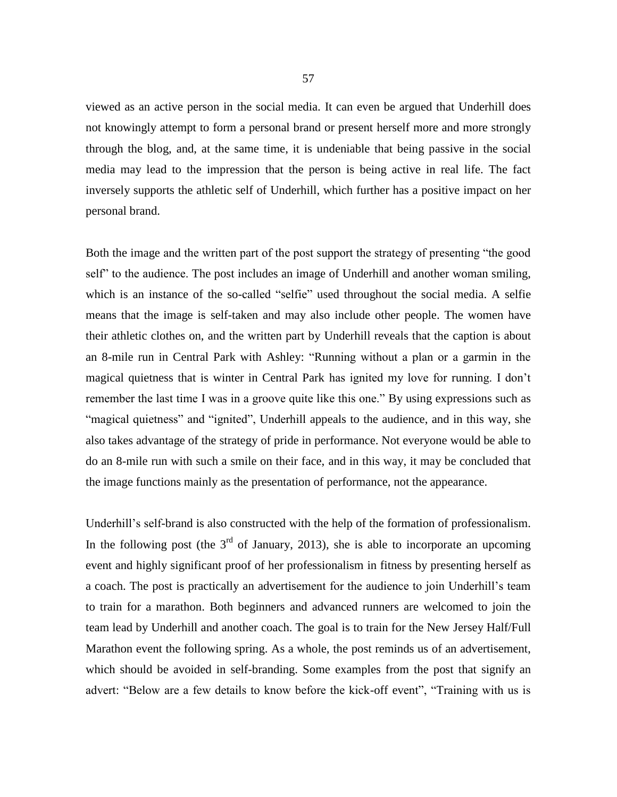viewed as an active person in the social media. It can even be argued that Underhill does not knowingly attempt to form a personal brand or present herself more and more strongly through the blog, and, at the same time, it is undeniable that being passive in the social media may lead to the impression that the person is being active in real life. The fact inversely supports the athletic self of Underhill, which further has a positive impact on her personal brand.

Both the image and the written part of the post support the strategy of presenting "the good self" to the audience. The post includes an image of Underhill and another woman smiling, which is an instance of the so-called "selfie" used throughout the social media. A selfie means that the image is self-taken and may also include other people. The women have their athletic clothes on, and the written part by Underhill reveals that the caption is about an 8-mile run in Central Park with [Ashley:](http://runningbun.com/) "Running without a plan or a garmin in the magical quietness that is winter in Central Park has ignited my love for running. I don't remember the last time I was in a groove quite like this one." By using expressions such as "magical quietness" and "ignited", Underhill appeals to the audience, and in this way, she also takes advantage of the strategy of pride in performance. Not everyone would be able to do an 8-mile run with such a smile on their face, and in this way, it may be concluded that the image functions mainly as the presentation of performance, not the appearance.

Underhill's self-brand is also constructed with the help of the formation of professionalism. In the following post (the  $3<sup>rd</sup>$  of January, 2013), she is able to incorporate an upcoming event and highly significant proof of her professionalism in fitness by presenting herself as a coach. The post is practically an advertisement for the audience to join Underhill's team to train for a marathon. Both beginners and advanced runners are welcomed to join the team lead by Underhill and another coach. The goal is to train for the New Jersey Half/Full Marathon event the following spring. As a whole, the post reminds us of an advertisement, which should be avoided in self-branding. Some examples from the post that signify an advert: "Below are a few details to know before the kick-off event", "Training with us is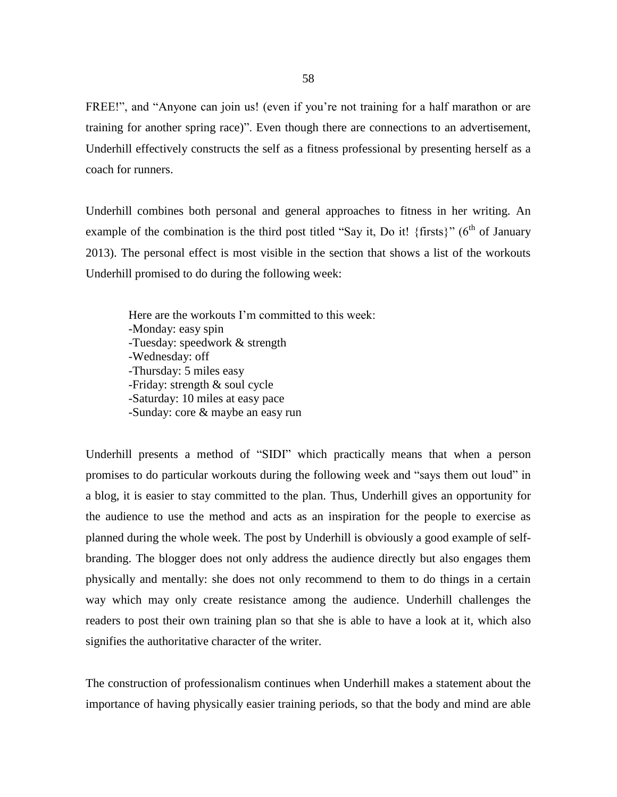FREE!", and "Anyone can join us! (even if you're not training for a half marathon or are training for another spring race)". Even though there are connections to an advertisement, Underhill effectively constructs the self as a fitness professional by presenting herself as a coach for runners.

Underhill combines both personal and general approaches to fitness in her writing. An example of the combination is the third post titled "Say it, Do it! {firsts}" ( $6<sup>th</sup>$  of January 2013). The personal effect is most visible in the section that shows a list of the workouts Underhill promised to do during the following week:

Here are the workouts I'm committed to this week: -Monday: easy spin -Tuesday: speedwork & strength -Wednesday: off -Thursday: 5 miles easy -Friday: strength & soul cycle -Saturday: 10 miles at easy pace -Sunday: core & maybe an easy run

Underhill presents a method of "SIDI" which practically means that when a person promises to do particular workouts during the following week and "says them out loud" in a blog, it is easier to stay committed to the plan. Thus, Underhill gives an opportunity for the audience to use the method and acts as an inspiration for the people to exercise as planned during the whole week. The post by Underhill is obviously a good example of selfbranding. The blogger does not only address the audience directly but also engages them physically and mentally: she does not only recommend to them to do things in a certain way which may only create resistance among the audience. Underhill challenges the readers to post their own training plan so that she is able to have a look at it, which also signifies the authoritative character of the writer.

The construction of professionalism continues when Underhill makes a statement about the importance of having physically easier training periods, so that the body and mind are able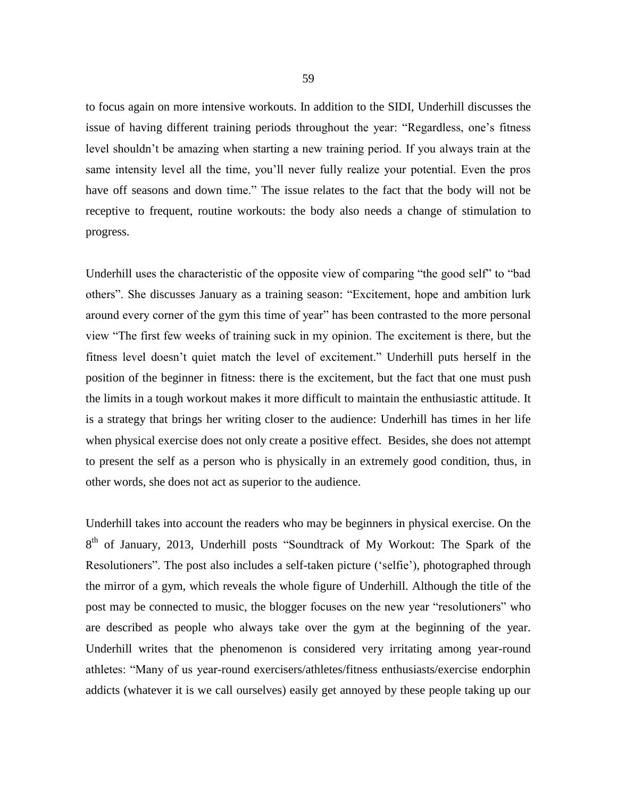to focus again on more intensive workouts. In addition to the SIDI, Underhill discusses the issue of having different training periods throughout the year: "Regardless, one's fitness level shouldn't be amazing when starting a new training period. If you always train at the same intensity level all the time, you'll never fully realize your potential. Even the pros have off seasons and down time." The issue relates to the fact that the body will not be receptive to frequent, routine workouts: the body also needs a change of stimulation to progress.

Underhill uses the characteristic of the opposite view of comparing "the good self" to "bad others". She discusses January as a training season: "Excitement, hope and ambition lurk around every corner of the gym this time of year" has been contrasted to the more personal view "The first few weeks of training suck in my opinion. The excitement is there, but the fitness level doesn't quiet match the level of excitement." Underhill puts herself in the position of the beginner in fitness: there is the excitement, but the fact that one must push the limits in a tough workout makes it more difficult to maintain the enthusiastic attitude. It is a strategy that brings her writing closer to the audience: Underhill has times in her life when physical exercise does not only create a positive effect. Besides, she does not attempt to present the self as a person who is physically in an extremely good condition, thus, in other words, she does not act as superior to the audience.

Underhill takes into account the readers who may be beginners in physical exercise. On the 8<sup>th</sup> of January, 2013, Underhill posts "Soundtrack of My Workout: The Spark of the Resolutioners". The post also includes a self-taken picture ('selfie'), photographed through the mirror of a gym, which reveals the whole figure of Underhill. Although the title of the post may be connected to music, the blogger focuses on the new year "resolutioners" who are described as people who always take over the gym at the beginning of the year. Underhill writes that the phenomenon is considered very irritating among year-round athletes: "Many of us year-round exercisers/athletes/fitness enthusiasts/exercise endorphin addicts (whatever it is we call ourselves) easily get annoyed by these people taking up our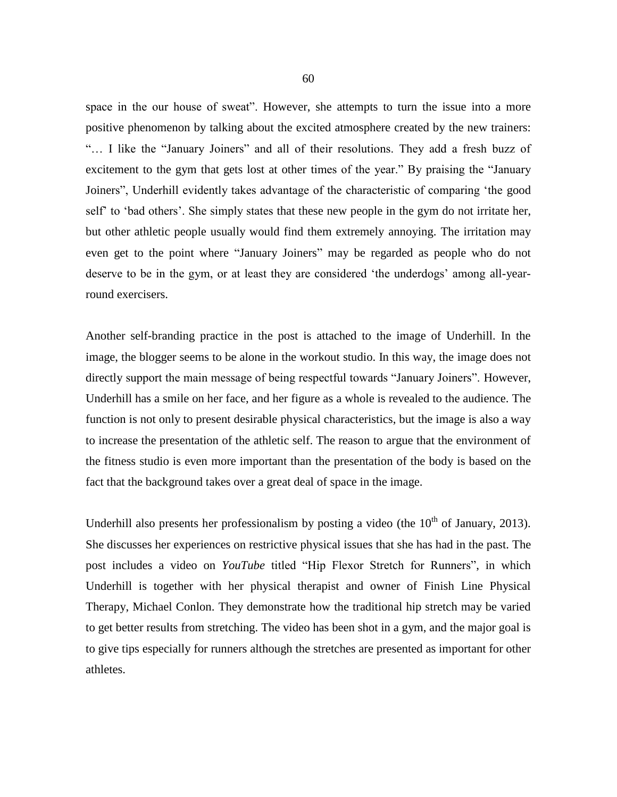space in the our house of sweat". However, she attempts to turn the issue into a more positive phenomenon by talking about the excited atmosphere created by the new trainers: "… I like the "January Joiners" and all of their resolutions. They add a fresh buzz of excitement to the gym that gets lost at other times of the year." By praising the "January Joiners", Underhill evidently takes advantage of the characteristic of comparing 'the good self' to 'bad others'. She simply states that these new people in the gym do not irritate her, but other athletic people usually would find them extremely annoying. The irritation may even get to the point where "January Joiners" may be regarded as people who do not deserve to be in the gym, or at least they are considered 'the underdogs' among all-yearround exercisers.

Another self-branding practice in the post is attached to the image of Underhill. In the image, the blogger seems to be alone in the workout studio. In this way, the image does not directly support the main message of being respectful towards "January Joiners". However, Underhill has a smile on her face, and her figure as a whole is revealed to the audience. The function is not only to present desirable physical characteristics, but the image is also a way to increase the presentation of the athletic self. The reason to argue that the environment of the fitness studio is even more important than the presentation of the body is based on the fact that the background takes over a great deal of space in the image.

Underhill also presents her professionalism by posting a video (the  $10<sup>th</sup>$  of January, 2013). She discusses her experiences on restrictive physical issues that she has had in the past. The post includes a video on *YouTube* titled "Hip Flexor Stretch for Runners", in which Underhill is together with her physical therapist and owner of Finish Line Physical Therapy, Michael Conlon. They demonstrate how the traditional hip stretch may be varied to get better results from stretching. The video has been shot in a gym, and the major goal is to give tips especially for runners although the stretches are presented as important for other athletes.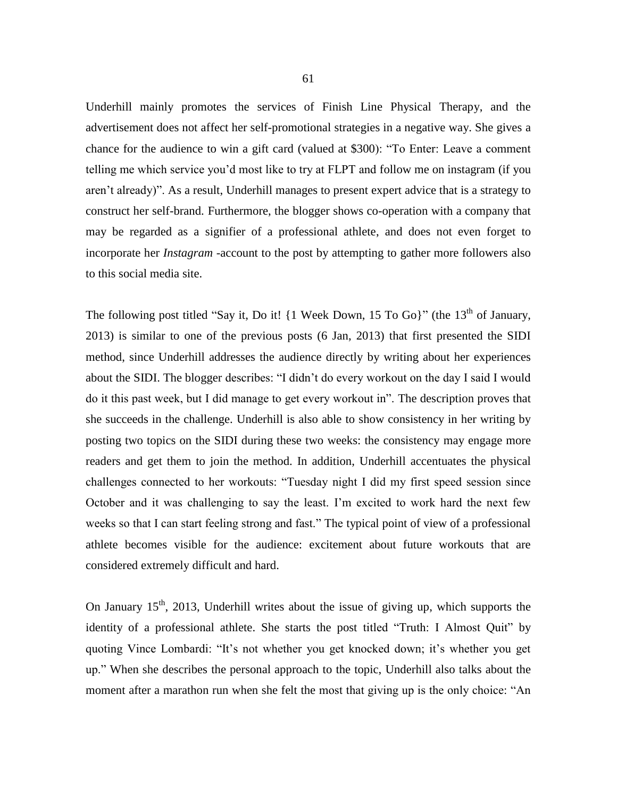Underhill mainly promotes the services of Finish Line Physical Therapy, and the advertisement does not affect her self-promotional strategies in a negative way. She gives a chance for the audience to win a gift card (valued at \$300): "To Enter: Leave a comment telling me which service you'd most like to try at FLPT and [follow me on instagram](http://instagram.com/fitchicknyc/) (if you aren't already)". As a result, Underhill manages to present expert advice that is a strategy to construct her self-brand. Furthermore, the blogger shows co-operation with a company that may be regarded as a signifier of a professional athlete, and does not even forget to incorporate her *Instagram* -account to the post by attempting to gather more followers also to this social media site.

The following post titled "Say it, Do it!  $\{1 \text{ week Down}, 15 \text{ To Go}\}$ " (the  $13<sup>th</sup>$  of January, 2013) is similar to one of the previous posts (6 Jan, 2013) that first presented the SIDI method, since Underhill addresses the audience directly by writing about her experiences about the SIDI. The blogger describes: "I didn't do every workout on the day I said I would do it this past week, but I did manage to get every workout in". The description proves that she succeeds in the challenge. Underhill is also able to show consistency in her writing by posting two topics on the SIDI during these two weeks: the consistency may engage more readers and get them to join the method. In addition, Underhill accentuates the physical challenges connected to her workouts: "Tuesday night I did my first speed session since October and it was challenging to say the least. I'm excited to work hard the next few weeks so that I can start feeling strong and fast." The typical point of view of a professional athlete becomes visible for the audience: excitement about future workouts that are considered extremely difficult and hard.

On January  $15<sup>th</sup>$ , 2013, Underhill writes about the issue of giving up, which supports the identity of a professional athlete. She starts the post titled "Truth: I Almost Quit" by quoting Vince Lombardi: "It's not whether you get knocked down; it's whether you get up." When she describes the personal approach to the topic, Underhill also talks about the moment after a marathon run when she felt the most that giving up is the only choice: "An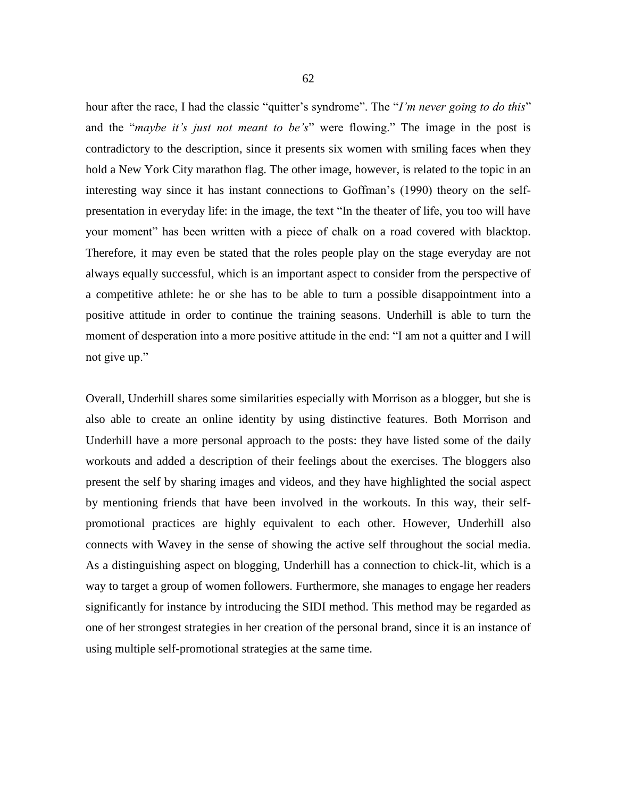hour after the race, I had the classic "quitter's syndrome". The "*I'm never going to do this*" and the "*maybe it's just not meant to be's*" were flowing." The image in the post is contradictory to the description, since it presents six women with smiling faces when they hold a New York City marathon flag. The other image, however, is related to the topic in an interesting way since it has instant connections to Goffman's (1990) theory on the selfpresentation in everyday life: in the image, the text "In the theater of life, you too will have your moment" has been written with a piece of chalk on a road covered with blacktop. Therefore, it may even be stated that the roles people play on the stage everyday are not always equally successful, which is an important aspect to consider from the perspective of a competitive athlete: he or she has to be able to turn a possible disappointment into a positive attitude in order to continue the training seasons. Underhill is able to turn the moment of desperation into a more positive attitude in the end: "I am not a quitter and I will not give up."

Overall, Underhill shares some similarities especially with Morrison as a blogger, but she is also able to create an online identity by using distinctive features. Both Morrison and Underhill have a more personal approach to the posts: they have listed some of the daily workouts and added a description of their feelings about the exercises. The bloggers also present the self by sharing images and videos, and they have highlighted the social aspect by mentioning friends that have been involved in the workouts. In this way, their selfpromotional practices are highly equivalent to each other. However, Underhill also connects with Wavey in the sense of showing the active self throughout the social media. As a distinguishing aspect on blogging, Underhill has a connection to chick-lit, which is a way to target a group of women followers. Furthermore, she manages to engage her readers significantly for instance by introducing the SIDI method. This method may be regarded as one of her strongest strategies in her creation of the personal brand, since it is an instance of using multiple self-promotional strategies at the same time.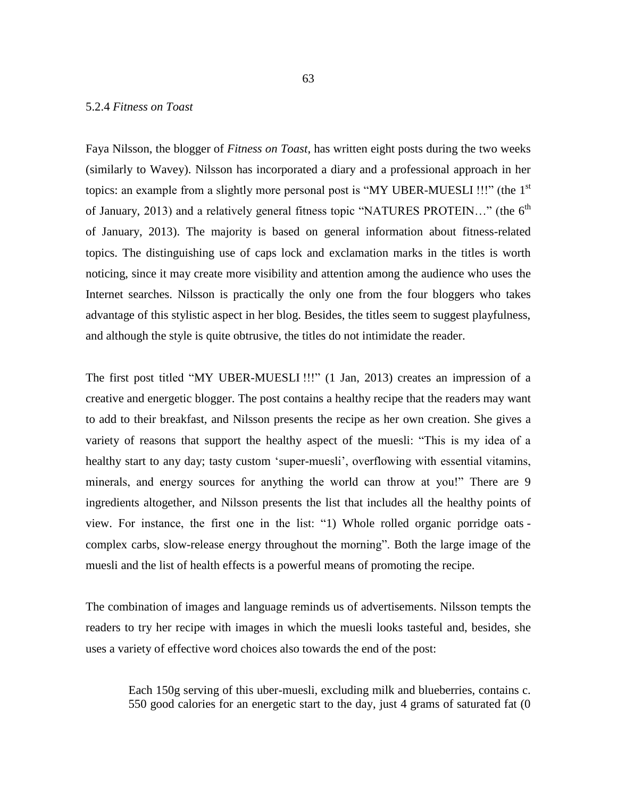## 5.2.4 *Fitness on Toast*

Faya Nilsson, the blogger of *Fitness on Toast*, has written eight posts during the two weeks (similarly to Wavey). Nilsson has incorporated a diary and a professional approach in her topics: an example from a slightly more personal post is "MY UBER-MUESLI !!!" (the  $1<sup>st</sup>$ of January, 2013) and a relatively general fitness topic "NATURES PROTEIN..." (the 6<sup>th</sup> of January, 2013). The majority is based on general information about fitness-related topics. The distinguishing use of caps lock and exclamation marks in the titles is worth noticing, since it may create more visibility and attention among the audience who uses the Internet searches. Nilsson is practically the only one from the four bloggers who takes advantage of this stylistic aspect in her blog. Besides, the titles seem to suggest playfulness, and although the style is quite obtrusive, the titles do not intimidate the reader.

The first post titled "MY UBER-MUESLI !!!" (1 Jan, 2013) creates an impression of a creative and energetic blogger. The post contains a healthy recipe that the readers may want to add to their breakfast, and Nilsson presents the recipe as her own creation. She gives a variety of reasons that support the healthy aspect of the muesli: "This is my idea of a healthy start to any day; tasty custom 'super-muesli', overflowing with essential vitamins, minerals, and energy sources for anything the world can throw at you!" There are 9 ingredients altogether, and Nilsson presents the list that includes all the healthy points of view. For instance, the first one in the list: "1) Whole rolled organic porridge oats complex carbs, slow-release energy throughout the morning". Both the large image of the muesli and the list of health effects is a powerful means of promoting the recipe.

The combination of images and language reminds us of advertisements. Nilsson tempts the readers to try her recipe with images in which the muesli looks tasteful and, besides, she uses a variety of effective word choices also towards the end of the post:

Each 150g serving of this uber-muesli, excluding milk and blueberries, contains c. 550 good calories for an energetic start to the day, just 4 grams of saturated fat (0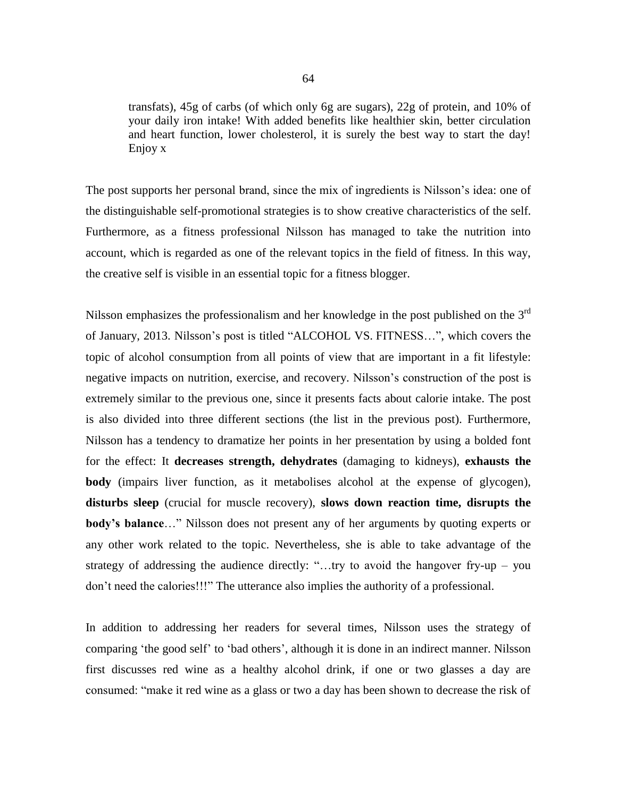transfats), 45g of carbs (of which only 6g are sugars), 22g of protein, and 10% of your daily iron intake! With added benefits like healthier skin, better circulation and heart function, lower cholesterol, it is surely the best way to start the day! Enjoy x

The post supports her personal brand, since the mix of ingredients is Nilsson's idea: one of the distinguishable self-promotional strategies is to show creative characteristics of the self. Furthermore, as a fitness professional Nilsson has managed to take the nutrition into account, which is regarded as one of the relevant topics in the field of fitness. In this way, the creative self is visible in an essential topic for a fitness blogger.

Nilsson emphasizes the professionalism and her knowledge in the post published on the  $3<sup>rd</sup>$ of January, 2013. Nilsson's post is titled ["ALCOHOL VS.](http://fitnessontoast.com/2013/01/03/alcohol-vs-fitness/) FITNESS…", which covers the topic of alcohol consumption from all points of view that are important in a fit lifestyle: negative impacts on nutrition, exercise, and recovery. Nilsson's construction of the post is extremely similar to the previous one, since it presents facts about calorie intake. The post is also divided into three different sections (the list in the previous post). Furthermore, Nilsson has a tendency to dramatize her points in her presentation by using a bolded font for the effect: It **decreases strength, dehydrates** (damaging to kidneys), **exhausts the body** (impairs liver function, as it metabolises alcohol at the expense of glycogen), **disturbs sleep** (crucial for muscle recovery), **slows down reaction time, disrupts the body's balance**…" Nilsson does not present any of her arguments by quoting experts or any other work related to the topic. Nevertheless, she is able to take advantage of the strategy of addressing the audience directly: "…try to avoid the hangover fry-up – you don't need the calories!!!" The utterance also implies the authority of a professional.

In addition to addressing her readers for several times, Nilsson uses the strategy of comparing 'the good self' to 'bad others', although it is done in an indirect manner. Nilsson first discusses red wine as a healthy alcohol drink, if one or two glasses a day are consumed: "make it red wine as a glass or two a day has been shown to decrease the risk of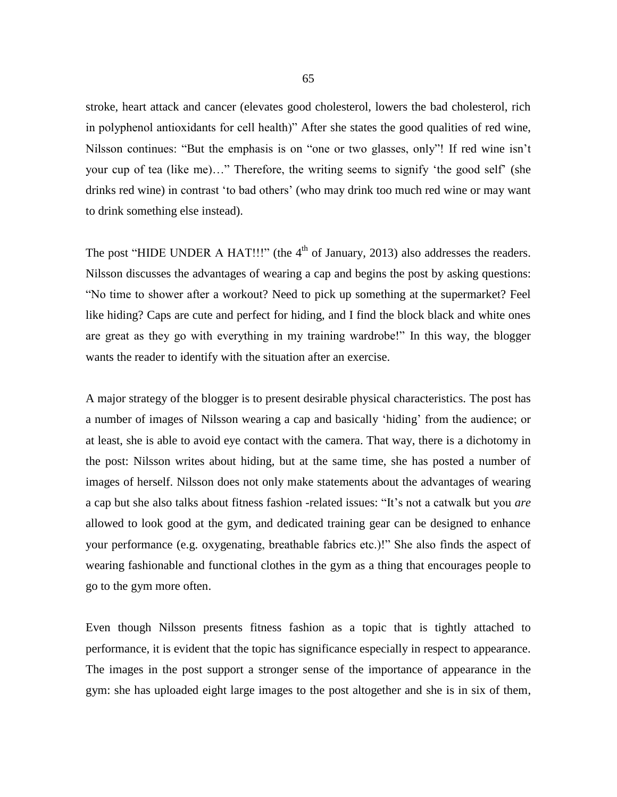stroke, heart attack and cancer (elevates good cholesterol, lowers the bad cholesterol, rich in polyphenol antioxidants for cell health)" After she states the good qualities of red wine, Nilsson continues: "But the emphasis is on "one or two glasses, only"! If red wine isn't your cup of tea (like me)…" Therefore, the writing seems to signify 'the good self' (she drinks red wine) in contrast 'to bad others' (who may drink too much red wine or may want to drink something else instead).

The post "HIDE UNDER A HAT!!!" (the  $4<sup>th</sup>$  of January, 2013) also addresses the readers. Nilsson discusses the advantages of wearing a cap and begins the post by asking questions: "No time to shower after a workout? Need to pick up something at the supermarket? Feel like hiding? Caps are cute and perfect for hiding, and I find the block black and white ones are great as they go with everything in my training wardrobe!" In this way, the blogger wants the reader to identify with the situation after an exercise.

A major strategy of the blogger is to present desirable physical characteristics. The post has a number of images of Nilsson wearing a cap and basically 'hiding' from the audience; or at least, she is able to avoid eye contact with the camera. That way, there is a dichotomy in the post: Nilsson writes about hiding, but at the same time, she has posted a number of images of herself. Nilsson does not only make statements about the advantages of wearing a cap but she also talks about fitness fashion -related issues: "It's not a catwalk but you *are* allowed to look good at the gym, and dedicated training gear can be designed to enhance your performance (e.g. oxygenating, breathable fabrics etc.)!" She also finds the aspect of wearing fashionable and functional clothes in the gym as a thing that encourages people to go to the gym more often.

Even though Nilsson presents fitness fashion as a topic that is tightly attached to performance, it is evident that the topic has significance especially in respect to appearance. The images in the post support a stronger sense of the importance of appearance in the gym: she has uploaded eight large images to the post altogether and she is in six of them,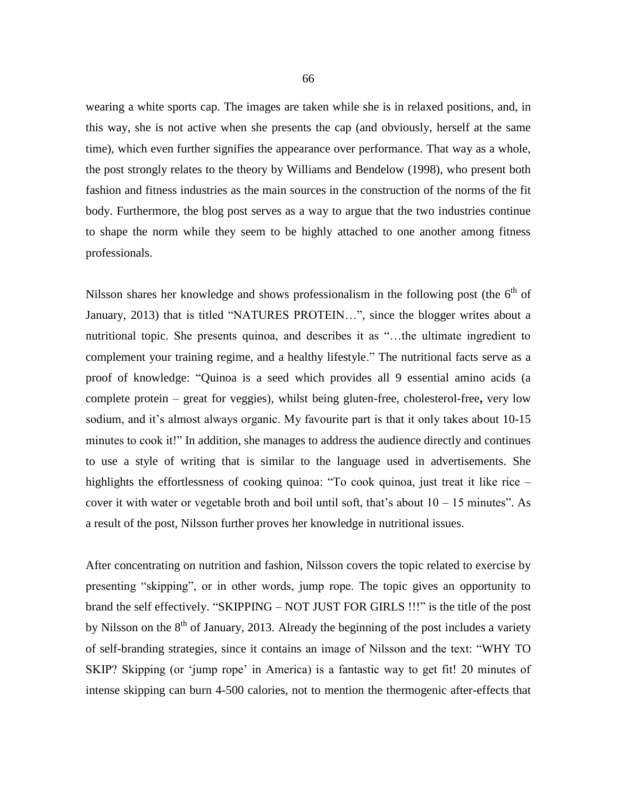wearing a white sports cap. The images are taken while she is in relaxed positions, and, in this way, she is not active when she presents the cap (and obviously, herself at the same time), which even further signifies the appearance over performance. That way as a whole, the post strongly relates to the theory by Williams and Bendelow (1998), who present both fashion and fitness industries as the main sources in the construction of the norms of the fit body. Furthermore, the blog post serves as a way to argue that the two industries continue to shape the norm while they seem to be highly attached to one another among fitness professionals.

Nilsson shares her knowledge and shows professionalism in the following post (the  $6<sup>th</sup>$  of January, 2013) that is titled "NATURES PROTEIN…", since the blogger writes about a nutritional topic. She presents quinoa, and describes it as "…the ultimate ingredient to complement your training regime, and a healthy lifestyle." The nutritional facts serve as a proof of knowledge: "Quinoa is a seed which provides all 9 essential amino acids (a complete protein – great for veggies), whilst being gluten-free, cholesterol-free**,** very low sodium, and it's almost always organic. My favourite part is that it only takes about 10-15 minutes to cook it!" In addition, she manages to address the audience directly and continues to use a style of writing that is similar to the language used in advertisements. She highlights the effortlessness of cooking quinoa: "To cook quinoa, just treat it like rice – cover it with water or vegetable broth and boil until soft, that's about  $10 - 15$  minutes". As a result of the post, Nilsson further proves her knowledge in nutritional issues.

After concentrating on nutrition and fashion, Nilsson covers the topic related to exercise by presenting "skipping", or in other words, jump rope. The topic gives an opportunity to brand the self effectively. "SKIPPING – NOT JUST FOR GIRLS !!!" is the title of the post by Nilsson on the  $8<sup>th</sup>$  of January, 2013. Already the beginning of the post includes a variety of self-branding strategies, since it contains an image of Nilsson and the text: "WHY TO SKIP? Skipping (or 'jump rope' in America) is a fantastic way to get fit! 20 minutes of intense skipping can burn 4-500 calories, not to mention the thermogenic after-effects that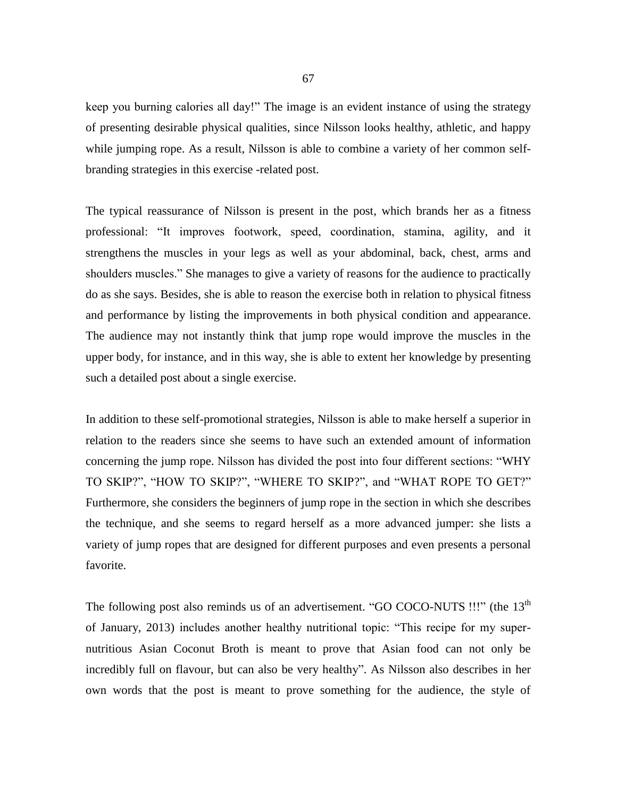keep you burning calories all day!" The image is an evident instance of using the strategy of presenting desirable physical qualities, since Nilsson looks healthy, athletic, and happy while jumping rope. As a result, Nilsson is able to combine a variety of her common selfbranding strategies in this exercise -related post.

The typical reassurance of Nilsson is present in the post, which brands her as a fitness professional: "It improves footwork, speed, coordination, stamina, agility, and it strengthens the muscles in your legs as well as your abdominal, back, chest, arms and shoulders muscles." She manages to give a variety of reasons for the audience to practically do as she says. Besides, she is able to reason the exercise both in relation to physical fitness and performance by listing the improvements in both physical condition and appearance. The audience may not instantly think that jump rope would improve the muscles in the upper body, for instance, and in this way, she is able to extent her knowledge by presenting such a detailed post about a single exercise.

In addition to these self-promotional strategies, Nilsson is able to make herself a superior in relation to the readers since she seems to have such an extended amount of information concerning the jump rope. Nilsson has divided the post into four different sections: "WHY TO SKIP?", "HOW TO SKIP?", "WHERE TO SKIP?", and "WHAT ROPE TO GET?" Furthermore, she considers the beginners of jump rope in the section in which she describes the technique, and she seems to regard herself as a more advanced jumper: she lists a variety of jump ropes that are designed for different purposes and even presents a personal favorite.

The following post also reminds us of an advertisement. "GO COCO-NUTS !!!" (the 13<sup>th</sup>) of January, 2013) includes another healthy nutritional topic: "This recipe for my supernutritious Asian Coconut Broth is meant to prove that Asian food can not only be incredibly full on flavour, but can also be very healthy". As Nilsson also describes in her own words that the post is meant to prove something for the audience, the style of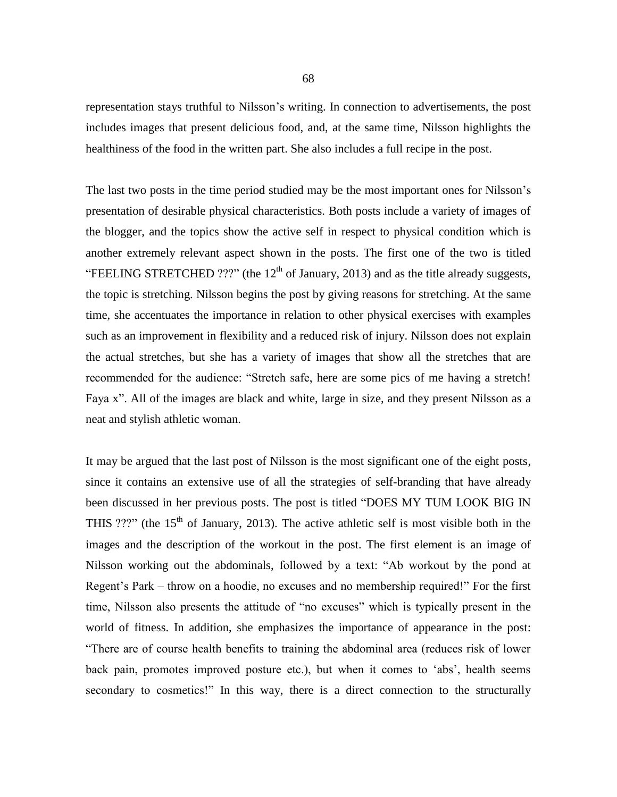representation stays truthful to Nilsson's writing. In connection to advertisements, the post includes images that present delicious food, and, at the same time, Nilsson highlights the healthiness of the food in the written part. She also includes a full recipe in the post.

The last two posts in the time period studied may be the most important ones for Nilsson's presentation of desirable physical characteristics. Both posts include a variety of images of the blogger, and the topics show the active self in respect to physical condition which is another extremely relevant aspect shown in the posts. The first one of the two is titled "FEELING STRETCHED ???" (the  $12<sup>th</sup>$  of January, 2013) and as the title already suggests, the topic is stretching. Nilsson begins the post by giving reasons for stretching. At the same time, she accentuates the importance in relation to other physical exercises with examples such as an improvement in flexibility and a reduced risk of injury. Nilsson does not explain the actual stretches, but she has a variety of images that show all the stretches that are recommended for the audience: "Stretch safe, [here are some pics of me having a stretch!](http://fitnessontoast.com/2013/01/12/feeling-stretched/#more-409) Faya x". All of the images are black and white, large in size, and they present Nilsson as a neat and stylish athletic woman.

It may be argued that the last post of Nilsson is the most significant one of the eight posts, since it contains an extensive use of all the strategies of self-branding that have already been discussed in her previous posts. The post is titled "DOES MY TUM LOOK BIG IN THIS ???" (the  $15<sup>th</sup>$  of January, 2013). The active athletic self is most visible both in the images and the description of the workout in the post. The first element is an image of Nilsson working out the abdominals, followed by a text: "Ab workout by the pond at Regent's Park – throw on a hoodie, no excuses and no membership required!" For the first time, Nilsson also presents the attitude of "no excuses" which is typically present in the world of fitness. In addition, she emphasizes the importance of appearance in the post: "There are of course health benefits to training the abdominal area (reduces risk of lower back pain, promotes improved posture etc.), but when it comes to 'abs', health seems secondary to cosmetics!" In this way, there is a direct connection to the structurally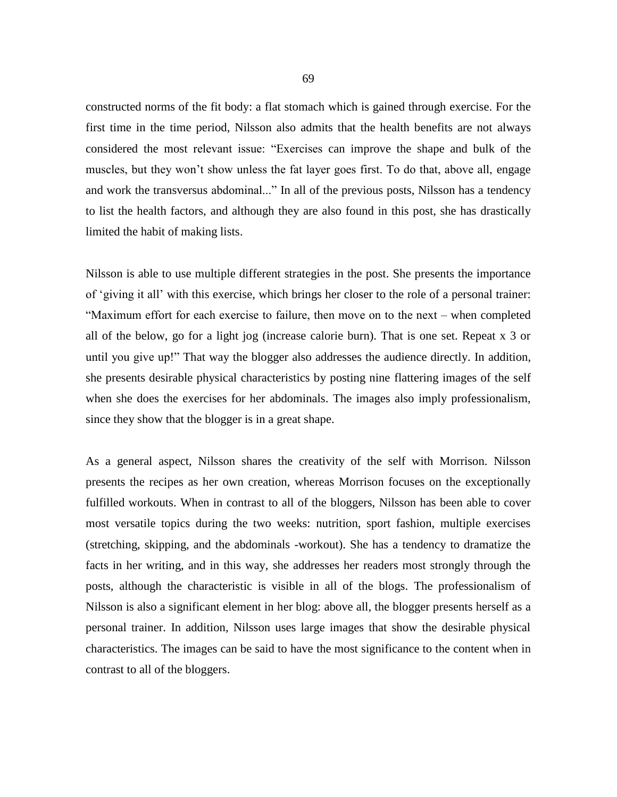constructed norms of the fit body: a flat stomach which is gained through exercise. For the first time in the time period, Nilsson also admits that the health benefits are not always considered the most relevant issue: "Exercises can improve the shape and bulk of the muscles, but they won't show unless the fat layer goes first. To do that, above all, engage and work the transversus abdominal..." In all of the previous posts, Nilsson has a tendency to list the health factors, and although they are also found in this post, she has drastically limited the habit of making lists.

Nilsson is able to use multiple different strategies in the post. She presents the importance of 'giving it all' with this exercise, which brings her closer to the role of a personal trainer: "Maximum effort for each exercise to failure, then move on to the next – when completed all of the below, go for a light jog (increase calorie burn). That is one set. Repeat x 3 or until you give up!" That way the blogger also addresses the audience directly. In addition, she presents desirable physical characteristics by posting nine flattering images of the self when she does the exercises for her abdominals. The images also imply professionalism, since they show that the blogger is in a great shape.

As a general aspect, Nilsson shares the creativity of the self with Morrison. Nilsson presents the recipes as her own creation, whereas Morrison focuses on the exceptionally fulfilled workouts. When in contrast to all of the bloggers, Nilsson has been able to cover most versatile topics during the two weeks: nutrition, sport fashion, multiple exercises (stretching, skipping, and the abdominals -workout). She has a tendency to dramatize the facts in her writing, and in this way, she addresses her readers most strongly through the posts, although the characteristic is visible in all of the blogs. The professionalism of Nilsson is also a significant element in her blog: above all, the blogger presents herself as a personal trainer. In addition, Nilsson uses large images that show the desirable physical characteristics. The images can be said to have the most significance to the content when in contrast to all of the bloggers.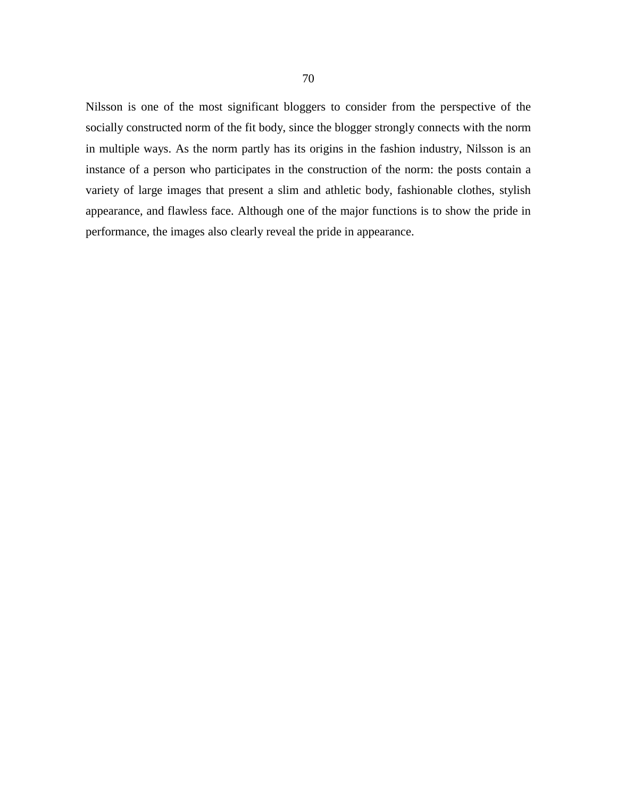Nilsson is one of the most significant bloggers to consider from the perspective of the socially constructed norm of the fit body, since the blogger strongly connects with the norm in multiple ways. As the norm partly has its origins in the fashion industry, Nilsson is an instance of a person who participates in the construction of the norm: the posts contain a variety of large images that present a slim and athletic body, fashionable clothes, stylish appearance, and flawless face. Although one of the major functions is to show the pride in performance, the images also clearly reveal the pride in appearance.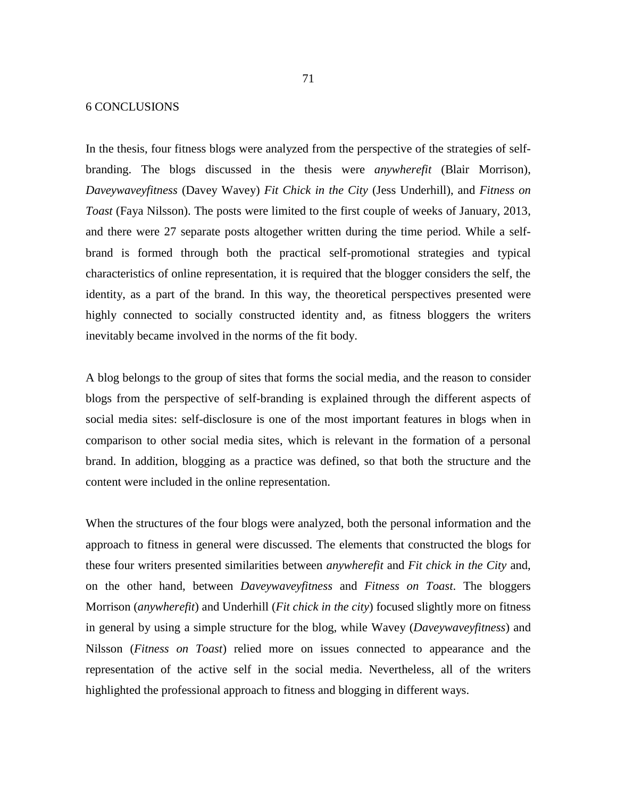## 6 CONCLUSIONS

In the thesis, four fitness blogs were analyzed from the perspective of the strategies of selfbranding. The blogs discussed in the thesis were *anywherefit* (Blair Morrison), *Daveywaveyfitness* (Davey Wavey) *Fit Chick in the City* (Jess Underhill), and *Fitness on Toast* (Faya Nilsson). The posts were limited to the first couple of weeks of January, 2013, and there were 27 separate posts altogether written during the time period. While a selfbrand is formed through both the practical self-promotional strategies and typical characteristics of online representation, it is required that the blogger considers the self, the identity, as a part of the brand. In this way, the theoretical perspectives presented were highly connected to socially constructed identity and, as fitness bloggers the writers inevitably became involved in the norms of the fit body.

A blog belongs to the group of sites that forms the social media, and the reason to consider blogs from the perspective of self-branding is explained through the different aspects of social media sites: self-disclosure is one of the most important features in blogs when in comparison to other social media sites, which is relevant in the formation of a personal brand. In addition, blogging as a practice was defined, so that both the structure and the content were included in the online representation.

When the structures of the four blogs were analyzed, both the personal information and the approach to fitness in general were discussed. The elements that constructed the blogs for these four writers presented similarities between *anywherefit* and *Fit chick in the City* and, on the other hand, between *Daveywaveyfitness* and *Fitness on Toast*. The bloggers Morrison (*anywherefit*) and Underhill (*Fit chick in the city*) focused slightly more on fitness in general by using a simple structure for the blog, while Wavey (*Daveywaveyfitness*) and Nilsson (*Fitness on Toast*) relied more on issues connected to appearance and the representation of the active self in the social media. Nevertheless, all of the writers highlighted the professional approach to fitness and blogging in different ways.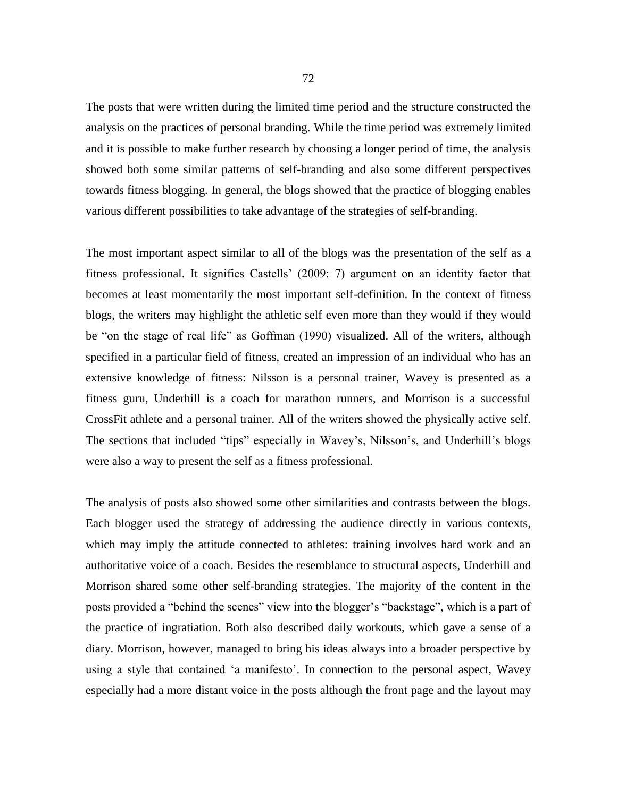The posts that were written during the limited time period and the structure constructed the analysis on the practices of personal branding. While the time period was extremely limited and it is possible to make further research by choosing a longer period of time, the analysis showed both some similar patterns of self-branding and also some different perspectives towards fitness blogging. In general, the blogs showed that the practice of blogging enables various different possibilities to take advantage of the strategies of self-branding.

The most important aspect similar to all of the blogs was the presentation of the self as a fitness professional. It signifies Castells' (2009: 7) argument on an identity factor that becomes at least momentarily the most important self-definition. In the context of fitness blogs, the writers may highlight the athletic self even more than they would if they would be "on the stage of real life" as Goffman (1990) visualized. All of the writers, although specified in a particular field of fitness, created an impression of an individual who has an extensive knowledge of fitness: Nilsson is a personal trainer, Wavey is presented as a fitness guru, Underhill is a coach for marathon runners, and Morrison is a successful CrossFit athlete and a personal trainer. All of the writers showed the physically active self. The sections that included "tips" especially in Wavey's, Nilsson's, and Underhill's blogs were also a way to present the self as a fitness professional.

The analysis of posts also showed some other similarities and contrasts between the blogs. Each blogger used the strategy of addressing the audience directly in various contexts, which may imply the attitude connected to athletes: training involves hard work and an authoritative voice of a coach. Besides the resemblance to structural aspects, Underhill and Morrison shared some other self-branding strategies. The majority of the content in the posts provided a "behind the scenes" view into the blogger's "backstage", which is a part of the practice of ingratiation. Both also described daily workouts, which gave a sense of a diary. Morrison, however, managed to bring his ideas always into a broader perspective by using a style that contained 'a manifesto'. In connection to the personal aspect, Wavey especially had a more distant voice in the posts although the front page and the layout may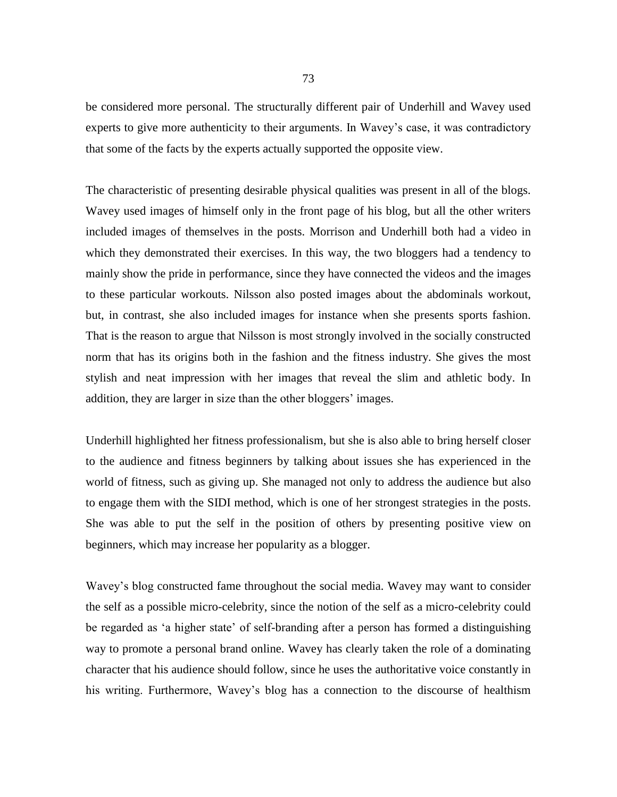be considered more personal. The structurally different pair of Underhill and Wavey used experts to give more authenticity to their arguments. In Wavey's case, it was contradictory that some of the facts by the experts actually supported the opposite view.

The characteristic of presenting desirable physical qualities was present in all of the blogs. Wavey used images of himself only in the front page of his blog, but all the other writers included images of themselves in the posts. Morrison and Underhill both had a video in which they demonstrated their exercises. In this way, the two bloggers had a tendency to mainly show the pride in performance, since they have connected the videos and the images to these particular workouts. Nilsson also posted images about the abdominals workout, but, in contrast, she also included images for instance when she presents sports fashion. That is the reason to argue that Nilsson is most strongly involved in the socially constructed norm that has its origins both in the fashion and the fitness industry. She gives the most stylish and neat impression with her images that reveal the slim and athletic body. In addition, they are larger in size than the other bloggers' images.

Underhill highlighted her fitness professionalism, but she is also able to bring herself closer to the audience and fitness beginners by talking about issues she has experienced in the world of fitness, such as giving up. She managed not only to address the audience but also to engage them with the SIDI method, which is one of her strongest strategies in the posts. She was able to put the self in the position of others by presenting positive view on beginners, which may increase her popularity as a blogger.

Wavey's blog constructed fame throughout the social media. Wavey may want to consider the self as a possible micro-celebrity, since the notion of the self as a micro-celebrity could be regarded as 'a higher state' of self-branding after a person has formed a distinguishing way to promote a personal brand online. Wavey has clearly taken the role of a dominating character that his audience should follow, since he uses the authoritative voice constantly in his writing. Furthermore, Wavey's blog has a connection to the discourse of healthism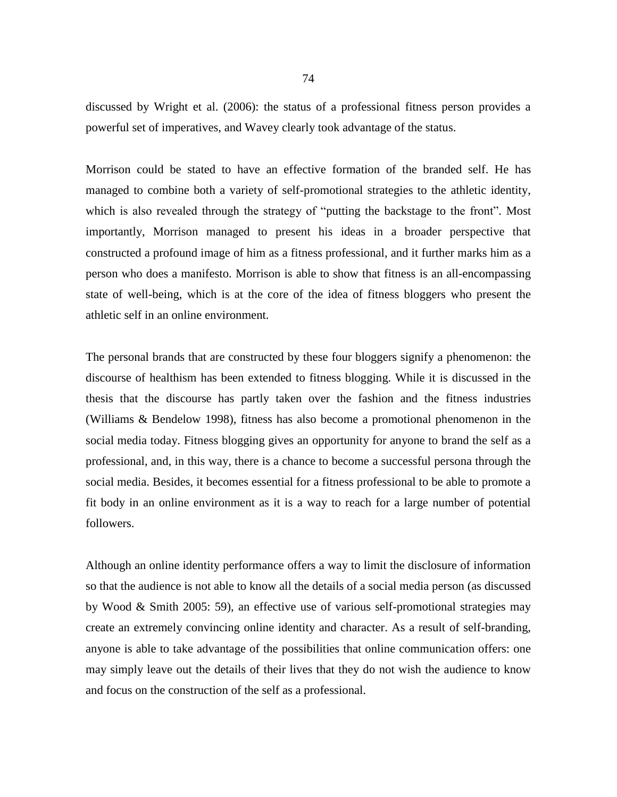discussed by Wright et al. (2006): the status of a professional fitness person provides a powerful set of imperatives, and Wavey clearly took advantage of the status.

Morrison could be stated to have an effective formation of the branded self. He has managed to combine both a variety of self-promotional strategies to the athletic identity, which is also revealed through the strategy of "putting the backstage to the front". Most importantly, Morrison managed to present his ideas in a broader perspective that constructed a profound image of him as a fitness professional, and it further marks him as a person who does a manifesto. Morrison is able to show that fitness is an all-encompassing state of well-being, which is at the core of the idea of fitness bloggers who present the athletic self in an online environment.

The personal brands that are constructed by these four bloggers signify a phenomenon: the discourse of healthism has been extended to fitness blogging. While it is discussed in the thesis that the discourse has partly taken over the fashion and the fitness industries (Williams & Bendelow 1998), fitness has also become a promotional phenomenon in the social media today. Fitness blogging gives an opportunity for anyone to brand the self as a professional, and, in this way, there is a chance to become a successful persona through the social media. Besides, it becomes essential for a fitness professional to be able to promote a fit body in an online environment as it is a way to reach for a large number of potential followers.

Although an online identity performance offers a way to limit the disclosure of information so that the audience is not able to know all the details of a social media person (as discussed by Wood & Smith 2005: 59), an effective use of various self-promotional strategies may create an extremely convincing online identity and character. As a result of self-branding, anyone is able to take advantage of the possibilities that online communication offers: one may simply leave out the details of their lives that they do not wish the audience to know and focus on the construction of the self as a professional.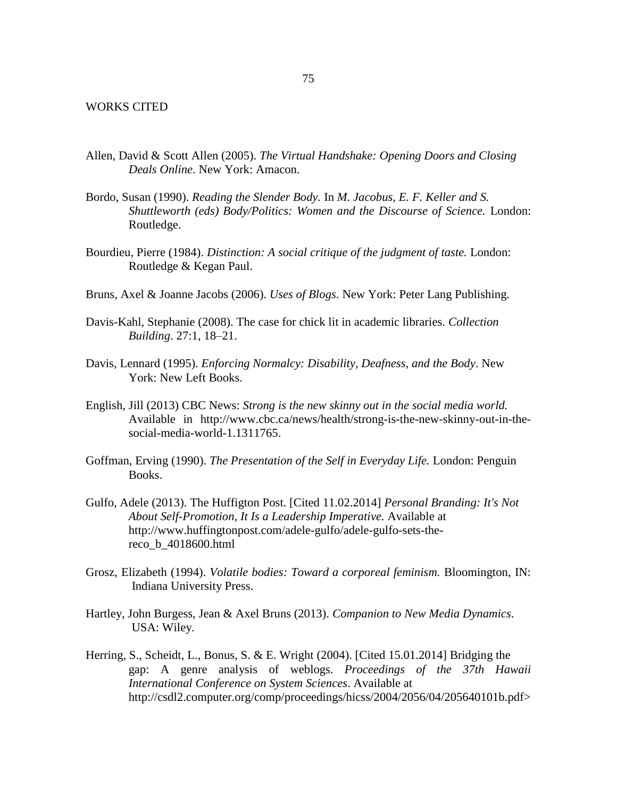- Allen, David & Scott Allen (2005). *The Virtual Handshake: Opening Doors and Closing Deals Online.* New York: Amacon.
- Bordo, Susan (1990). *Reading the Slender Body.* In *M. Jacobus, E. F. Keller and S. Shuttleworth (eds) Body/Politics: Women and the Discourse of Science.* London: Routledge.
- Bourdieu, Pierre (1984). *Distinction: A social critique of the judgment of taste.* London: Routledge & Kegan Paul.
- Bruns, Axel & Joanne Jacobs (2006). *Uses of Blogs*. New York: Peter Lang Publishing.
- Davis-Kahl, Stephanie (2008). The case for chick lit in academic libraries. *Collection Building*. 27:1, 18–21.
- Davis, Lennard (1995). *Enforcing Normalcy: Disability, Deafness, and the Body*. New York: New Left Books.
- English, Jill (2013) CBC News: *Strong is the new skinny out in the social media world.* Available in [http://www.cbc.ca/news/health/strong-is-the-new-skinny-out-in-the](http://www.cbc.ca/news/health/strong-is-the-new-skinny-out-in-the-)social-media-world-1.1311765.
- Goffman, Erving (1990). *The Presentation of the Self in Everyday Life.* London: Penguin Books.
- Gulfo, Adele (2013). The Huffigton Post. [Cited 11.02.2014] *Personal Branding: It's Not About Self-Promotion, It Is a Leadership Imperative.* Available at [http://www.huffingtonpost.com/adele-gulfo/adele-gulfo-sets-the](http://www.huffingtonpost.com/adele-gulfo/adele-gulfo-sets-the-)reco\_b\_4018600.html
- Grosz, Elizabeth (1994). *Volatile bodies: Toward a corporeal feminism.* Bloomington, IN: Indiana University Press.
- Hartley, John Burgess, Jean & Axel Bruns (2013). *Companion to New Media Dynamics*. USA: Wiley.
- Herring, S., Scheidt, L., Bonus, S. & E. Wright (2004). [Cited 15.01.2014] Bridging the gap: A genre analysis of weblogs. *Proceedings of the 37th Hawaii International Conference on System Sciences*. Available at http://csdl2.computer.org/comp/proceedings/hicss/2004/2056/04/205640101b.pdf>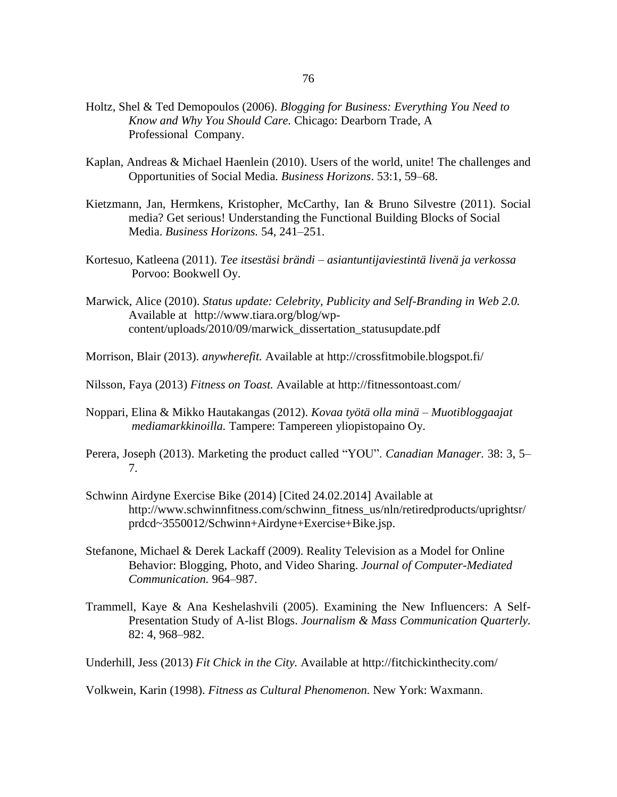- Holtz, Shel & Ted Demopoulos (2006). *Blogging for Business: Everything You Need to Know and Why You Should Care.* Chicago: Dearborn Trade, A Professional Company.
- Kaplan, Andreas & Michael Haenlein (2010). Users of the world, unite! The challenges and Opportunities of Social Media. *Business Horizons*. 53:1, 59–68.
- Kietzmann, Jan, Hermkens, Kristopher, McCarthy, Ian & Bruno Silvestre (2011). Social media? Get serious! Understanding the Functional Building Blocks of Social Media. *Business Horizons.* 54, 241–251.
- Kortesuo, Katleena (2011). *Tee itsestäsi brändi – asiantuntijaviestintä livenä ja verkossa* Porvoo: Bookwell Oy.
- Marwick, Alice (2010). *Status update: Celebrity, Publicity and Self-Branding in Web 2.0.* Available at [http://www.tiara.org/blog/wp](http://www.tiara.org/blog/wp-)content/uploads/2010/09/marwick\_dissertation\_statusupdate.pdf
- Morrison, Blair (2013). *anywherefit.* Available at http://crossfitmobile.blogspot.fi/
- Nilsson, Faya (2013) *Fitness on Toast.* Available at http://fitnessontoast.com/
- Noppari, Elina & Mikko Hautakangas (2012). *Kovaa työtä olla minä – Muotibloggaajat mediamarkkinoilla.* Tampere: Tampereen yliopistopaino Oy.
- Perera, Joseph (2013). Marketing the product called "YOU". *Canadian Manager.* 38: 3, 5– 7.
- Schwinn Airdyne Exercise Bike (2014) [Cited 24.02.2014] Available at http://www.schwinnfitness.com/schwinn\_fitness\_us/nln/retiredproducts/uprightsr/ prdcd~3550012/Schwinn+Airdyne+Exercise+Bike.jsp.
- Stefanone, Michael & Derek Lackaff (2009). Reality Television as a Model for Online Behavior: Blogging, Photo, and Video Sharing. *Journal of Computer-Mediated Communication.* 964–987.
- Trammell, Kaye & Ana Keshelashvili (2005). Examining the New Influencers: A Self-Presentation Study of A-list Blogs. *Journalism & Mass Communication Quarterly.* 82: 4, 968–982.

Underhill, Jess (2013) *Fit Chick in the City.* Available at http://fitchickinthecity.com/

Volkwein, Karin (1998). *Fitness as Cultural Phenomenon.* New York: Waxmann.